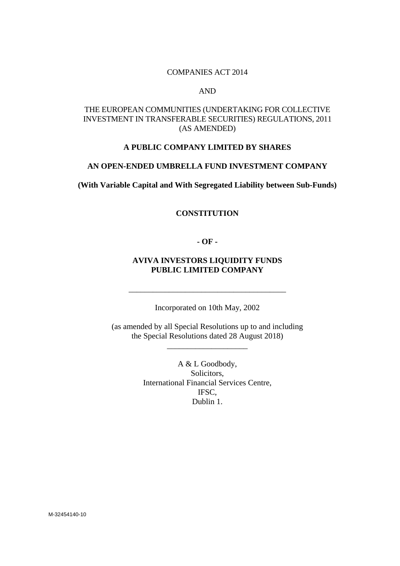#### COMPANIES ACT 2014

#### AND

# THE EUROPEAN COMMUNITIES (UNDERTAKING FOR COLLECTIVE INVESTMENT IN TRANSFERABLE SECURITIES) REGULATIONS, 2011 (AS AMENDED)

# **A PUBLIC COMPANY LIMITED BY SHARES**

### **AN OPEN-ENDED UMBRELLA FUND INVESTMENT COMPANY**

**(With Variable Capital and With Segregated Liability between Sub-Funds)** 

#### **CONSTITUTION**

**- OF -** 

# **AVIVA INVESTORS LIQUIDITY FUNDS PUBLIC LIMITED COMPANY**

Incorporated on 10th May, 2002

\_\_\_\_\_\_\_\_\_\_\_\_\_\_\_\_\_\_\_\_\_\_\_\_\_\_\_\_\_\_\_\_\_\_\_\_\_\_\_

(as amended by all Special Resolutions up to and including the Special Resolutions dated 28 August 2018)

\_\_\_\_\_\_\_\_\_\_\_\_\_\_\_\_\_\_\_\_

A & L Goodbody, Solicitors, International Financial Services Centre, IFSC, Dublin 1.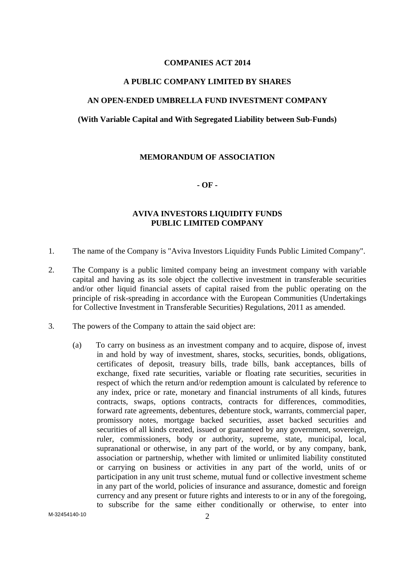# **COMPANIES ACT 2014**

#### **A PUBLIC COMPANY LIMITED BY SHARES**

### **AN OPEN-ENDED UMBRELLA FUND INVESTMENT COMPANY**

#### **(With Variable Capital and With Segregated Liability between Sub-Funds)**

#### **MEMORANDUM OF ASSOCIATION**

#### **- OF -**

# **AVIVA INVESTORS LIQUIDITY FUNDS PUBLIC LIMITED COMPANY**

- 1. The name of the Company is "Aviva Investors Liquidity Funds Public Limited Company".
- 2. The Company is a public limited company being an investment company with variable capital and having as its sole object the collective investment in transferable securities and/or other liquid financial assets of capital raised from the public operating on the principle of risk-spreading in accordance with the European Communities (Undertakings for Collective Investment in Transferable Securities) Regulations, 2011 as amended.
- 3. The powers of the Company to attain the said object are:
	- (a) To carry on business as an investment company and to acquire, dispose of, invest in and hold by way of investment, shares, stocks, securities, bonds, obligations, certificates of deposit, treasury bills, trade bills, bank acceptances, bills of exchange, fixed rate securities, variable or floating rate securities, securities in respect of which the return and/or redemption amount is calculated by reference to any index, price or rate, monetary and financial instruments of all kinds, futures contracts, swaps, options contracts, contracts for differences, commodities, forward rate agreements, debentures, debenture stock, warrants, commercial paper, promissory notes, mortgage backed securities, asset backed securities and securities of all kinds created, issued or guaranteed by any government, sovereign, ruler, commissioners, body or authority, supreme, state, municipal, local, supranational or otherwise, in any part of the world, or by any company, bank, association or partnership, whether with limited or unlimited liability constituted or carrying on business or activities in any part of the world, units of or participation in any unit trust scheme, mutual fund or collective investment scheme in any part of the world, policies of insurance and assurance, domestic and foreign currency and any present or future rights and interests to or in any of the foregoing, to subscribe for the same either conditionally or otherwise, to enter into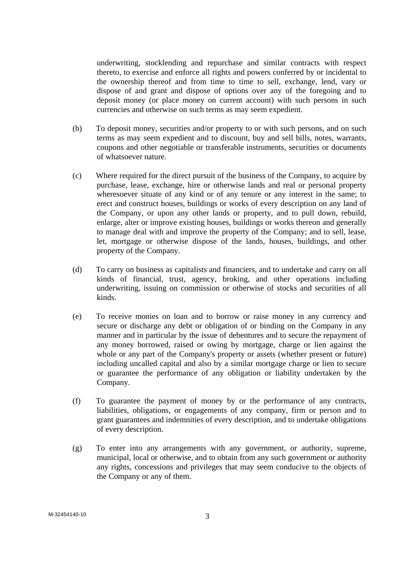underwriting, stocklending and repurchase and similar contracts with respect thereto, to exercise and enforce all rights and powers conferred by or incidental to the ownership thereof and from time to time to sell, exchange, lend, vary or dispose of and grant and dispose of options over any of the foregoing and to deposit money (or place money on current account) with such persons in such currencies and otherwise on such terms as may seem expedient.

- (b) To deposit money, securities and/or property to or with such persons, and on such terms as may seem expedient and to discount, buy and sell bills, notes, warrants, coupons and other negotiable or transferable instruments, securities or documents of whatsoever nature.
- (c) Where required for the direct pursuit of the business of the Company, to acquire by purchase, lease, exchange, hire or otherwise lands and real or personal property wheresoever situate of any kind or of any tenure or any interest in the same; to erect and construct houses, buildings or works of every description on any land of the Company, or upon any other lands or property, and to pull down, rebuild, enlarge, alter or improve existing houses, buildings or works thereon and generally to manage deal with and improve the property of the Company; and to sell, lease, let, mortgage or otherwise dispose of the lands, houses, buildings, and other property of the Company.
- (d) To carry on business as capitalists and financiers, and to undertake and carry on all kinds of financial, trust, agency, broking, and other operations including underwriting, issuing on commission or otherwise of stocks and securities of all kinds.
- (e) To receive monies on loan and to borrow or raise money in any currency and secure or discharge any debt or obligation of or binding on the Company in any manner and in particular by the issue of debentures and to secure the repayment of any money borrowed, raised or owing by mortgage, charge or lien against the whole or any part of the Company's property or assets (whether present or future) including uncalled capital and also by a similar mortgage charge or lien to secure or guarantee the performance of any obligation or liability undertaken by the Company.
- (f) To guarantee the payment of money by or the performance of any contracts, liabilities, obligations, or engagements of any company, firm or person and to grant guarantees and indemnities of every description, and to undertake obligations of every description.
- (g) To enter into any arrangements with any government, or authority, supreme, municipal, local or otherwise, and to obtain from any such government or authority any rights, concessions and privileges that may seem conducive to the objects of the Company or any of them.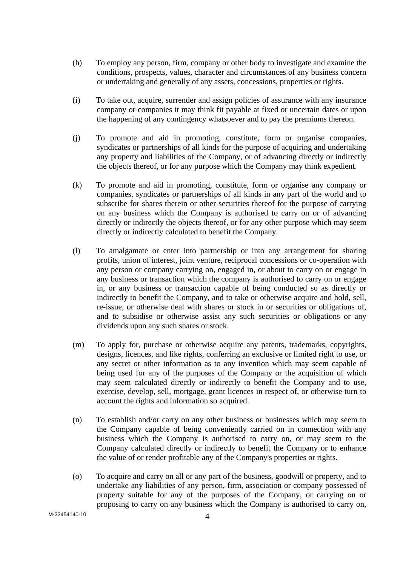- (h) To employ any person, firm, company or other body to investigate and examine the conditions, prospects, values, character and circumstances of any business concern or undertaking and generally of any assets, concessions, properties or rights.
- (i) To take out, acquire, surrender and assign policies of assurance with any insurance company or companies it may think fit payable at fixed or uncertain dates or upon the happening of any contingency whatsoever and to pay the premiums thereon.
- (j) To promote and aid in promoting, constitute, form or organise companies, syndicates or partnerships of all kinds for the purpose of acquiring and undertaking any property and liabilities of the Company, or of advancing directly or indirectly the objects thereof, or for any purpose which the Company may think expedient.
- (k) To promote and aid in promoting, constitute, form or organise any company or companies, syndicates or partnerships of all kinds in any part of the world and to subscribe for shares therein or other securities thereof for the purpose of carrying on any business which the Company is authorised to carry on or of advancing directly or indirectly the objects thereof, or for any other purpose which may seem directly or indirectly calculated to benefit the Company.
- (l) To amalgamate or enter into partnership or into any arrangement for sharing profits, union of interest, joint venture, reciprocal concessions or co-operation with any person or company carrying on, engaged in, or about to carry on or engage in any business or transaction which the company is authorised to carry on or engage in, or any business or transaction capable of being conducted so as directly or indirectly to benefit the Company, and to take or otherwise acquire and hold, sell, re-issue, or otherwise deal with shares or stock in or securities or obligations of, and to subsidise or otherwise assist any such securities or obligations or any dividends upon any such shares or stock.
- (m) To apply for, purchase or otherwise acquire any patents, trademarks, copyrights, designs, licences, and like rights, conferring an exclusive or limited right to use, or any secret or other information as to any invention which may seem capable of being used for any of the purposes of the Company or the acquisition of which may seem calculated directly or indirectly to benefit the Company and to use, exercise, develop, sell, mortgage, grant licences in respect of, or otherwise turn to account the rights and information so acquired.
- (n) To establish and/or carry on any other business or businesses which may seem to the Company capable of being conveniently carried on in connection with any business which the Company is authorised to carry on, or may seem to the Company calculated directly or indirectly to benefit the Company or to enhance the value of or render profitable any of the Company's properties or rights.
- (o) To acquire and carry on all or any part of the business, goodwill or property, and to undertake any liabilities of any person, firm, association or company possessed of property suitable for any of the purposes of the Company, or carrying on or proposing to carry on any business which the Company is authorised to carry on,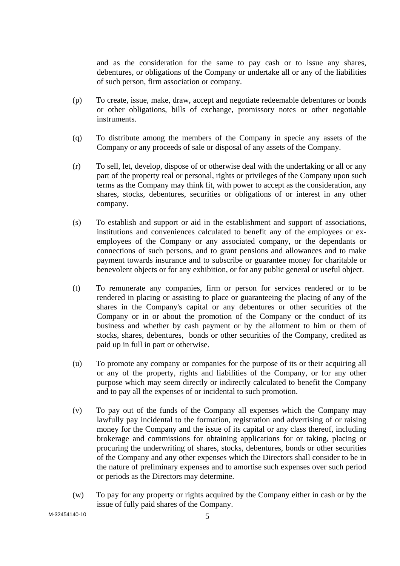and as the consideration for the same to pay cash or to issue any shares, debentures, or obligations of the Company or undertake all or any of the liabilities of such person, firm association or company.

- (p) To create, issue, make, draw, accept and negotiate redeemable debentures or bonds or other obligations, bills of exchange, promissory notes or other negotiable instruments.
- (q) To distribute among the members of the Company in specie any assets of the Company or any proceeds of sale or disposal of any assets of the Company.
- (r) To sell, let, develop, dispose of or otherwise deal with the undertaking or all or any part of the property real or personal, rights or privileges of the Company upon such terms as the Company may think fit, with power to accept as the consideration, any shares, stocks, debentures, securities or obligations of or interest in any other company.
- (s) To establish and support or aid in the establishment and support of associations, institutions and conveniences calculated to benefit any of the employees or exemployees of the Company or any associated company, or the dependants or connections of such persons, and to grant pensions and allowances and to make payment towards insurance and to subscribe or guarantee money for charitable or benevolent objects or for any exhibition, or for any public general or useful object.
- (t) To remunerate any companies, firm or person for services rendered or to be rendered in placing or assisting to place or guaranteeing the placing of any of the shares in the Company's capital or any debentures or other securities of the Company or in or about the promotion of the Company or the conduct of its business and whether by cash payment or by the allotment to him or them of stocks, shares, debentures, bonds or other securities of the Company, credited as paid up in full in part or otherwise.
- (u) To promote any company or companies for the purpose of its or their acquiring all or any of the property, rights and liabilities of the Company, or for any other purpose which may seem directly or indirectly calculated to benefit the Company and to pay all the expenses of or incidental to such promotion.
- (v) To pay out of the funds of the Company all expenses which the Company may lawfully pay incidental to the formation, registration and advertising of or raising money for the Company and the issue of its capital or any class thereof, including brokerage and commissions for obtaining applications for or taking, placing or procuring the underwriting of shares, stocks, debentures, bonds or other securities of the Company and any other expenses which the Directors shall consider to be in the nature of preliminary expenses and to amortise such expenses over such period or periods as the Directors may determine.
- (w) To pay for any property or rights acquired by the Company either in cash or by the issue of fully paid shares of the Company.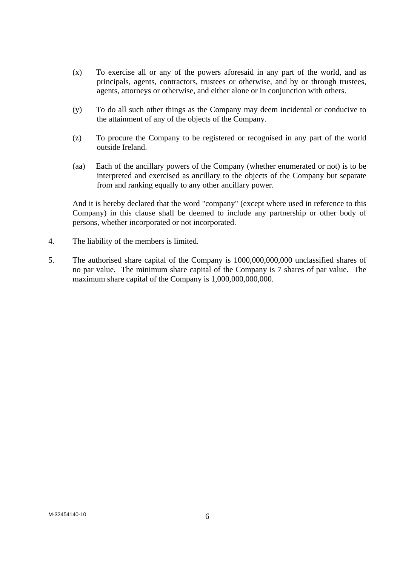- (x) To exercise all or any of the powers aforesaid in any part of the world, and as principals, agents, contractors, trustees or otherwise, and by or through trustees, agents, attorneys or otherwise, and either alone or in conjunction with others.
- (y) To do all such other things as the Company may deem incidental or conducive to the attainment of any of the objects of the Company.
- (z) To procure the Company to be registered or recognised in any part of the world outside Ireland.
- (aa) Each of the ancillary powers of the Company (whether enumerated or not) is to be interpreted and exercised as ancillary to the objects of the Company but separate from and ranking equally to any other ancillary power.

 And it is hereby declared that the word "company" (except where used in reference to this Company) in this clause shall be deemed to include any partnership or other body of persons, whether incorporated or not incorporated.

- 4. The liability of the members is limited.
- 5. The authorised share capital of the Company is 1000,000,000,000 unclassified shares of no par value. The minimum share capital of the Company is 7 shares of par value. The maximum share capital of the Company is  $1,000,000,000,000$ .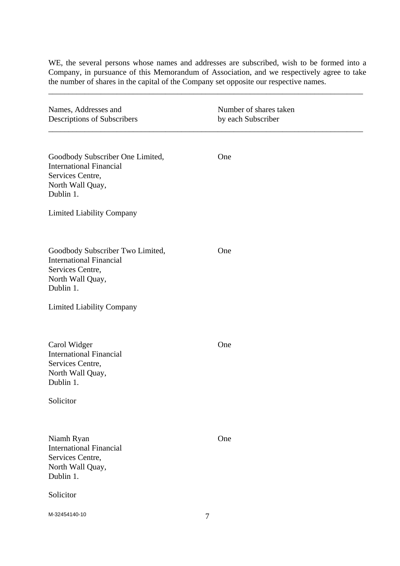WE, the several persons whose names and addresses are subscribed, wish to be formed into a Company, in pursuance of this Memorandum of Association, and we respectively agree to take the number of shares in the capital of the Company set opposite our respective names.

\_\_\_\_\_\_\_\_\_\_\_\_\_\_\_\_\_\_\_\_\_\_\_\_\_\_\_\_\_\_\_\_\_\_\_\_\_\_\_\_\_\_\_\_\_\_\_\_\_\_\_\_\_\_\_\_\_\_\_\_\_\_\_\_\_\_\_\_\_\_\_\_\_\_\_\_\_\_

| Names, Addresses and<br>Descriptions of Subscribers                                                                                                         | Number of shares taken<br>by each Subscriber |  |
|-------------------------------------------------------------------------------------------------------------------------------------------------------------|----------------------------------------------|--|
| Goodbody Subscriber One Limited,<br><b>International Financial</b><br>Services Centre,<br>North Wall Quay,<br>Dublin 1.                                     | One                                          |  |
| <b>Limited Liability Company</b>                                                                                                                            |                                              |  |
| Goodbody Subscriber Two Limited,<br><b>International Financial</b><br>Services Centre,<br>North Wall Quay,<br>Dublin 1.<br><b>Limited Liability Company</b> | One                                          |  |
|                                                                                                                                                             |                                              |  |
| Carol Widger<br><b>International Financial</b><br>Services Centre,<br>North Wall Quay,<br>Dublin 1.                                                         | One                                          |  |
| Solicitor                                                                                                                                                   |                                              |  |
| Niamh Ryan<br><b>International Financial</b><br>Services Centre,<br>North Wall Quay,<br>Dublin 1.                                                           | One                                          |  |
| Solicitor                                                                                                                                                   |                                              |  |
| M-32454140-10                                                                                                                                               | 7                                            |  |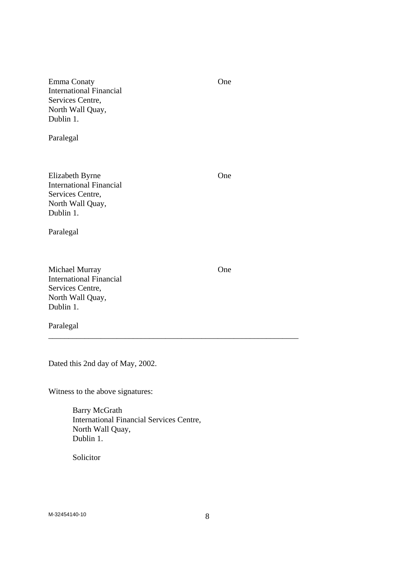Emma Conaty One International Financial Services Centre, North Wall Quay, Dublin 1.

Paralegal

Elizabeth Byrne One International Financial Services Centre, North Wall Quay, Dublin 1.

Paralegal

Michael Murray One International Financial Services Centre, North Wall Quay, Dublin 1.

Paralegal

Dated this 2nd day of May, 2002.

Witness to the above signatures:

 Barry McGrath International Financial Services Centre, North Wall Quay, Dublin 1.

\_\_\_\_\_\_\_\_\_\_\_\_\_\_\_\_\_\_\_\_\_\_\_\_\_\_\_\_\_\_\_\_\_\_\_\_\_\_\_\_\_\_\_\_\_\_\_\_\_\_\_\_\_\_\_\_\_\_\_\_\_\_

Solicitor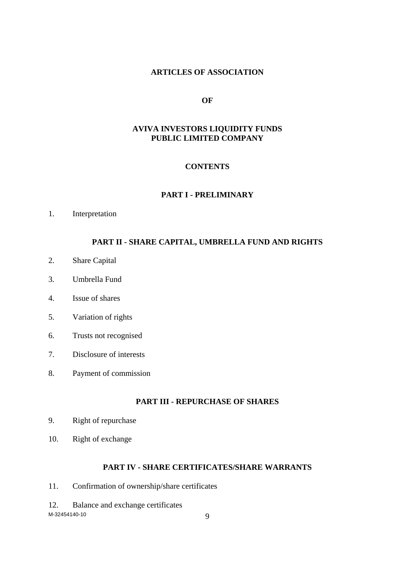# **ARTICLES OF ASSOCIATION**

#### **OF**

# **AVIVA INVESTORS LIQUIDITY FUNDS PUBLIC LIMITED COMPANY**

# **CONTENTS**

#### **PART I - PRELIMINARY**

1. Interpretation

# **PART II - SHARE CAPITAL, UMBRELLA FUND AND RIGHTS**

- 2. Share Capital
- 3. Umbrella Fund
- 4. Issue of shares
- 5. Variation of rights
- 6. Trusts not recognised
- 7. Disclosure of interests
- 8. Payment of commission

# **PART III - REPURCHASE OF SHARES**

- 9. Right of repurchase
- 10. Right of exchange

# **PART IV - SHARE CERTIFICATES/SHARE WARRANTS**

- 11. Confirmation of ownership/share certificates
- M-32454140-10 9 12. Balance and exchange certificates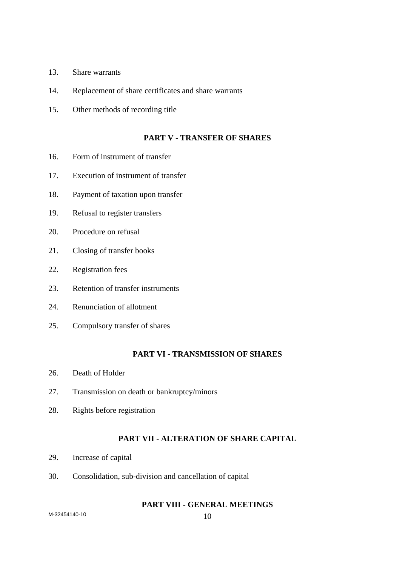- 13. Share warrants
- 14. Replacement of share certificates and share warrants
- 15. Other methods of recording title

### **PART V - TRANSFER OF SHARES**

- 16. Form of instrument of transfer
- 17. Execution of instrument of transfer
- 18. Payment of taxation upon transfer
- 19. Refusal to register transfers
- 20. Procedure on refusal
- 21. Closing of transfer books
- 22. Registration fees
- 23. Retention of transfer instruments
- 24. Renunciation of allotment
- 25. Compulsory transfer of shares

### **PART VI - TRANSMISSION OF SHARES**

- 26. Death of Holder
- 27. Transmission on death or bankruptcy/minors
- 28. Rights before registration

# **PART VII - ALTERATION OF SHARE CAPITAL**

- 29. Increase of capital
- 30. Consolidation, sub-division and cancellation of capital

# **PART VIII - GENERAL MEETINGS**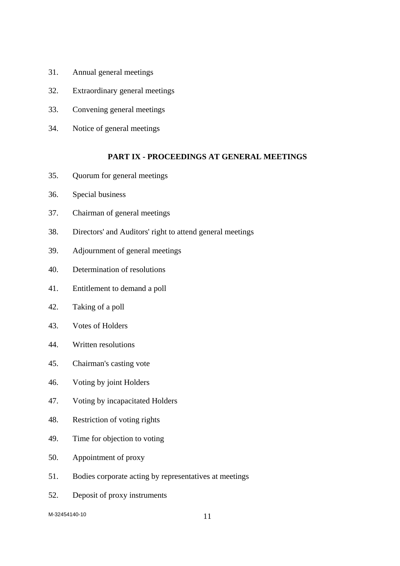- 31. Annual general meetings
- 32. Extraordinary general meetings
- 33. Convening general meetings
- 34. Notice of general meetings

### **PART IX - PROCEEDINGS AT GENERAL MEETINGS**

- 35. Quorum for general meetings
- 36. Special business
- 37. Chairman of general meetings
- 38. Directors' and Auditors' right to attend general meetings
- 39. Adjournment of general meetings
- 40. Determination of resolutions
- 41. Entitlement to demand a poll
- 42. Taking of a poll
- 43. Votes of Holders
- 44. Written resolutions
- 45. Chairman's casting vote
- 46. Voting by joint Holders
- 47. Voting by incapacitated Holders
- 48. Restriction of voting rights
- 49. Time for objection to voting
- 50. Appointment of proxy
- 51. Bodies corporate acting by representatives at meetings
- 52. Deposit of proxy instruments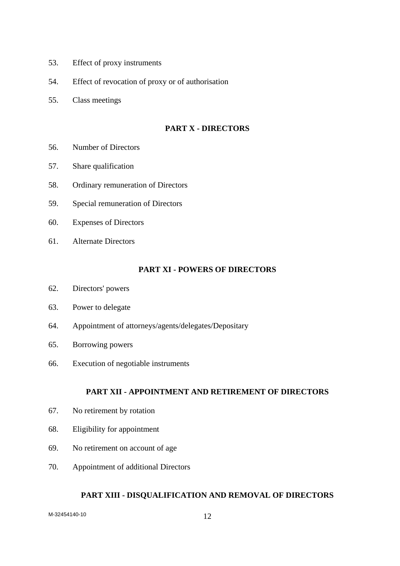- 53. Effect of proxy instruments
- 54. Effect of revocation of proxy or of authorisation
- 55. Class meetings

# **PART X - DIRECTORS**

- 56. Number of Directors
- 57. Share qualification
- 58. Ordinary remuneration of Directors
- 59. Special remuneration of Directors
- 60. Expenses of Directors
- 61. Alternate Directors

# **PART XI - POWERS OF DIRECTORS**

- 62. Directors' powers
- 63. Power to delegate
- 64. Appointment of attorneys/agents/delegates/Depositary
- 65. Borrowing powers
- 66. Execution of negotiable instruments

# **PART XII - APPOINTMENT AND RETIREMENT OF DIRECTORS**

- 67. No retirement by rotation
- 68. Eligibility for appointment
- 69. No retirement on account of age
- 70. Appointment of additional Directors

#### **PART XIII - DISQUALIFICATION AND REMOVAL OF DIRECTORS**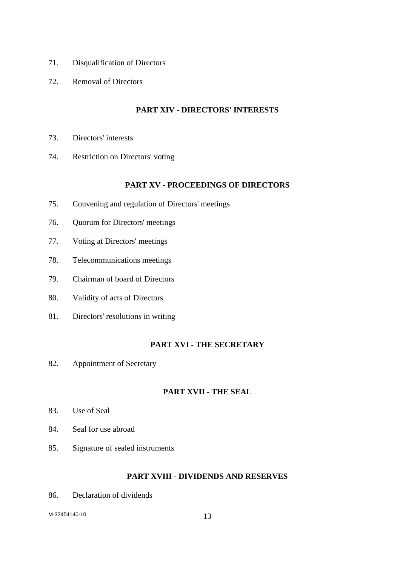- 71. Disqualification of Directors
- 72. Removal of Directors

# **PART XIV - DIRECTORS' INTERESTS**

- 73. Directors' interests
- 74. Restriction on Directors' voting

# **PART XV - PROCEEDINGS OF DIRECTORS**

- 75. Convening and regulation of Directors' meetings
- 76. Quorum for Directors' meetings
- 77. Voting at Directors' meetings
- 78. Telecommunications meetings
- 79. Chairman of board of Directors
- 80. Validity of acts of Directors
- 81. Directors' resolutions in writing

# **PART XVI - THE SECRETARY**

82. Appointment of Secretary

# **PART XVII - THE SEAL**

- 83. Use of Seal
- 84. Seal for use abroad
- 85. Signature of sealed instruments

# **PART XVIII - DIVIDENDS AND RESERVES**

86. Declaration of dividends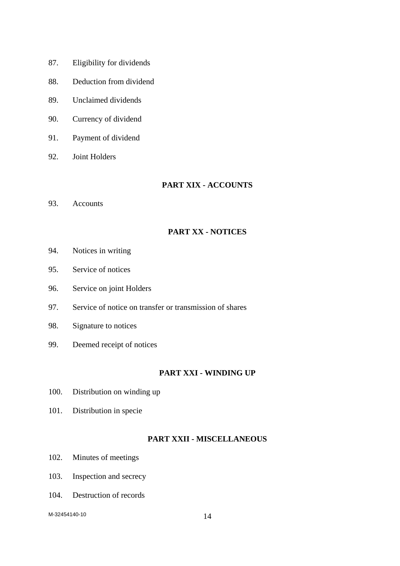- 87. Eligibility for dividends
- 88. Deduction from dividend
- 89. Unclaimed dividends
- 90. Currency of dividend
- 91. Payment of dividend
- 92. Joint Holders

# **PART XIX - ACCOUNTS**

93. Accounts

# **PART XX - NOTICES**

- 94. Notices in writing
- 95. Service of notices
- 96. Service on joint Holders
- 97. Service of notice on transfer or transmission of shares
- 98. Signature to notices
- 99. Deemed receipt of notices

# **PART XXI - WINDING UP**

- 100. Distribution on winding up
- 101. Distribution in specie

# **PART XXII - MISCELLANEOUS**

- 102. Minutes of meetings
- 103. Inspection and secrecy
- 104. Destruction of records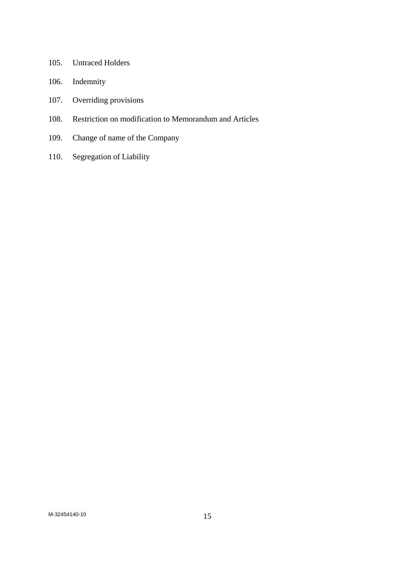- 105. Untraced Holders
- 106. Indemnity
- 107. Overriding provisions
- 108. Restriction on modification to Memorandum and Articles
- 109. Change of name of the Company
- 110. Segregation of Liability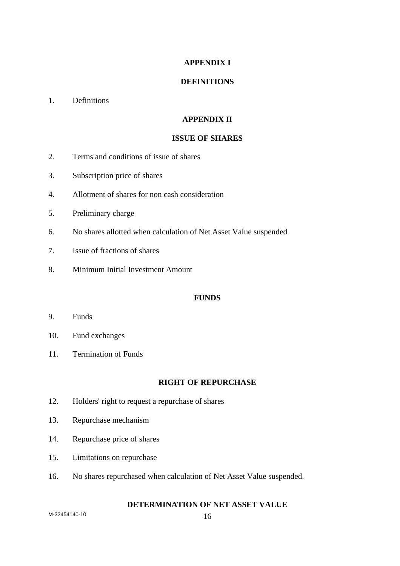# **APPENDIX I**

### **DEFINITIONS**

# 1. Definitions

# **APPENDIX II**

# **ISSUE OF SHARES**

- 2. Terms and conditions of issue of shares
- 3. Subscription price of shares
- 4. Allotment of shares for non cash consideration
- 5. Preliminary charge
- 6. No shares allotted when calculation of Net Asset Value suspended
- 7. Issue of fractions of shares
- 8. Minimum Initial Investment Amount

# **FUNDS**

- 9. Funds
- 10. Fund exchanges
- 11. Termination of Funds

### **RIGHT OF REPURCHASE**

- 12. Holders' right to request a repurchase of shares
- 13. Repurchase mechanism
- 14. Repurchase price of shares
- 15. Limitations on repurchase
- 16. No shares repurchased when calculation of Net Asset Value suspended.

# **DETERMINATION OF NET ASSET VALUE**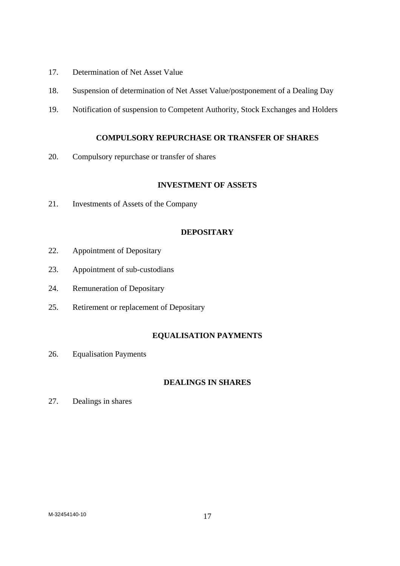- 17. Determination of Net Asset Value
- 18. Suspension of determination of Net Asset Value/postponement of a Dealing Day
- 19. Notification of suspension to Competent Authority, Stock Exchanges and Holders

# **COMPULSORY REPURCHASE OR TRANSFER OF SHARES**

20. Compulsory repurchase or transfer of shares

### **INVESTMENT OF ASSETS**

21. Investments of Assets of the Company

# **DEPOSITARY**

- 22. Appointment of Depositary
- 23. Appointment of sub-custodians
- 24. Remuneration of Depositary
- 25. Retirement or replacement of Depositary

# **EQUALISATION PAYMENTS**

26. Equalisation Payments

# **DEALINGS IN SHARES**

27. Dealings in shares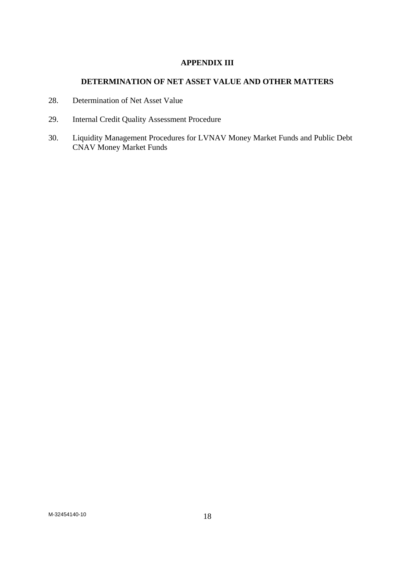# **APPENDIX III**

# **DETERMINATION OF NET ASSET VALUE AND OTHER MATTERS**

- 28. Determination of Net Asset Value
- 29. Internal Credit Quality Assessment Procedure
- 30. Liquidity Management Procedures for LVNAV Money Market Funds and Public Debt CNAV Money Market Funds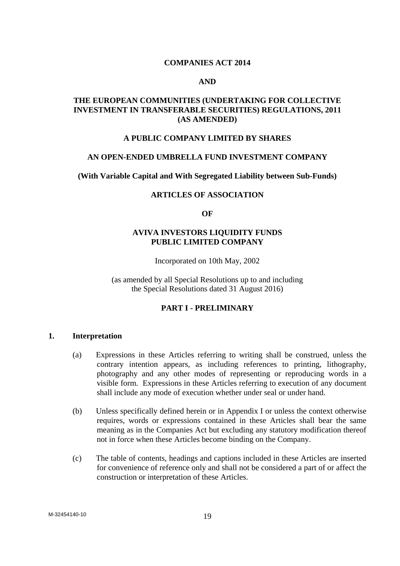### **COMPANIES ACT 2014**

#### **AND**

# **THE EUROPEAN COMMUNITIES (UNDERTAKING FOR COLLECTIVE INVESTMENT IN TRANSFERABLE SECURITIES) REGULATIONS, 2011 (AS AMENDED)**

### **A PUBLIC COMPANY LIMITED BY SHARES**

#### **AN OPEN-ENDED UMBRELLA FUND INVESTMENT COMPANY**

#### **(With Variable Capital and With Segregated Liability between Sub-Funds)**

### **ARTICLES OF ASSOCIATION**

#### **OF**

# **AVIVA INVESTORS LIQUIDITY FUNDS PUBLIC LIMITED COMPANY**

Incorporated on 10th May, 2002

(as amended by all Special Resolutions up to and including the Special Resolutions dated 31 August 2016)

#### **PART I - PRELIMINARY**

#### **1. Interpretation**

- (a) Expressions in these Articles referring to writing shall be construed, unless the contrary intention appears, as including references to printing, lithography, photography and any other modes of representing or reproducing words in a visible form. Expressions in these Articles referring to execution of any document shall include any mode of execution whether under seal or under hand.
- (b) Unless specifically defined herein or in Appendix I or unless the context otherwise requires, words or expressions contained in these Articles shall bear the same meaning as in the Companies Act but excluding any statutory modification thereof not in force when these Articles become binding on the Company.
- (c) The table of contents, headings and captions included in these Articles are inserted for convenience of reference only and shall not be considered a part of or affect the construction or interpretation of these Articles.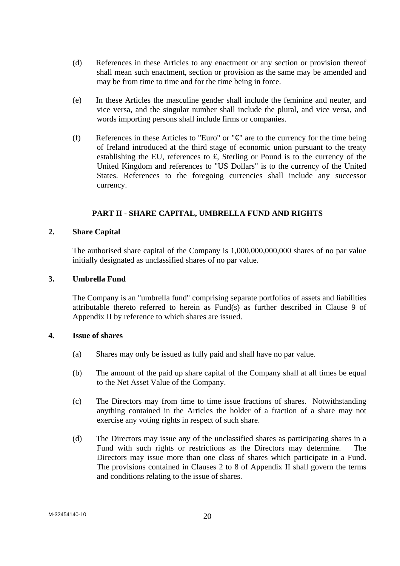- (d) References in these Articles to any enactment or any section or provision thereof shall mean such enactment, section or provision as the same may be amended and may be from time to time and for the time being in force.
- (e) In these Articles the masculine gender shall include the feminine and neuter, and vice versa, and the singular number shall include the plural, and vice versa, and words importing persons shall include firms or companies.
- (f) References in these Articles to "Euro" or " $\epsilon$ " are to the currency for the time being of Ireland introduced at the third stage of economic union pursuant to the treaty establishing the EU, references to £, Sterling or Pound is to the currency of the United Kingdom and references to "US Dollars" is to the currency of the United States. References to the foregoing currencies shall include any successor currency.

# **PART II - SHARE CAPITAL, UMBRELLA FUND AND RIGHTS**

# **2. Share Capital**

The authorised share capital of the Company is 1,000,000,000,000 shares of no par value initially designated as unclassified shares of no par value.

# **3. Umbrella Fund**

The Company is an "umbrella fund" comprising separate portfolios of assets and liabilities attributable thereto referred to herein as Fund(s) as further described in Clause 9 of Appendix II by reference to which shares are issued.

# **4. Issue of shares**

- (a) Shares may only be issued as fully paid and shall have no par value.
- (b) The amount of the paid up share capital of the Company shall at all times be equal to the Net Asset Value of the Company.
- (c) The Directors may from time to time issue fractions of shares. Notwithstanding anything contained in the Articles the holder of a fraction of a share may not exercise any voting rights in respect of such share.
- (d) The Directors may issue any of the unclassified shares as participating shares in a Fund with such rights or restrictions as the Directors may determine. The Directors may issue more than one class of shares which participate in a Fund. The provisions contained in Clauses 2 to 8 of Appendix II shall govern the terms and conditions relating to the issue of shares.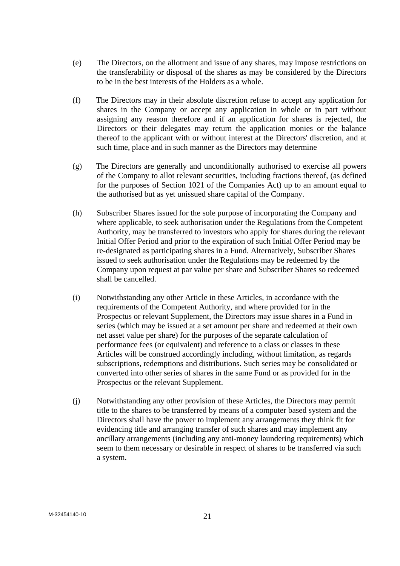- (e) The Directors, on the allotment and issue of any shares, may impose restrictions on the transferability or disposal of the shares as may be considered by the Directors to be in the best interests of the Holders as a whole.
- (f) The Directors may in their absolute discretion refuse to accept any application for shares in the Company or accept any application in whole or in part without assigning any reason therefore and if an application for shares is rejected, the Directors or their delegates may return the application monies or the balance thereof to the applicant with or without interest at the Directors' discretion, and at such time, place and in such manner as the Directors may determine
- (g) The Directors are generally and unconditionally authorised to exercise all powers of the Company to allot relevant securities, including fractions thereof, (as defined for the purposes of Section 1021 of the Companies Act) up to an amount equal to the authorised but as yet unissued share capital of the Company.
- (h) Subscriber Shares issued for the sole purpose of incorporating the Company and where applicable, to seek authorisation under the Regulations from the Competent Authority, may be transferred to investors who apply for shares during the relevant Initial Offer Period and prior to the expiration of such Initial Offer Period may be re-designated as participating shares in a Fund. Alternatively, Subscriber Shares issued to seek authorisation under the Regulations may be redeemed by the Company upon request at par value per share and Subscriber Shares so redeemed shall be cancelled.
- (i) Notwithstanding any other Article in these Articles, in accordance with the requirements of the Competent Authority, and where provided for in the Prospectus or relevant Supplement, the Directors may issue shares in a Fund in series (which may be issued at a set amount per share and redeemed at their own net asset value per share) for the purposes of the separate calculation of performance fees (or equivalent) and reference to a class or classes in these Articles will be construed accordingly including, without limitation, as regards subscriptions, redemptions and distributions. Such series may be consolidated or converted into other series of shares in the same Fund or as provided for in the Prospectus or the relevant Supplement.
- (j) Notwithstanding any other provision of these Articles, the Directors may permit title to the shares to be transferred by means of a computer based system and the Directors shall have the power to implement any arrangements they think fit for evidencing title and arranging transfer of such shares and may implement any ancillary arrangements (including any anti-money laundering requirements) which seem to them necessary or desirable in respect of shares to be transferred via such a system.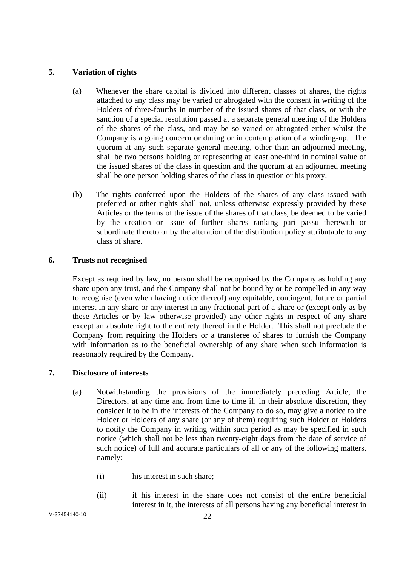# **5. Variation of rights**

- (a) Whenever the share capital is divided into different classes of shares, the rights attached to any class may be varied or abrogated with the consent in writing of the Holders of three-fourths in number of the issued shares of that class, or with the sanction of a special resolution passed at a separate general meeting of the Holders of the shares of the class, and may be so varied or abrogated either whilst the Company is a going concern or during or in contemplation of a winding-up. The quorum at any such separate general meeting, other than an adjourned meeting, shall be two persons holding or representing at least one-third in nominal value of the issued shares of the class in question and the quorum at an adjourned meeting shall be one person holding shares of the class in question or his proxy.
- (b) The rights conferred upon the Holders of the shares of any class issued with preferred or other rights shall not, unless otherwise expressly provided by these Articles or the terms of the issue of the shares of that class, be deemed to be varied by the creation or issue of further shares ranking pari passu therewith or subordinate thereto or by the alteration of the distribution policy attributable to any class of share.

# **6. Trusts not recognised**

 Except as required by law, no person shall be recognised by the Company as holding any share upon any trust, and the Company shall not be bound by or be compelled in any way to recognise (even when having notice thereof) any equitable, contingent, future or partial interest in any share or any interest in any fractional part of a share or (except only as by these Articles or by law otherwise provided) any other rights in respect of any share except an absolute right to the entirety thereof in the Holder. This shall not preclude the Company from requiring the Holders or a transferee of shares to furnish the Company with information as to the beneficial ownership of any share when such information is reasonably required by the Company.

# **7. Disclosure of interests**

- (a) Notwithstanding the provisions of the immediately preceding Article, the Directors, at any time and from time to time if, in their absolute discretion, they consider it to be in the interests of the Company to do so, may give a notice to the Holder or Holders of any share (or any of them) requiring such Holder or Holders to notify the Company in writing within such period as may be specified in such notice (which shall not be less than twenty-eight days from the date of service of such notice) of full and accurate particulars of all or any of the following matters, namely:-
	- (i) his interest in such share;
	- (ii) if his interest in the share does not consist of the entire beneficial interest in it, the interests of all persons having any beneficial interest in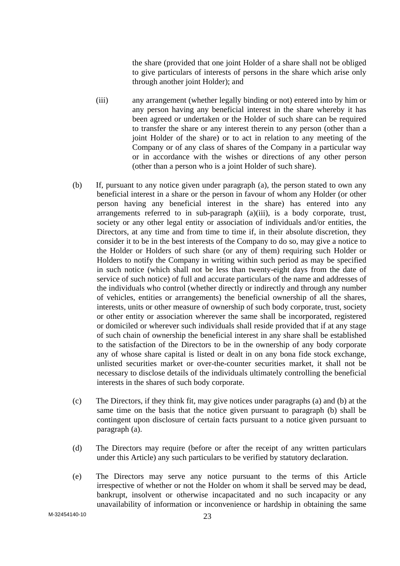the share (provided that one joint Holder of a share shall not be obliged to give particulars of interests of persons in the share which arise only through another joint Holder); and

- (iii) any arrangement (whether legally binding or not) entered into by him or any person having any beneficial interest in the share whereby it has been agreed or undertaken or the Holder of such share can be required to transfer the share or any interest therein to any person (other than a joint Holder of the share) or to act in relation to any meeting of the Company or of any class of shares of the Company in a particular way or in accordance with the wishes or directions of any other person (other than a person who is a joint Holder of such share).
- (b) If, pursuant to any notice given under paragraph (a), the person stated to own any beneficial interest in a share or the person in favour of whom any Holder (or other person having any beneficial interest in the share) has entered into any arrangements referred to in sub-paragraph (a)(iii), is a body corporate, trust, society or any other legal entity or association of individuals and/or entities, the Directors, at any time and from time to time if, in their absolute discretion, they consider it to be in the best interests of the Company to do so, may give a notice to the Holder or Holders of such share (or any of them) requiring such Holder or Holders to notify the Company in writing within such period as may be specified in such notice (which shall not be less than twenty-eight days from the date of service of such notice) of full and accurate particulars of the name and addresses of the individuals who control (whether directly or indirectly and through any number of vehicles, entities or arrangements) the beneficial ownership of all the shares, interests, units or other measure of ownership of such body corporate, trust, society or other entity or association wherever the same shall be incorporated, registered or domiciled or wherever such individuals shall reside provided that if at any stage of such chain of ownership the beneficial interest in any share shall be established to the satisfaction of the Directors to be in the ownership of any body corporate any of whose share capital is listed or dealt in on any bona fide stock exchange, unlisted securities market or over-the-counter securities market, it shall not be necessary to disclose details of the individuals ultimately controlling the beneficial interests in the shares of such body corporate.
- (c) The Directors, if they think fit, may give notices under paragraphs (a) and (b) at the same time on the basis that the notice given pursuant to paragraph (b) shall be contingent upon disclosure of certain facts pursuant to a notice given pursuant to paragraph (a).
- (d) The Directors may require (before or after the receipt of any written particulars under this Article) any such particulars to be verified by statutory declaration.
- (e) The Directors may serve any notice pursuant to the terms of this Article irrespective of whether or not the Holder on whom it shall be served may be dead, bankrupt, insolvent or otherwise incapacitated and no such incapacity or any unavailability of information or inconvenience or hardship in obtaining the same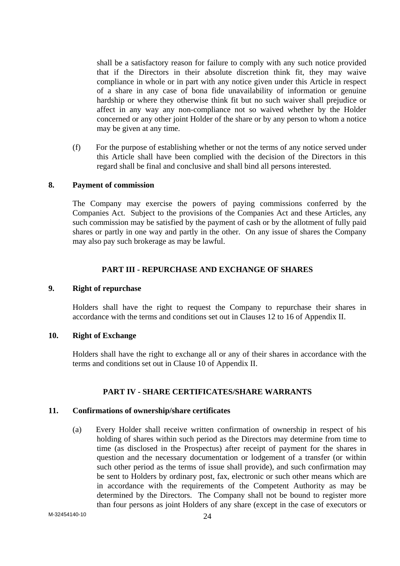shall be a satisfactory reason for failure to comply with any such notice provided that if the Directors in their absolute discretion think fit, they may waive compliance in whole or in part with any notice given under this Article in respect of a share in any case of bona fide unavailability of information or genuine hardship or where they otherwise think fit but no such waiver shall prejudice or affect in any way any non-compliance not so waived whether by the Holder concerned or any other joint Holder of the share or by any person to whom a notice may be given at any time.

(f) For the purpose of establishing whether or not the terms of any notice served under this Article shall have been complied with the decision of the Directors in this regard shall be final and conclusive and shall bind all persons interested.

#### **8. Payment of commission**

 The Company may exercise the powers of paying commissions conferred by the Companies Act. Subject to the provisions of the Companies Act and these Articles, any such commission may be satisfied by the payment of cash or by the allotment of fully paid shares or partly in one way and partly in the other. On any issue of shares the Company may also pay such brokerage as may be lawful.

### **PART III - REPURCHASE AND EXCHANGE OF SHARES**

#### **9. Right of repurchase**

Holders shall have the right to request the Company to repurchase their shares in accordance with the terms and conditions set out in Clauses 12 to 16 of Appendix II.

# **10. Right of Exchange**

Holders shall have the right to exchange all or any of their shares in accordance with the terms and conditions set out in Clause 10 of Appendix II.

# **PART IV - SHARE CERTIFICATES/SHARE WARRANTS**

### **11. Confirmations of ownership/share certificates**

(a) Every Holder shall receive written confirmation of ownership in respect of his holding of shares within such period as the Directors may determine from time to time (as disclosed in the Prospectus) after receipt of payment for the shares in question and the necessary documentation or lodgement of a transfer (or within such other period as the terms of issue shall provide), and such confirmation may be sent to Holders by ordinary post, fax, electronic or such other means which are in accordance with the requirements of the Competent Authority as may be determined by the Directors. The Company shall not be bound to register more than four persons as joint Holders of any share (except in the case of executors or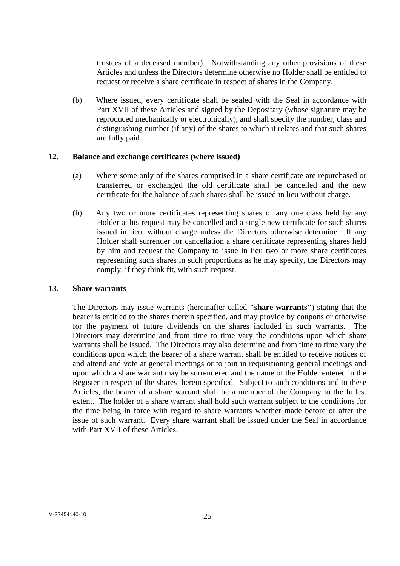trustees of a deceased member). Notwithstanding any other provisions of these Articles and unless the Directors determine otherwise no Holder shall be entitled to request or receive a share certificate in respect of shares in the Company.

(b) Where issued, every certificate shall be sealed with the Seal in accordance with Part XVII of these Articles and signed by the Depositary (whose signature may be reproduced mechanically or electronically), and shall specify the number, class and distinguishing number (if any) of the shares to which it relates and that such shares are fully paid.

### **12. Balance and exchange certificates (where issued)**

- (a) Where some only of the shares comprised in a share certificate are repurchased or transferred or exchanged the old certificate shall be cancelled and the new certificate for the balance of such shares shall be issued in lieu without charge.
- (b) Any two or more certificates representing shares of any one class held by any Holder at his request may be cancelled and a single new certificate for such shares issued in lieu, without charge unless the Directors otherwise determine. If any Holder shall surrender for cancellation a share certificate representing shares held by him and request the Company to issue in lieu two or more share certificates representing such shares in such proportions as he may specify, the Directors may comply, if they think fit, with such request.

#### **13. Share warrants**

 The Directors may issue warrants (hereinafter called **"share warrants"**) stating that the bearer is entitled to the shares therein specified, and may provide by coupons or otherwise for the payment of future dividends on the shares included in such warrants. The Directors may determine and from time to time vary the conditions upon which share warrants shall be issued. The Directors may also determine and from time to time vary the conditions upon which the bearer of a share warrant shall be entitled to receive notices of and attend and vote at general meetings or to join in requisitioning general meetings and upon which a share warrant may be surrendered and the name of the Holder entered in the Register in respect of the shares therein specified. Subject to such conditions and to these Articles, the bearer of a share warrant shall be a member of the Company to the fullest extent. The holder of a share warrant shall hold such warrant subject to the conditions for the time being in force with regard to share warrants whether made before or after the issue of such warrant. Every share warrant shall be issued under the Seal in accordance with Part XVII of these Articles.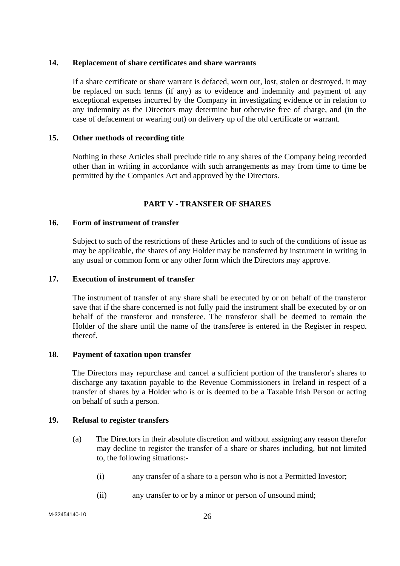### **14. Replacement of share certificates and share warrants**

 If a share certificate or share warrant is defaced, worn out, lost, stolen or destroyed, it may be replaced on such terms (if any) as to evidence and indemnity and payment of any exceptional expenses incurred by the Company in investigating evidence or in relation to any indemnity as the Directors may determine but otherwise free of charge, and (in the case of defacement or wearing out) on delivery up of the old certificate or warrant.

### **15. Other methods of recording title**

 Nothing in these Articles shall preclude title to any shares of the Company being recorded other than in writing in accordance with such arrangements as may from time to time be permitted by the Companies Act and approved by the Directors.

# **PART V - TRANSFER OF SHARES**

### **16. Form of instrument of transfer**

 Subject to such of the restrictions of these Articles and to such of the conditions of issue as may be applicable, the shares of any Holder may be transferred by instrument in writing in any usual or common form or any other form which the Directors may approve.

### **17. Execution of instrument of transfer**

 The instrument of transfer of any share shall be executed by or on behalf of the transferor save that if the share concerned is not fully paid the instrument shall be executed by or on behalf of the transferor and transferee. The transferor shall be deemed to remain the Holder of the share until the name of the transferee is entered in the Register in respect thereof.

#### **18. Payment of taxation upon transfer**

The Directors may repurchase and cancel a sufficient portion of the transferor's shares to discharge any taxation payable to the Revenue Commissioners in Ireland in respect of a transfer of shares by a Holder who is or is deemed to be a Taxable Irish Person or acting on behalf of such a person.

### **19. Refusal to register transfers**

- (a) The Directors in their absolute discretion and without assigning any reason therefor may decline to register the transfer of a share or shares including, but not limited to, the following situations:-
	- (i) any transfer of a share to a person who is not a Permitted Investor;
	- (ii) any transfer to or by a minor or person of unsound mind;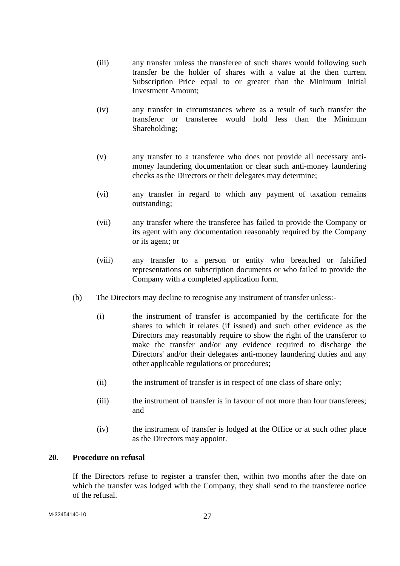- (iii) any transfer unless the transferee of such shares would following such transfer be the holder of shares with a value at the then current Subscription Price equal to or greater than the Minimum Initial Investment Amount;
- (iv) any transfer in circumstances where as a result of such transfer the transferor or transferee would hold less than the Minimum Shareholding;
- (v) any transfer to a transferee who does not provide all necessary antimoney laundering documentation or clear such anti-money laundering checks as the Directors or their delegates may determine;
- (vi) any transfer in regard to which any payment of taxation remains outstanding;
- (vii) any transfer where the transferee has failed to provide the Company or its agent with any documentation reasonably required by the Company or its agent; or
- (viii) any transfer to a person or entity who breached or falsified representations on subscription documents or who failed to provide the Company with a completed application form.
- (b) The Directors may decline to recognise any instrument of transfer unless:-
	- (i) the instrument of transfer is accompanied by the certificate for the shares to which it relates (if issued) and such other evidence as the Directors may reasonably require to show the right of the transferor to make the transfer and/or any evidence required to discharge the Directors' and/or their delegates anti-money laundering duties and any other applicable regulations or procedures;
	- (ii) the instrument of transfer is in respect of one class of share only;
	- (iii) the instrument of transfer is in favour of not more than four transferees; and
	- (iv) the instrument of transfer is lodged at the Office or at such other place as the Directors may appoint.

#### **20. Procedure on refusal**

 If the Directors refuse to register a transfer then, within two months after the date on which the transfer was lodged with the Company, they shall send to the transferee notice of the refusal.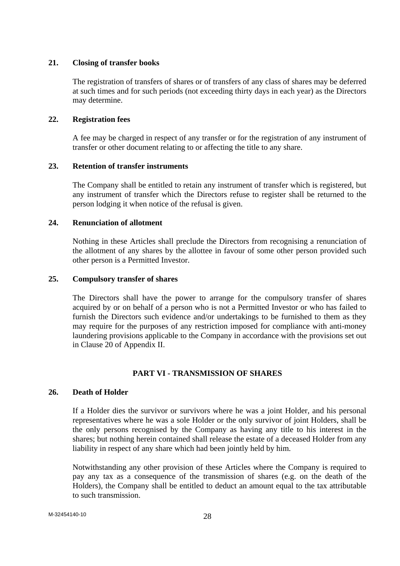### **21. Closing of transfer books**

 The registration of transfers of shares or of transfers of any class of shares may be deferred at such times and for such periods (not exceeding thirty days in each year) as the Directors may determine.

### **22. Registration fees**

A fee may be charged in respect of any transfer or for the registration of any instrument of transfer or other document relating to or affecting the title to any share.

### **23. Retention of transfer instruments**

 The Company shall be entitled to retain any instrument of transfer which is registered, but any instrument of transfer which the Directors refuse to register shall be returned to the person lodging it when notice of the refusal is given.

# **24. Renunciation of allotment**

 Nothing in these Articles shall preclude the Directors from recognising a renunciation of the allotment of any shares by the allottee in favour of some other person provided such other person is a Permitted Investor.

### **25. Compulsory transfer of shares**

 The Directors shall have the power to arrange for the compulsory transfer of shares acquired by or on behalf of a person who is not a Permitted Investor or who has failed to furnish the Directors such evidence and/or undertakings to be furnished to them as they may require for the purposes of any restriction imposed for compliance with anti-money laundering provisions applicable to the Company in accordance with the provisions set out in Clause 20 of Appendix II.

# **PART VI - TRANSMISSION OF SHARES**

# **26. Death of Holder**

 If a Holder dies the survivor or survivors where he was a joint Holder, and his personal representatives where he was a sole Holder or the only survivor of joint Holders, shall be the only persons recognised by the Company as having any title to his interest in the shares; but nothing herein contained shall release the estate of a deceased Holder from any liability in respect of any share which had been jointly held by him.

 Notwithstanding any other provision of these Articles where the Company is required to pay any tax as a consequence of the transmission of shares (e.g. on the death of the Holders), the Company shall be entitled to deduct an amount equal to the tax attributable to such transmission.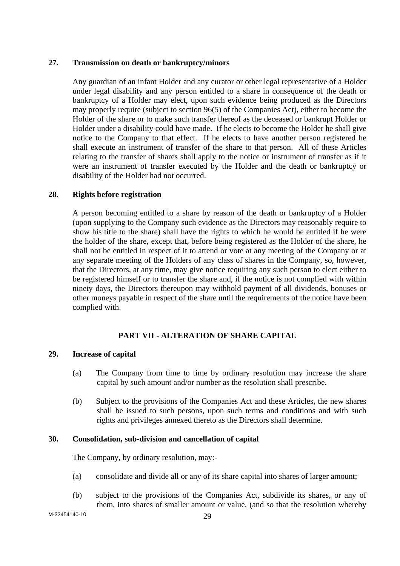### **27. Transmission on death or bankruptcy/minors**

 Any guardian of an infant Holder and any curator or other legal representative of a Holder under legal disability and any person entitled to a share in consequence of the death or bankruptcy of a Holder may elect, upon such evidence being produced as the Directors may properly require (subject to section 96(5) of the Companies Act), either to become the Holder of the share or to make such transfer thereof as the deceased or bankrupt Holder or Holder under a disability could have made. If he elects to become the Holder he shall give notice to the Company to that effect. If he elects to have another person registered he shall execute an instrument of transfer of the share to that person. All of these Articles relating to the transfer of shares shall apply to the notice or instrument of transfer as if it were an instrument of transfer executed by the Holder and the death or bankruptcy or disability of the Holder had not occurred.

### **28. Rights before registration**

 A person becoming entitled to a share by reason of the death or bankruptcy of a Holder (upon supplying to the Company such evidence as the Directors may reasonably require to show his title to the share) shall have the rights to which he would be entitled if he were the holder of the share, except that, before being registered as the Holder of the share, he shall not be entitled in respect of it to attend or vote at any meeting of the Company or at any separate meeting of the Holders of any class of shares in the Company, so, however, that the Directors, at any time, may give notice requiring any such person to elect either to be registered himself or to transfer the share and, if the notice is not complied with within ninety days, the Directors thereupon may withhold payment of all dividends, bonuses or other moneys payable in respect of the share until the requirements of the notice have been complied with.

# **PART VII - ALTERATION OF SHARE CAPITAL**

#### **29. Increase of capital**

- (a) The Company from time to time by ordinary resolution may increase the share capital by such amount and/or number as the resolution shall prescribe.
- (b) Subject to the provisions of the Companies Act and these Articles, the new shares shall be issued to such persons, upon such terms and conditions and with such rights and privileges annexed thereto as the Directors shall determine.

#### **30. Consolidation, sub-division and cancellation of capital**

The Company, by ordinary resolution, may:-

- (a) consolidate and divide all or any of its share capital into shares of larger amount;
- (b) subject to the provisions of the Companies Act, subdivide its shares, or any of them, into shares of smaller amount or value, (and so that the resolution whereby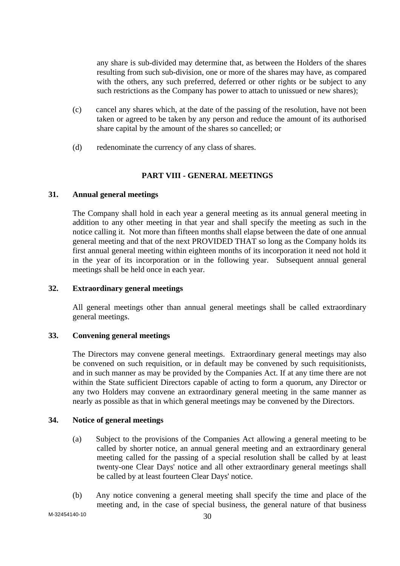any share is sub-divided may determine that, as between the Holders of the shares resulting from such sub-division, one or more of the shares may have, as compared with the others, any such preferred, deferred or other rights or be subject to any such restrictions as the Company has power to attach to unissued or new shares);

- (c) cancel any shares which, at the date of the passing of the resolution, have not been taken or agreed to be taken by any person and reduce the amount of its authorised share capital by the amount of the shares so cancelled; or
- (d) redenominate the currency of any class of shares.

# **PART VIII - GENERAL MEETINGS**

### **31. Annual general meetings**

 The Company shall hold in each year a general meeting as its annual general meeting in addition to any other meeting in that year and shall specify the meeting as such in the notice calling it. Not more than fifteen months shall elapse between the date of one annual general meeting and that of the next PROVIDED THAT so long as the Company holds its first annual general meeting within eighteen months of its incorporation it need not hold it in the year of its incorporation or in the following year. Subsequent annual general meetings shall be held once in each year.

#### **32. Extraordinary general meetings**

 All general meetings other than annual general meetings shall be called extraordinary general meetings.

# **33. Convening general meetings**

 The Directors may convene general meetings. Extraordinary general meetings may also be convened on such requisition, or in default may be convened by such requisitionists, and in such manner as may be provided by the Companies Act. If at any time there are not within the State sufficient Directors capable of acting to form a quorum, any Director or any two Holders may convene an extraordinary general meeting in the same manner as nearly as possible as that in which general meetings may be convened by the Directors.

# **34. Notice of general meetings**

- (a) Subject to the provisions of the Companies Act allowing a general meeting to be called by shorter notice, an annual general meeting and an extraordinary general meeting called for the passing of a special resolution shall be called by at least twenty-one Clear Days' notice and all other extraordinary general meetings shall be called by at least fourteen Clear Days' notice.
- (b) Any notice convening a general meeting shall specify the time and place of the meeting and, in the case of special business, the general nature of that business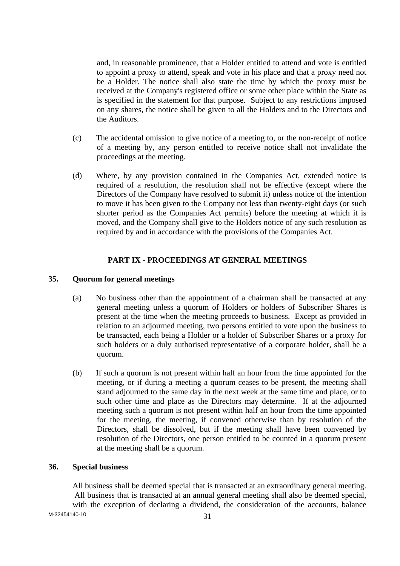and, in reasonable prominence, that a Holder entitled to attend and vote is entitled to appoint a proxy to attend, speak and vote in his place and that a proxy need not be a Holder. The notice shall also state the time by which the proxy must be received at the Company's registered office or some other place within the State as is specified in the statement for that purpose. Subject to any restrictions imposed on any shares, the notice shall be given to all the Holders and to the Directors and the Auditors.

- (c) The accidental omission to give notice of a meeting to, or the non-receipt of notice of a meeting by, any person entitled to receive notice shall not invalidate the proceedings at the meeting.
- (d) Where, by any provision contained in the Companies Act, extended notice is required of a resolution, the resolution shall not be effective (except where the Directors of the Company have resolved to submit it) unless notice of the intention to move it has been given to the Company not less than twenty-eight days (or such shorter period as the Companies Act permits) before the meeting at which it is moved, and the Company shall give to the Holders notice of any such resolution as required by and in accordance with the provisions of the Companies Act.

### **PART IX - PROCEEDINGS AT GENERAL MEETINGS**

### **35. Quorum for general meetings**

- (a) No business other than the appointment of a chairman shall be transacted at any general meeting unless a quorum of Holders or holders of Subscriber Shares is present at the time when the meeting proceeds to business. Except as provided in relation to an adjourned meeting, two persons entitled to vote upon the business to be transacted, each being a Holder or a holder of Subscriber Shares or a proxy for such holders or a duly authorised representative of a corporate holder, shall be a quorum.
- (b) If such a quorum is not present within half an hour from the time appointed for the meeting, or if during a meeting a quorum ceases to be present, the meeting shall stand adjourned to the same day in the next week at the same time and place, or to such other time and place as the Directors may determine. If at the adjourned meeting such a quorum is not present within half an hour from the time appointed for the meeting, the meeting, if convened otherwise than by resolution of the Directors, shall be dissolved, but if the meeting shall have been convened by resolution of the Directors, one person entitled to be counted in a quorum present at the meeting shall be a quorum.

# **36. Special business**

M-32454140-10 31 All business shall be deemed special that is transacted at an extraordinary general meeting. All business that is transacted at an annual general meeting shall also be deemed special, with the exception of declaring a dividend, the consideration of the accounts, balance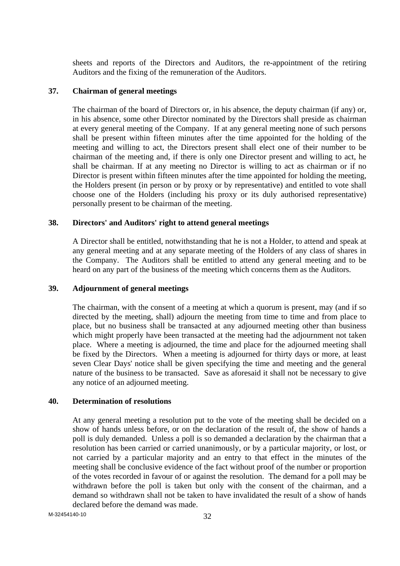sheets and reports of the Directors and Auditors, the re-appointment of the retiring Auditors and the fixing of the remuneration of the Auditors.

#### **37. Chairman of general meetings**

 The chairman of the board of Directors or, in his absence, the deputy chairman (if any) or, in his absence, some other Director nominated by the Directors shall preside as chairman at every general meeting of the Company. If at any general meeting none of such persons shall be present within fifteen minutes after the time appointed for the holding of the meeting and willing to act, the Directors present shall elect one of their number to be chairman of the meeting and, if there is only one Director present and willing to act, he shall be chairman. If at any meeting no Director is willing to act as chairman or if no Director is present within fifteen minutes after the time appointed for holding the meeting, the Holders present (in person or by proxy or by representative) and entitled to vote shall choose one of the Holders (including his proxy or its duly authorised representative) personally present to be chairman of the meeting.

#### **38. Directors' and Auditors' right to attend general meetings**

 A Director shall be entitled, notwithstanding that he is not a Holder, to attend and speak at any general meeting and at any separate meeting of the Holders of any class of shares in the Company. The Auditors shall be entitled to attend any general meeting and to be heard on any part of the business of the meeting which concerns them as the Auditors.

#### **39. Adjournment of general meetings**

 The chairman, with the consent of a meeting at which a quorum is present, may (and if so directed by the meeting, shall) adjourn the meeting from time to time and from place to place, but no business shall be transacted at any adjourned meeting other than business which might properly have been transacted at the meeting had the adjournment not taken place. Where a meeting is adjourned, the time and place for the adjourned meeting shall be fixed by the Directors. When a meeting is adjourned for thirty days or more, at least seven Clear Days' notice shall be given specifying the time and meeting and the general nature of the business to be transacted. Save as aforesaid it shall not be necessary to give any notice of an adjourned meeting.

#### **40. Determination of resolutions**

 At any general meeting a resolution put to the vote of the meeting shall be decided on a show of hands unless before, or on the declaration of the result of, the show of hands a poll is duly demanded. Unless a poll is so demanded a declaration by the chairman that a resolution has been carried or carried unanimously, or by a particular majority, or lost, or not carried by a particular majority and an entry to that effect in the minutes of the meeting shall be conclusive evidence of the fact without proof of the number or proportion of the votes recorded in favour of or against the resolution. The demand for a poll may be withdrawn before the poll is taken but only with the consent of the chairman, and a demand so withdrawn shall not be taken to have invalidated the result of a show of hands declared before the demand was made.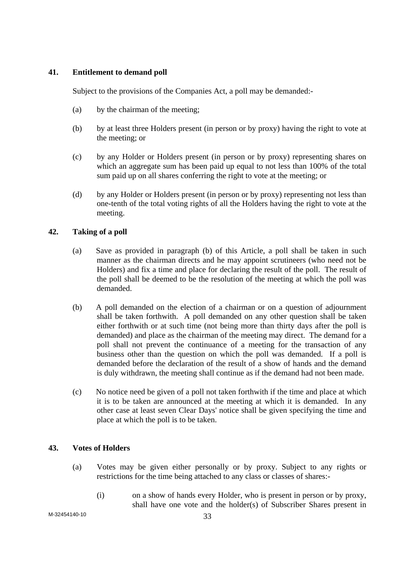# **41. Entitlement to demand poll**

Subject to the provisions of the Companies Act, a poll may be demanded:-

- (a) by the chairman of the meeting;
- (b) by at least three Holders present (in person or by proxy) having the right to vote at the meeting; or
- (c) by any Holder or Holders present (in person or by proxy) representing shares on which an aggregate sum has been paid up equal to not less than 100% of the total sum paid up on all shares conferring the right to vote at the meeting; or
- (d) by any Holder or Holders present (in person or by proxy) representing not less than one-tenth of the total voting rights of all the Holders having the right to vote at the meeting.

# **42. Taking of a poll**

- (a) Save as provided in paragraph (b) of this Article, a poll shall be taken in such manner as the chairman directs and he may appoint scrutineers (who need not be Holders) and fix a time and place for declaring the result of the poll. The result of the poll shall be deemed to be the resolution of the meeting at which the poll was demanded.
- (b) A poll demanded on the election of a chairman or on a question of adjournment shall be taken forthwith. A poll demanded on any other question shall be taken either forthwith or at such time (not being more than thirty days after the poll is demanded) and place as the chairman of the meeting may direct. The demand for a poll shall not prevent the continuance of a meeting for the transaction of any business other than the question on which the poll was demanded. If a poll is demanded before the declaration of the result of a show of hands and the demand is duly withdrawn, the meeting shall continue as if the demand had not been made.
- (c) No notice need be given of a poll not taken forthwith if the time and place at which it is to be taken are announced at the meeting at which it is demanded. In any other case at least seven Clear Days' notice shall be given specifying the time and place at which the poll is to be taken.

# **43. Votes of Holders**

- (a) Votes may be given either personally or by proxy. Subject to any rights or restrictions for the time being attached to any class or classes of shares:-
	- (i) on a show of hands every Holder, who is present in person or by proxy, shall have one vote and the holder(s) of Subscriber Shares present in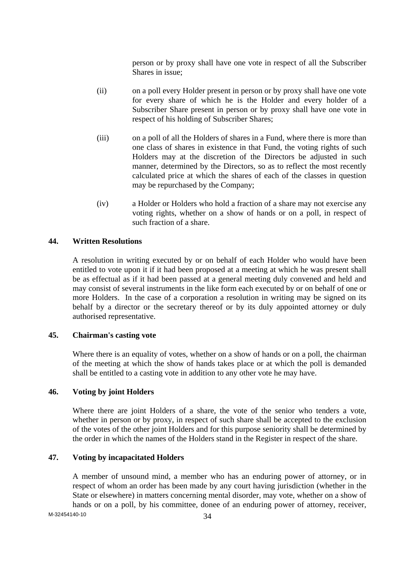person or by proxy shall have one vote in respect of all the Subscriber Shares in issue;

- (ii) on a poll every Holder present in person or by proxy shall have one vote for every share of which he is the Holder and every holder of a Subscriber Share present in person or by proxy shall have one vote in respect of his holding of Subscriber Shares;
- (iii) on a poll of all the Holders of shares in a Fund, where there is more than one class of shares in existence in that Fund, the voting rights of such Holders may at the discretion of the Directors be adjusted in such manner, determined by the Directors, so as to reflect the most recently calculated price at which the shares of each of the classes in question may be repurchased by the Company;
- (iv) a Holder or Holders who hold a fraction of a share may not exercise any voting rights, whether on a show of hands or on a poll, in respect of such fraction of a share.

### **44. Written Resolutions**

 A resolution in writing executed by or on behalf of each Holder who would have been entitled to vote upon it if it had been proposed at a meeting at which he was present shall be as effectual as if it had been passed at a general meeting duly convened and held and may consist of several instruments in the like form each executed by or on behalf of one or more Holders. In the case of a corporation a resolution in writing may be signed on its behalf by a director or the secretary thereof or by its duly appointed attorney or duly authorised representative.

# **45. Chairman's casting vote**

 Where there is an equality of votes, whether on a show of hands or on a poll, the chairman of the meeting at which the show of hands takes place or at which the poll is demanded shall be entitled to a casting vote in addition to any other vote he may have.

# **46. Voting by joint Holders**

 Where there are joint Holders of a share, the vote of the senior who tenders a vote, whether in person or by proxy, in respect of such share shall be accepted to the exclusion of the votes of the other joint Holders and for this purpose seniority shall be determined by the order in which the names of the Holders stand in the Register in respect of the share.

#### **47. Voting by incapacitated Holders**

 A member of unsound mind, a member who has an enduring power of attorney, or in respect of whom an order has been made by any court having jurisdiction (whether in the State or elsewhere) in matters concerning mental disorder, may vote, whether on a show of hands or on a poll, by his committee, donee of an enduring power of attorney, receiver,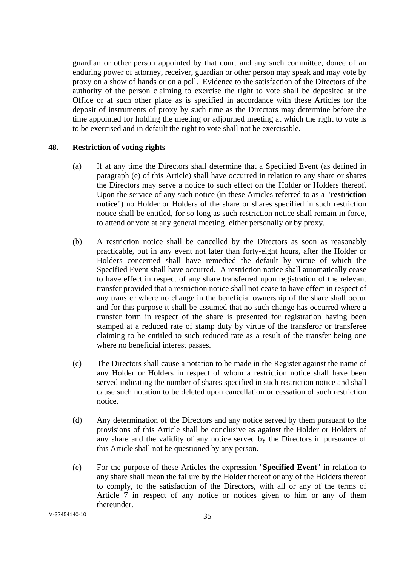guardian or other person appointed by that court and any such committee, donee of an enduring power of attorney, receiver, guardian or other person may speak and may vote by proxy on a show of hands or on a poll. Evidence to the satisfaction of the Directors of the authority of the person claiming to exercise the right to vote shall be deposited at the Office or at such other place as is specified in accordance with these Articles for the deposit of instruments of proxy by such time as the Directors may determine before the time appointed for holding the meeting or adjourned meeting at which the right to vote is to be exercised and in default the right to vote shall not be exercisable.

#### **48. Restriction of voting rights**

- (a) If at any time the Directors shall determine that a Specified Event (as defined in paragraph (e) of this Article) shall have occurred in relation to any share or shares the Directors may serve a notice to such effect on the Holder or Holders thereof. Upon the service of any such notice (in these Articles referred to as a "**restriction notice**") no Holder or Holders of the share or shares specified in such restriction notice shall be entitled, for so long as such restriction notice shall remain in force, to attend or vote at any general meeting, either personally or by proxy.
- (b) A restriction notice shall be cancelled by the Directors as soon as reasonably practicable, but in any event not later than forty-eight hours, after the Holder or Holders concerned shall have remedied the default by virtue of which the Specified Event shall have occurred. A restriction notice shall automatically cease to have effect in respect of any share transferred upon registration of the relevant transfer provided that a restriction notice shall not cease to have effect in respect of any transfer where no change in the beneficial ownership of the share shall occur and for this purpose it shall be assumed that no such change has occurred where a transfer form in respect of the share is presented for registration having been stamped at a reduced rate of stamp duty by virtue of the transferor or transferee claiming to be entitled to such reduced rate as a result of the transfer being one where no beneficial interest passes.
- (c) The Directors shall cause a notation to be made in the Register against the name of any Holder or Holders in respect of whom a restriction notice shall have been served indicating the number of shares specified in such restriction notice and shall cause such notation to be deleted upon cancellation or cessation of such restriction notice.
- (d) Any determination of the Directors and any notice served by them pursuant to the provisions of this Article shall be conclusive as against the Holder or Holders of any share and the validity of any notice served by the Directors in pursuance of this Article shall not be questioned by any person.
- (e) For the purpose of these Articles the expression "**Specified Event**" in relation to any share shall mean the failure by the Holder thereof or any of the Holders thereof to comply, to the satisfaction of the Directors, with all or any of the terms of Article 7 in respect of any notice or notices given to him or any of them thereunder.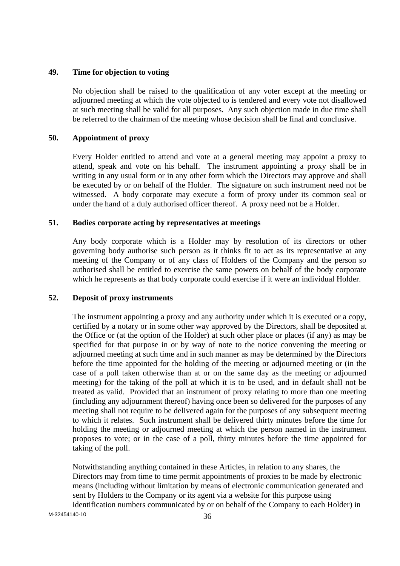### **49. Time for objection to voting**

 No objection shall be raised to the qualification of any voter except at the meeting or adjourned meeting at which the vote objected to is tendered and every vote not disallowed at such meeting shall be valid for all purposes. Any such objection made in due time shall be referred to the chairman of the meeting whose decision shall be final and conclusive.

### **50. Appointment of proxy**

 Every Holder entitled to attend and vote at a general meeting may appoint a proxy to attend, speak and vote on his behalf. The instrument appointing a proxy shall be in writing in any usual form or in any other form which the Directors may approve and shall be executed by or on behalf of the Holder. The signature on such instrument need not be witnessed. A body corporate may execute a form of proxy under its common seal or under the hand of a duly authorised officer thereof. A proxy need not be a Holder.

### **51. Bodies corporate acting by representatives at meetings**

 Any body corporate which is a Holder may by resolution of its directors or other governing body authorise such person as it thinks fit to act as its representative at any meeting of the Company or of any class of Holders of the Company and the person so authorised shall be entitled to exercise the same powers on behalf of the body corporate which he represents as that body corporate could exercise if it were an individual Holder.

# **52. Deposit of proxy instruments**

 The instrument appointing a proxy and any authority under which it is executed or a copy, certified by a notary or in some other way approved by the Directors, shall be deposited at the Office or (at the option of the Holder) at such other place or places (if any) as may be specified for that purpose in or by way of note to the notice convening the meeting or adjourned meeting at such time and in such manner as may be determined by the Directors before the time appointed for the holding of the meeting or adjourned meeting or (in the case of a poll taken otherwise than at or on the same day as the meeting or adjourned meeting) for the taking of the poll at which it is to be used, and in default shall not be treated as valid. Provided that an instrument of proxy relating to more than one meeting (including any adjournment thereof) having once been so delivered for the purposes of any meeting shall not require to be delivered again for the purposes of any subsequent meeting to which it relates. Such instrument shall be delivered thirty minutes before the time for holding the meeting or adjourned meeting at which the person named in the instrument proposes to vote; or in the case of a poll, thirty minutes before the time appointed for taking of the poll.

Notwithstanding anything contained in these Articles, in relation to any shares, the Directors may from time to time permit appointments of proxies to be made by electronic means (including without limitation by means of electronic communication generated and sent by Holders to the Company or its agent via a website for this purpose using identification numbers communicated by or on behalf of the Company to each Holder) in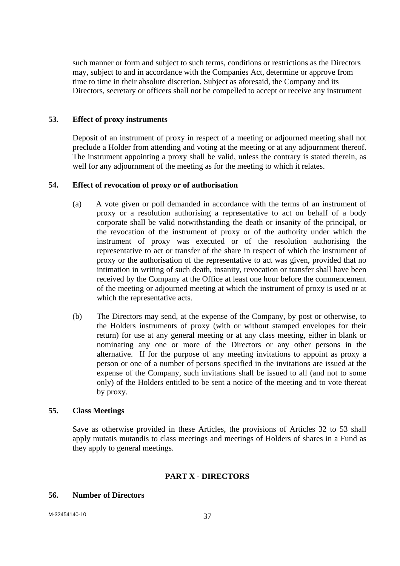such manner or form and subject to such terms, conditions or restrictions as the Directors may, subject to and in accordance with the Companies Act, determine or approve from time to time in their absolute discretion. Subject as aforesaid, the Company and its Directors, secretary or officers shall not be compelled to accept or receive any instrument

### **53. Effect of proxy instruments**

 Deposit of an instrument of proxy in respect of a meeting or adjourned meeting shall not preclude a Holder from attending and voting at the meeting or at any adjournment thereof. The instrument appointing a proxy shall be valid, unless the contrary is stated therein, as well for any adjournment of the meeting as for the meeting to which it relates.

#### **54. Effect of revocation of proxy or of authorisation**

- (a) A vote given or poll demanded in accordance with the terms of an instrument of proxy or a resolution authorising a representative to act on behalf of a body corporate shall be valid notwithstanding the death or insanity of the principal, or the revocation of the instrument of proxy or of the authority under which the instrument of proxy was executed or of the resolution authorising the representative to act or transfer of the share in respect of which the instrument of proxy or the authorisation of the representative to act was given, provided that no intimation in writing of such death, insanity, revocation or transfer shall have been received by the Company at the Office at least one hour before the commencement of the meeting or adjourned meeting at which the instrument of proxy is used or at which the representative acts.
- (b) The Directors may send, at the expense of the Company, by post or otherwise, to the Holders instruments of proxy (with or without stamped envelopes for their return) for use at any general meeting or at any class meeting, either in blank or nominating any one or more of the Directors or any other persons in the alternative. If for the purpose of any meeting invitations to appoint as proxy a person or one of a number of persons specified in the invitations are issued at the expense of the Company, such invitations shall be issued to all (and not to some only) of the Holders entitled to be sent a notice of the meeting and to vote thereat by proxy.

## **55. Class Meetings**

 Save as otherwise provided in these Articles, the provisions of Articles 32 to 53 shall apply mutatis mutandis to class meetings and meetings of Holders of shares in a Fund as they apply to general meetings.

#### **PART X - DIRECTORS**

#### **56. Number of Directors**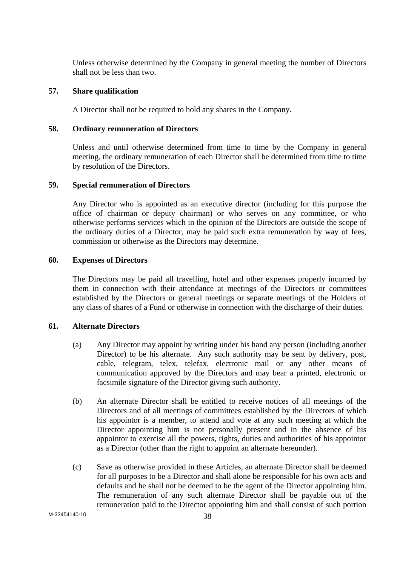Unless otherwise determined by the Company in general meeting the number of Directors shall not be less than two.

#### **57. Share qualification**

A Director shall not be required to hold any shares in the Company.

### **58. Ordinary remuneration of Directors**

 Unless and until otherwise determined from time to time by the Company in general meeting, the ordinary remuneration of each Director shall be determined from time to time by resolution of the Directors.

#### **59. Special remuneration of Directors**

 Any Director who is appointed as an executive director (including for this purpose the office of chairman or deputy chairman) or who serves on any committee, or who otherwise performs services which in the opinion of the Directors are outside the scope of the ordinary duties of a Director, may be paid such extra remuneration by way of fees, commission or otherwise as the Directors may determine.

#### **60. Expenses of Directors**

 The Directors may be paid all travelling, hotel and other expenses properly incurred by them in connection with their attendance at meetings of the Directors or committees established by the Directors or general meetings or separate meetings of the Holders of any class of shares of a Fund or otherwise in connection with the discharge of their duties.

## **61. Alternate Directors**

- (a) Any Director may appoint by writing under his hand any person (including another Director) to be his alternate. Any such authority may be sent by delivery, post, cable, telegram, telex, telefax, electronic mail or any other means of communication approved by the Directors and may bear a printed, electronic or facsimile signature of the Director giving such authority.
- (b) An alternate Director shall be entitled to receive notices of all meetings of the Directors and of all meetings of committees established by the Directors of which his appointor is a member, to attend and vote at any such meeting at which the Director appointing him is not personally present and in the absence of his appointor to exercise all the powers, rights, duties and authorities of his appointor as a Director (other than the right to appoint an alternate hereunder).
- (c) Save as otherwise provided in these Articles, an alternate Director shall be deemed for all purposes to be a Director and shall alone be responsible for his own acts and defaults and he shall not be deemed to be the agent of the Director appointing him. The remuneration of any such alternate Director shall be payable out of the remuneration paid to the Director appointing him and shall consist of such portion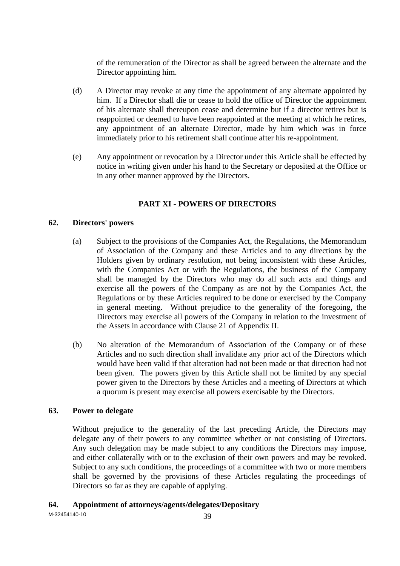of the remuneration of the Director as shall be agreed between the alternate and the Director appointing him.

- (d) A Director may revoke at any time the appointment of any alternate appointed by him. If a Director shall die or cease to hold the office of Director the appointment of his alternate shall thereupon cease and determine but if a director retires but is reappointed or deemed to have been reappointed at the meeting at which he retires, any appointment of an alternate Director, made by him which was in force immediately prior to his retirement shall continue after his re-appointment.
- (e) Any appointment or revocation by a Director under this Article shall be effected by notice in writing given under his hand to the Secretary or deposited at the Office or in any other manner approved by the Directors.

# **PART XI - POWERS OF DIRECTORS**

## **62. Directors' powers**

- (a) Subject to the provisions of the Companies Act, the Regulations, the Memorandum of Association of the Company and these Articles and to any directions by the Holders given by ordinary resolution, not being inconsistent with these Articles, with the Companies Act or with the Regulations, the business of the Company shall be managed by the Directors who may do all such acts and things and exercise all the powers of the Company as are not by the Companies Act, the Regulations or by these Articles required to be done or exercised by the Company in general meeting. Without prejudice to the generality of the foregoing, the Directors may exercise all powers of the Company in relation to the investment of the Assets in accordance with Clause 21 of Appendix II.
- (b) No alteration of the Memorandum of Association of the Company or of these Articles and no such direction shall invalidate any prior act of the Directors which would have been valid if that alteration had not been made or that direction had not been given. The powers given by this Article shall not be limited by any special power given to the Directors by these Articles and a meeting of Directors at which a quorum is present may exercise all powers exercisable by the Directors.

# **63. Power to delegate**

 Without prejudice to the generality of the last preceding Article, the Directors may delegate any of their powers to any committee whether or not consisting of Directors. Any such delegation may be made subject to any conditions the Directors may impose, and either collaterally with or to the exclusion of their own powers and may be revoked. Subject to any such conditions, the proceedings of a committee with two or more members shall be governed by the provisions of these Articles regulating the proceedings of Directors so far as they are capable of applying.

## **64. Appointment of attorneys/agents/delegates/Depositary**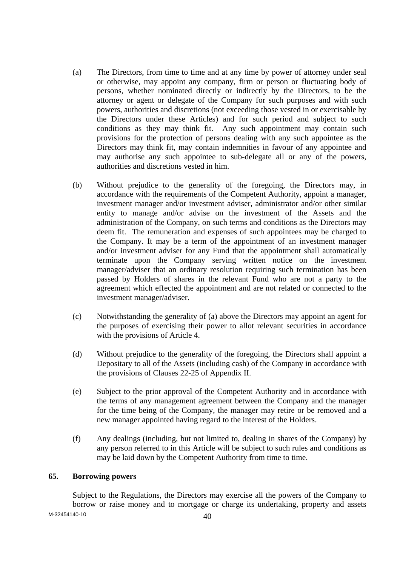- (a) The Directors, from time to time and at any time by power of attorney under seal or otherwise, may appoint any company, firm or person or fluctuating body of persons, whether nominated directly or indirectly by the Directors, to be the attorney or agent or delegate of the Company for such purposes and with such powers, authorities and discretions (not exceeding those vested in or exercisable by the Directors under these Articles) and for such period and subject to such conditions as they may think fit. Any such appointment may contain such provisions for the protection of persons dealing with any such appointee as the Directors may think fit, may contain indemnities in favour of any appointee and may authorise any such appointee to sub-delegate all or any of the powers, authorities and discretions vested in him.
- (b) Without prejudice to the generality of the foregoing, the Directors may, in accordance with the requirements of the Competent Authority, appoint a manager, investment manager and/or investment adviser, administrator and/or other similar entity to manage and/or advise on the investment of the Assets and the administration of the Company, on such terms and conditions as the Directors may deem fit. The remuneration and expenses of such appointees may be charged to the Company. It may be a term of the appointment of an investment manager and/or investment adviser for any Fund that the appointment shall automatically terminate upon the Company serving written notice on the investment manager/adviser that an ordinary resolution requiring such termination has been passed by Holders of shares in the relevant Fund who are not a party to the agreement which effected the appointment and are not related or connected to the investment manager/adviser.
- (c) Notwithstanding the generality of (a) above the Directors may appoint an agent for the purposes of exercising their power to allot relevant securities in accordance with the provisions of Article 4.
- (d) Without prejudice to the generality of the foregoing, the Directors shall appoint a Depositary to all of the Assets (including cash) of the Company in accordance with the provisions of Clauses 22-25 of Appendix II.
- (e) Subject to the prior approval of the Competent Authority and in accordance with the terms of any management agreement between the Company and the manager for the time being of the Company, the manager may retire or be removed and a new manager appointed having regard to the interest of the Holders.
- (f) Any dealings (including, but not limited to, dealing in shares of the Company) by any person referred to in this Article will be subject to such rules and conditions as may be laid down by the Competent Authority from time to time.

#### **65. Borrowing powers**

 $M-32454140-10$   $40$  Subject to the Regulations, the Directors may exercise all the powers of the Company to borrow or raise money and to mortgage or charge its undertaking, property and assets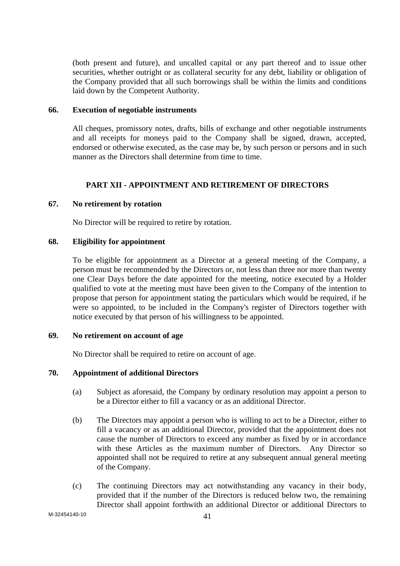(both present and future), and uncalled capital or any part thereof and to issue other securities, whether outright or as collateral security for any debt, liability or obligation of the Company provided that all such borrowings shall be within the limits and conditions laid down by the Competent Authority.

#### **66. Execution of negotiable instruments**

 All cheques, promissory notes, drafts, bills of exchange and other negotiable instruments and all receipts for moneys paid to the Company shall be signed, drawn, accepted, endorsed or otherwise executed, as the case may be, by such person or persons and in such manner as the Directors shall determine from time to time.

### **PART XII - APPOINTMENT AND RETIREMENT OF DIRECTORS**

#### **67. No retirement by rotation**

No Director will be required to retire by rotation.

### **68. Eligibility for appointment**

 To be eligible for appointment as a Director at a general meeting of the Company, a person must be recommended by the Directors or, not less than three nor more than twenty one Clear Days before the date appointed for the meeting, notice executed by a Holder qualified to vote at the meeting must have been given to the Company of the intention to propose that person for appointment stating the particulars which would be required, if he were so appointed, to be included in the Company's register of Directors together with notice executed by that person of his willingness to be appointed.

## **69. No retirement on account of age**

No Director shall be required to retire on account of age.

### **70. Appointment of additional Directors**

- (a) Subject as aforesaid, the Company by ordinary resolution may appoint a person to be a Director either to fill a vacancy or as an additional Director.
- (b) The Directors may appoint a person who is willing to act to be a Director, either to fill a vacancy or as an additional Director, provided that the appointment does not cause the number of Directors to exceed any number as fixed by or in accordance with these Articles as the maximum number of Directors. Any Director so appointed shall not be required to retire at any subsequent annual general meeting of the Company.
- (c) The continuing Directors may act notwithstanding any vacancy in their body, provided that if the number of the Directors is reduced below two, the remaining Director shall appoint forthwith an additional Director or additional Directors to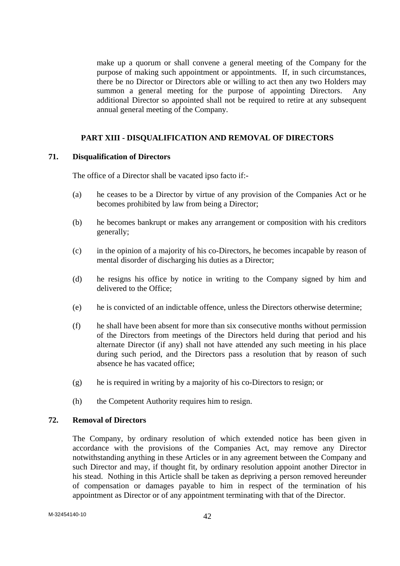make up a quorum or shall convene a general meeting of the Company for the purpose of making such appointment or appointments. If, in such circumstances, there be no Director or Directors able or willing to act then any two Holders may summon a general meeting for the purpose of appointing Directors. Any additional Director so appointed shall not be required to retire at any subsequent annual general meeting of the Company.

# **PART XIII - DISQUALIFICATION AND REMOVAL OF DIRECTORS**

### **71. Disqualification of Directors**

The office of a Director shall be vacated ipso facto if:-

- (a) he ceases to be a Director by virtue of any provision of the Companies Act or he becomes prohibited by law from being a Director;
- (b) he becomes bankrupt or makes any arrangement or composition with his creditors generally;
- (c) in the opinion of a majority of his co-Directors, he becomes incapable by reason of mental disorder of discharging his duties as a Director;
- (d) he resigns his office by notice in writing to the Company signed by him and delivered to the Office;
- (e) he is convicted of an indictable offence, unless the Directors otherwise determine;
- (f) he shall have been absent for more than six consecutive months without permission of the Directors from meetings of the Directors held during that period and his alternate Director (if any) shall not have attended any such meeting in his place during such period, and the Directors pass a resolution that by reason of such absence he has vacated office;
- (g) he is required in writing by a majority of his co-Directors to resign; or
- (h) the Competent Authority requires him to resign.

#### **72. Removal of Directors**

 The Company, by ordinary resolution of which extended notice has been given in accordance with the provisions of the Companies Act, may remove any Director notwithstanding anything in these Articles or in any agreement between the Company and such Director and may, if thought fit, by ordinary resolution appoint another Director in his stead. Nothing in this Article shall be taken as depriving a person removed hereunder of compensation or damages payable to him in respect of the termination of his appointment as Director or of any appointment terminating with that of the Director.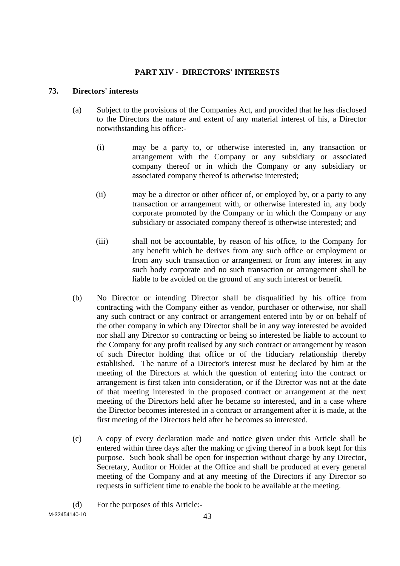# **PART XIV - DIRECTORS' INTERESTS**

### **73. Directors' interests**

- (a) Subject to the provisions of the Companies Act, and provided that he has disclosed to the Directors the nature and extent of any material interest of his, a Director notwithstanding his office:-
	- (i) may be a party to, or otherwise interested in, any transaction or arrangement with the Company or any subsidiary or associated company thereof or in which the Company or any subsidiary or associated company thereof is otherwise interested;
	- (ii) may be a director or other officer of, or employed by, or a party to any transaction or arrangement with, or otherwise interested in, any body corporate promoted by the Company or in which the Company or any subsidiary or associated company thereof is otherwise interested; and
	- (iii) shall not be accountable, by reason of his office, to the Company for any benefit which he derives from any such office or employment or from any such transaction or arrangement or from any interest in any such body corporate and no such transaction or arrangement shall be liable to be avoided on the ground of any such interest or benefit.
- (b) No Director or intending Director shall be disqualified by his office from contracting with the Company either as vendor, purchaser or otherwise, nor shall any such contract or any contract or arrangement entered into by or on behalf of the other company in which any Director shall be in any way interested be avoided nor shall any Director so contracting or being so interested be liable to account to the Company for any profit realised by any such contract or arrangement by reason of such Director holding that office or of the fiduciary relationship thereby established. The nature of a Director's interest must be declared by him at the meeting of the Directors at which the question of entering into the contract or arrangement is first taken into consideration, or if the Director was not at the date of that meeting interested in the proposed contract or arrangement at the next meeting of the Directors held after he became so interested, and in a case where the Director becomes interested in a contract or arrangement after it is made, at the first meeting of the Directors held after he becomes so interested.
- (c) A copy of every declaration made and notice given under this Article shall be entered within three days after the making or giving thereof in a book kept for this purpose. Such book shall be open for inspection without charge by any Director, Secretary, Auditor or Holder at the Office and shall be produced at every general meeting of the Company and at any meeting of the Directors if any Director so requests in sufficient time to enable the book to be available at the meeting.

 $M-32454140-10$   $43$ (d) For the purposes of this Article:-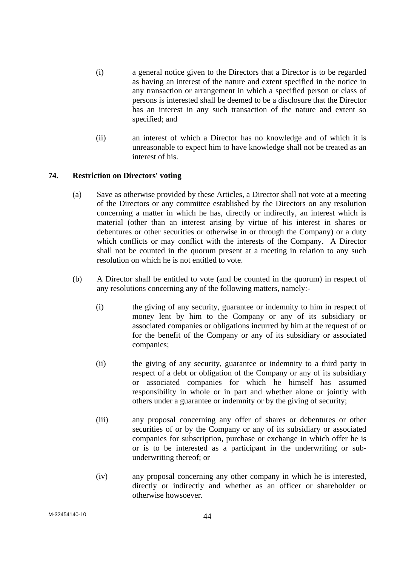- (i) a general notice given to the Directors that a Director is to be regarded as having an interest of the nature and extent specified in the notice in any transaction or arrangement in which a specified person or class of persons is interested shall be deemed to be a disclosure that the Director has an interest in any such transaction of the nature and extent so specified; and
- (ii) an interest of which a Director has no knowledge and of which it is unreasonable to expect him to have knowledge shall not be treated as an interest of his.

## **74. Restriction on Directors' voting**

- (a) Save as otherwise provided by these Articles, a Director shall not vote at a meeting of the Directors or any committee established by the Directors on any resolution concerning a matter in which he has, directly or indirectly, an interest which is material (other than an interest arising by virtue of his interest in shares or debentures or other securities or otherwise in or through the Company) or a duty which conflicts or may conflict with the interests of the Company. A Director shall not be counted in the quorum present at a meeting in relation to any such resolution on which he is not entitled to vote.
- (b) A Director shall be entitled to vote (and be counted in the quorum) in respect of any resolutions concerning any of the following matters, namely:-
	- (i) the giving of any security, guarantee or indemnity to him in respect of money lent by him to the Company or any of its subsidiary or associated companies or obligations incurred by him at the request of or for the benefit of the Company or any of its subsidiary or associated companies;
	- (ii) the giving of any security, guarantee or indemnity to a third party in respect of a debt or obligation of the Company or any of its subsidiary or associated companies for which he himself has assumed responsibility in whole or in part and whether alone or jointly with others under a guarantee or indemnity or by the giving of security;
	- (iii) any proposal concerning any offer of shares or debentures or other securities of or by the Company or any of its subsidiary or associated companies for subscription, purchase or exchange in which offer he is or is to be interested as a participant in the underwriting or subunderwriting thereof; or
	- (iv) any proposal concerning any other company in which he is interested, directly or indirectly and whether as an officer or shareholder or otherwise howsoever.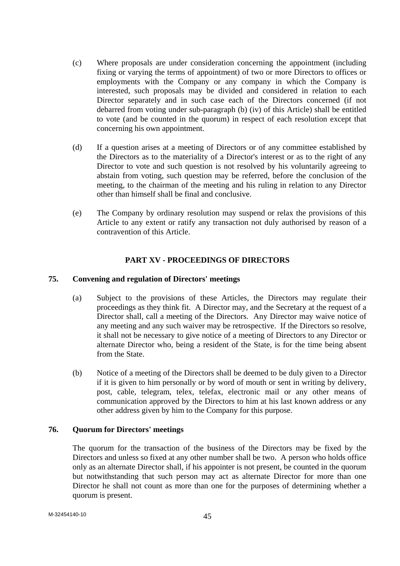- (c) Where proposals are under consideration concerning the appointment (including fixing or varying the terms of appointment) of two or more Directors to offices or employments with the Company or any company in which the Company is interested, such proposals may be divided and considered in relation to each Director separately and in such case each of the Directors concerned (if not debarred from voting under sub-paragraph (b) (iv) of this Article) shall be entitled to vote (and be counted in the quorum) in respect of each resolution except that concerning his own appointment.
- (d) If a question arises at a meeting of Directors or of any committee established by the Directors as to the materiality of a Director's interest or as to the right of any Director to vote and such question is not resolved by his voluntarily agreeing to abstain from voting, such question may be referred, before the conclusion of the meeting, to the chairman of the meeting and his ruling in relation to any Director other than himself shall be final and conclusive.
- (e) The Company by ordinary resolution may suspend or relax the provisions of this Article to any extent or ratify any transaction not duly authorised by reason of a contravention of this Article.

### **PART XV - PROCEEDINGS OF DIRECTORS**

### **75. Convening and regulation of Directors' meetings**

- (a) Subject to the provisions of these Articles, the Directors may regulate their proceedings as they think fit. A Director may, and the Secretary at the request of a Director shall, call a meeting of the Directors. Any Director may waive notice of any meeting and any such waiver may be retrospective. If the Directors so resolve, it shall not be necessary to give notice of a meeting of Directors to any Director or alternate Director who, being a resident of the State, is for the time being absent from the State.
- (b) Notice of a meeting of the Directors shall be deemed to be duly given to a Director if it is given to him personally or by word of mouth or sent in writing by delivery, post, cable, telegram, telex, telefax, electronic mail or any other means of communication approved by the Directors to him at his last known address or any other address given by him to the Company for this purpose.

#### **76. Quorum for Directors' meetings**

 The quorum for the transaction of the business of the Directors may be fixed by the Directors and unless so fixed at any other number shall be two. A person who holds office only as an alternate Director shall, if his appointer is not present, be counted in the quorum but notwithstanding that such person may act as alternate Director for more than one Director he shall not count as more than one for the purposes of determining whether a quorum is present.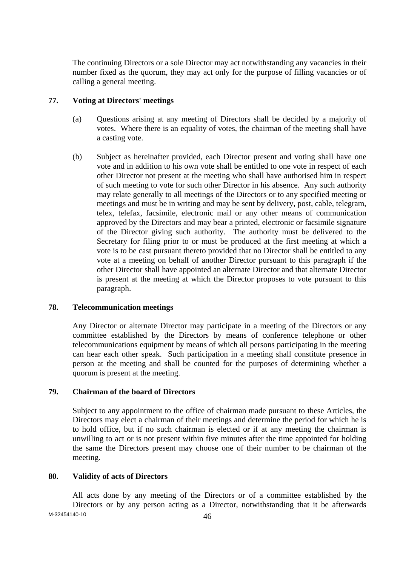The continuing Directors or a sole Director may act notwithstanding any vacancies in their number fixed as the quorum, they may act only for the purpose of filling vacancies or of calling a general meeting.

### **77. Voting at Directors' meetings**

- (a) Questions arising at any meeting of Directors shall be decided by a majority of votes. Where there is an equality of votes, the chairman of the meeting shall have a casting vote.
- (b) Subject as hereinafter provided, each Director present and voting shall have one vote and in addition to his own vote shall be entitled to one vote in respect of each other Director not present at the meeting who shall have authorised him in respect of such meeting to vote for such other Director in his absence. Any such authority may relate generally to all meetings of the Directors or to any specified meeting or meetings and must be in writing and may be sent by delivery, post, cable, telegram, telex, telefax, facsimile, electronic mail or any other means of communication approved by the Directors and may bear a printed, electronic or facsimile signature of the Director giving such authority. The authority must be delivered to the Secretary for filing prior to or must be produced at the first meeting at which a vote is to be cast pursuant thereto provided that no Director shall be entitled to any vote at a meeting on behalf of another Director pursuant to this paragraph if the other Director shall have appointed an alternate Director and that alternate Director is present at the meeting at which the Director proposes to vote pursuant to this paragraph.

# **78. Telecommunication meetings**

 Any Director or alternate Director may participate in a meeting of the Directors or any committee established by the Directors by means of conference telephone or other telecommunications equipment by means of which all persons participating in the meeting can hear each other speak. Such participation in a meeting shall constitute presence in person at the meeting and shall be counted for the purposes of determining whether a quorum is present at the meeting.

### **79. Chairman of the board of Directors**

 Subject to any appointment to the office of chairman made pursuant to these Articles, the Directors may elect a chairman of their meetings and determine the period for which he is to hold office, but if no such chairman is elected or if at any meeting the chairman is unwilling to act or is not present within five minutes after the time appointed for holding the same the Directors present may choose one of their number to be chairman of the meeting.

#### **80. Validity of acts of Directors**

M-32454140-10 46 All acts done by any meeting of the Directors or of a committee established by the Directors or by any person acting as a Director, notwithstanding that it be afterwards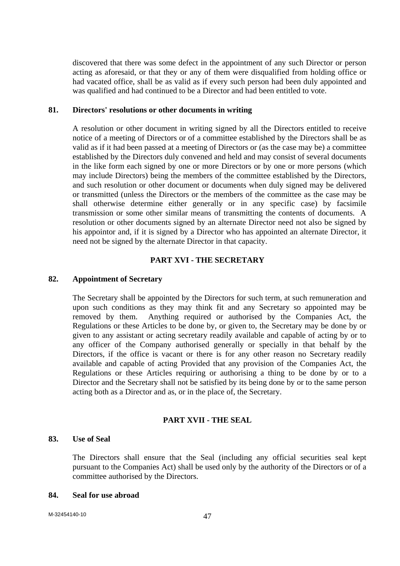discovered that there was some defect in the appointment of any such Director or person acting as aforesaid, or that they or any of them were disqualified from holding office or had vacated office, shall be as valid as if every such person had been duly appointed and was qualified and had continued to be a Director and had been entitled to vote.

#### **81. Directors' resolutions or other documents in writing**

 A resolution or other document in writing signed by all the Directors entitled to receive notice of a meeting of Directors or of a committee established by the Directors shall be as valid as if it had been passed at a meeting of Directors or (as the case may be) a committee established by the Directors duly convened and held and may consist of several documents in the like form each signed by one or more Directors or by one or more persons (which may include Directors) being the members of the committee established by the Directors, and such resolution or other document or documents when duly signed may be delivered or transmitted (unless the Directors or the members of the committee as the case may be shall otherwise determine either generally or in any specific case) by facsimile transmission or some other similar means of transmitting the contents of documents. A resolution or other documents signed by an alternate Director need not also be signed by his appointor and, if it is signed by a Director who has appointed an alternate Director, it need not be signed by the alternate Director in that capacity.

#### **PART XVI - THE SECRETARY**

#### **82. Appointment of Secretary**

 The Secretary shall be appointed by the Directors for such term, at such remuneration and upon such conditions as they may think fit and any Secretary so appointed may be removed by them. Anything required or authorised by the Companies Act, the Regulations or these Articles to be done by, or given to, the Secretary may be done by or given to any assistant or acting secretary readily available and capable of acting by or to any officer of the Company authorised generally or specially in that behalf by the Directors, if the office is vacant or there is for any other reason no Secretary readily available and capable of acting Provided that any provision of the Companies Act, the Regulations or these Articles requiring or authorising a thing to be done by or to a Director and the Secretary shall not be satisfied by its being done by or to the same person acting both as a Director and as, or in the place of, the Secretary.

#### **PART XVII - THE SEAL**

### **83. Use of Seal**

 The Directors shall ensure that the Seal (including any official securities seal kept pursuant to the Companies Act) shall be used only by the authority of the Directors or of a committee authorised by the Directors.

#### **84. Seal for use abroad**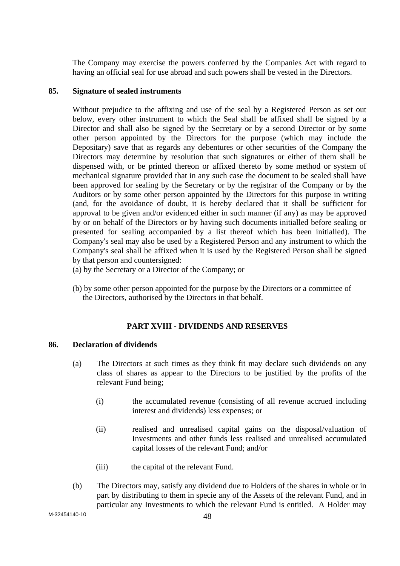The Company may exercise the powers conferred by the Companies Act with regard to having an official seal for use abroad and such powers shall be vested in the Directors.

#### **85. Signature of sealed instruments**

Without prejudice to the affixing and use of the seal by a Registered Person as set out below, every other instrument to which the Seal shall be affixed shall be signed by a Director and shall also be signed by the Secretary or by a second Director or by some other person appointed by the Directors for the purpose (which may include the Depositary) save that as regards any debentures or other securities of the Company the Directors may determine by resolution that such signatures or either of them shall be dispensed with, or be printed thereon or affixed thereto by some method or system of mechanical signature provided that in any such case the document to be sealed shall have been approved for sealing by the Secretary or by the registrar of the Company or by the Auditors or by some other person appointed by the Directors for this purpose in writing (and, for the avoidance of doubt, it is hereby declared that it shall be sufficient for approval to be given and/or evidenced either in such manner (if any) as may be approved by or on behalf of the Directors or by having such documents initialled before sealing or presented for sealing accompanied by a list thereof which has been initialled). The Company's seal may also be used by a Registered Person and any instrument to which the Company's seal shall be affixed when it is used by the Registered Person shall be signed by that person and countersigned:

(a) by the Secretary or a Director of the Company; or

(b) by some other person appointed for the purpose by the Directors or a committee of the Directors, authorised by the Directors in that behalf.

## **PART XVIII - DIVIDENDS AND RESERVES**

#### **86. Declaration of dividends**

- (a) The Directors at such times as they think fit may declare such dividends on any class of shares as appear to the Directors to be justified by the profits of the relevant Fund being;
	- (i) the accumulated revenue (consisting of all revenue accrued including interest and dividends) less expenses; or
	- (ii) realised and unrealised capital gains on the disposal/valuation of Investments and other funds less realised and unrealised accumulated capital losses of the relevant Fund; and/or
	- (iii) the capital of the relevant Fund.
- (b) The Directors may, satisfy any dividend due to Holders of the shares in whole or in part by distributing to them in specie any of the Assets of the relevant Fund, and in particular any Investments to which the relevant Fund is entitled. A Holder may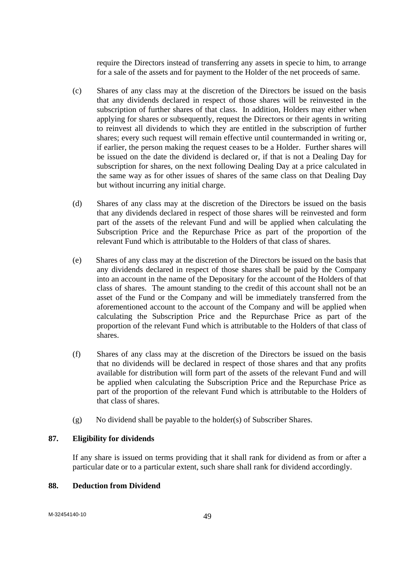require the Directors instead of transferring any assets in specie to him, to arrange for a sale of the assets and for payment to the Holder of the net proceeds of same.

- (c) Shares of any class may at the discretion of the Directors be issued on the basis that any dividends declared in respect of those shares will be reinvested in the subscription of further shares of that class. In addition, Holders may either when applying for shares or subsequently, request the Directors or their agents in writing to reinvest all dividends to which they are entitled in the subscription of further shares; every such request will remain effective until countermanded in writing or, if earlier, the person making the request ceases to be a Holder. Further shares will be issued on the date the dividend is declared or, if that is not a Dealing Day for subscription for shares, on the next following Dealing Day at a price calculated in the same way as for other issues of shares of the same class on that Dealing Day but without incurring any initial charge.
- (d) Shares of any class may at the discretion of the Directors be issued on the basis that any dividends declared in respect of those shares will be reinvested and form part of the assets of the relevant Fund and will be applied when calculating the Subscription Price and the Repurchase Price as part of the proportion of the relevant Fund which is attributable to the Holders of that class of shares.
- (e) Shares of any class may at the discretion of the Directors be issued on the basis that any dividends declared in respect of those shares shall be paid by the Company into an account in the name of the Depositary for the account of the Holders of that class of shares. The amount standing to the credit of this account shall not be an asset of the Fund or the Company and will be immediately transferred from the aforementioned account to the account of the Company and will be applied when calculating the Subscription Price and the Repurchase Price as part of the proportion of the relevant Fund which is attributable to the Holders of that class of shares.
- (f) Shares of any class may at the discretion of the Directors be issued on the basis that no dividends will be declared in respect of those shares and that any profits available for distribution will form part of the assets of the relevant Fund and will be applied when calculating the Subscription Price and the Repurchase Price as part of the proportion of the relevant Fund which is attributable to the Holders of that class of shares.
- (g) No dividend shall be payable to the holder(s) of Subscriber Shares.

### **87. Eligibility for dividends**

 If any share is issued on terms providing that it shall rank for dividend as from or after a particular date or to a particular extent, such share shall rank for dividend accordingly.

# **88. Deduction from Dividend**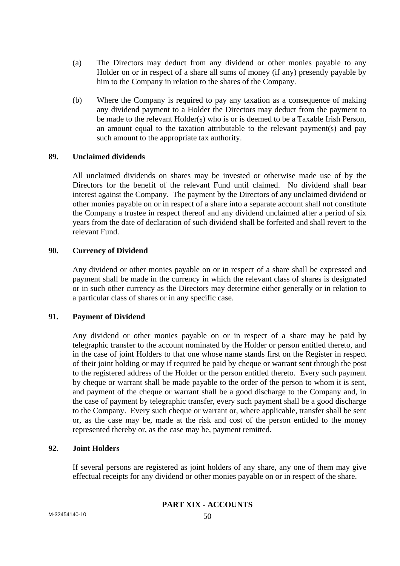- (a) The Directors may deduct from any dividend or other monies payable to any Holder on or in respect of a share all sums of money (if any) presently payable by him to the Company in relation to the shares of the Company.
- (b) Where the Company is required to pay any taxation as a consequence of making any dividend payment to a Holder the Directors may deduct from the payment to be made to the relevant Holder(s) who is or is deemed to be a Taxable Irish Person, an amount equal to the taxation attributable to the relevant payment(s) and pay such amount to the appropriate tax authority.

### **89. Unclaimed dividends**

 All unclaimed dividends on shares may be invested or otherwise made use of by the Directors for the benefit of the relevant Fund until claimed. No dividend shall bear interest against the Company. The payment by the Directors of any unclaimed dividend or other monies payable on or in respect of a share into a separate account shall not constitute the Company a trustee in respect thereof and any dividend unclaimed after a period of six years from the date of declaration of such dividend shall be forfeited and shall revert to the relevant Fund.

### **90. Currency of Dividend**

 Any dividend or other monies payable on or in respect of a share shall be expressed and payment shall be made in the currency in which the relevant class of shares is designated or in such other currency as the Directors may determine either generally or in relation to a particular class of shares or in any specific case.

## **91. Payment of Dividend**

 Any dividend or other monies payable on or in respect of a share may be paid by telegraphic transfer to the account nominated by the Holder or person entitled thereto, and in the case of joint Holders to that one whose name stands first on the Register in respect of their joint holding or may if required be paid by cheque or warrant sent through the post to the registered address of the Holder or the person entitled thereto. Every such payment by cheque or warrant shall be made payable to the order of the person to whom it is sent, and payment of the cheque or warrant shall be a good discharge to the Company and, in the case of payment by telegraphic transfer, every such payment shall be a good discharge to the Company. Every such cheque or warrant or, where applicable, transfer shall be sent or, as the case may be, made at the risk and cost of the person entitled to the money represented thereby or, as the case may be, payment remitted.

## **92. Joint Holders**

 If several persons are registered as joint holders of any share, any one of them may give effectual receipts for any dividend or other monies payable on or in respect of the share.

# **PART XIX - ACCOUNTS**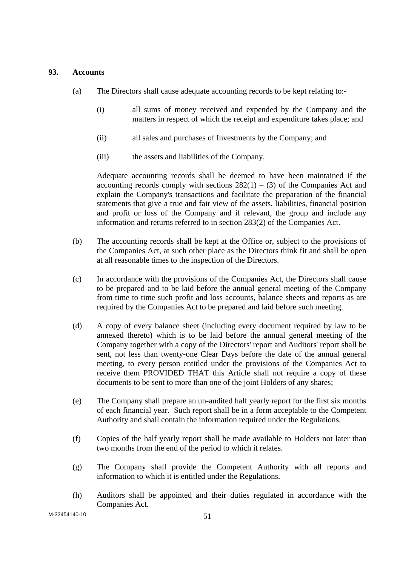### **93. Accounts**

- (a) The Directors shall cause adequate accounting records to be kept relating to:-
	- (i) all sums of money received and expended by the Company and the matters in respect of which the receipt and expenditure takes place; and
	- (ii) all sales and purchases of Investments by the Company; and
	- (iii) the assets and liabilities of the Company.

 Adequate accounting records shall be deemed to have been maintained if the accounting records comply with sections  $282(1) - (3)$  of the Companies Act and explain the Company's transactions and facilitate the preparation of the financial statements that give a true and fair view of the assets, liabilities, financial position and profit or loss of the Company and if relevant, the group and include any information and returns referred to in section 283(2) of the Companies Act.

- (b) The accounting records shall be kept at the Office or, subject to the provisions of the Companies Act, at such other place as the Directors think fit and shall be open at all reasonable times to the inspection of the Directors.
- (c) In accordance with the provisions of the Companies Act, the Directors shall cause to be prepared and to be laid before the annual general meeting of the Company from time to time such profit and loss accounts, balance sheets and reports as are required by the Companies Act to be prepared and laid before such meeting.
- (d) A copy of every balance sheet (including every document required by law to be annexed thereto) which is to be laid before the annual general meeting of the Company together with a copy of the Directors' report and Auditors' report shall be sent, not less than twenty-one Clear Days before the date of the annual general meeting, to every person entitled under the provisions of the Companies Act to receive them PROVIDED THAT this Article shall not require a copy of these documents to be sent to more than one of the joint Holders of any shares;
- (e) The Company shall prepare an un-audited half yearly report for the first six months of each financial year. Such report shall be in a form acceptable to the Competent Authority and shall contain the information required under the Regulations.
- (f) Copies of the half yearly report shall be made available to Holders not later than two months from the end of the period to which it relates.
- (g) The Company shall provide the Competent Authority with all reports and information to which it is entitled under the Regulations.
- (h) Auditors shall be appointed and their duties regulated in accordance with the Companies Act.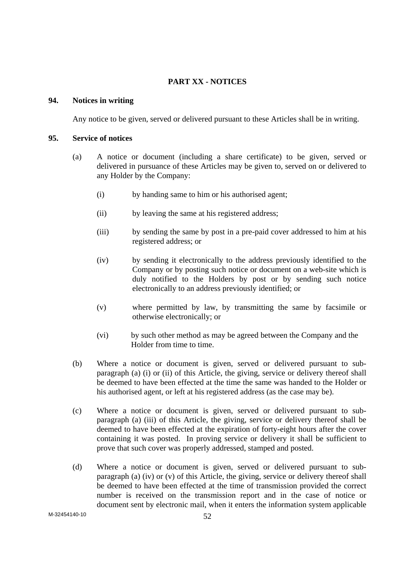# **PART XX - NOTICES**

### **94. Notices in writing**

Any notice to be given, served or delivered pursuant to these Articles shall be in writing.

### **95. Service of notices**

- (a) A notice or document (including a share certificate) to be given, served or delivered in pursuance of these Articles may be given to, served on or delivered to any Holder by the Company:
	- (i) by handing same to him or his authorised agent;
	- (ii) by leaving the same at his registered address;
	- (iii) by sending the same by post in a pre-paid cover addressed to him at his registered address; or
	- (iv) by sending it electronically to the address previously identified to the Company or by posting such notice or document on a web-site which is duly notified to the Holders by post or by sending such notice electronically to an address previously identified; or
	- (v) where permitted by law, by transmitting the same by facsimile or otherwise electronically; or
	- (vi) by such other method as may be agreed between the Company and the Holder from time to time.
- (b) Where a notice or document is given, served or delivered pursuant to subparagraph (a) (i) or (ii) of this Article, the giving, service or delivery thereof shall be deemed to have been effected at the time the same was handed to the Holder or his authorised agent, or left at his registered address (as the case may be).
- (c) Where a notice or document is given, served or delivered pursuant to subparagraph (a) (iii) of this Article, the giving, service or delivery thereof shall be deemed to have been effected at the expiration of forty-eight hours after the cover containing it was posted. In proving service or delivery it shall be sufficient to prove that such cover was properly addressed, stamped and posted.
- (d) Where a notice or document is given, served or delivered pursuant to subparagraph (a) (iv) or (v) of this Article, the giving, service or delivery thereof shall be deemed to have been effected at the time of transmission provided the correct number is received on the transmission report and in the case of notice or document sent by electronic mail, when it enters the information system applicable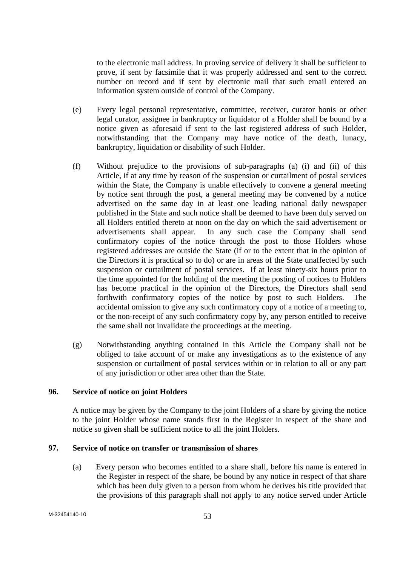to the electronic mail address. In proving service of delivery it shall be sufficient to prove, if sent by facsimile that it was properly addressed and sent to the correct number on record and if sent by electronic mail that such email entered an information system outside of control of the Company.

- (e) Every legal personal representative, committee, receiver, curator bonis or other legal curator, assignee in bankruptcy or liquidator of a Holder shall be bound by a notice given as aforesaid if sent to the last registered address of such Holder, notwithstanding that the Company may have notice of the death, lunacy, bankruptcy, liquidation or disability of such Holder.
- (f) Without prejudice to the provisions of sub-paragraphs (a) (i) and (ii) of this Article, if at any time by reason of the suspension or curtailment of postal services within the State, the Company is unable effectively to convene a general meeting by notice sent through the post, a general meeting may be convened by a notice advertised on the same day in at least one leading national daily newspaper published in the State and such notice shall be deemed to have been duly served on all Holders entitled thereto at noon on the day on which the said advertisement or advertisements shall appear. In any such case the Company shall send confirmatory copies of the notice through the post to those Holders whose registered addresses are outside the State (if or to the extent that in the opinion of the Directors it is practical so to do) or are in areas of the State unaffected by such suspension or curtailment of postal services. If at least ninety-six hours prior to the time appointed for the holding of the meeting the posting of notices to Holders has become practical in the opinion of the Directors, the Directors shall send forthwith confirmatory copies of the notice by post to such Holders. The accidental omission to give any such confirmatory copy of a notice of a meeting to, or the non-receipt of any such confirmatory copy by, any person entitled to receive the same shall not invalidate the proceedings at the meeting.
- (g) Notwithstanding anything contained in this Article the Company shall not be obliged to take account of or make any investigations as to the existence of any suspension or curtailment of postal services within or in relation to all or any part of any jurisdiction or other area other than the State.

### **96. Service of notice on joint Holders**

 A notice may be given by the Company to the joint Holders of a share by giving the notice to the joint Holder whose name stands first in the Register in respect of the share and notice so given shall be sufficient notice to all the joint Holders.

### **97. Service of notice on transfer or transmission of shares**

(a) Every person who becomes entitled to a share shall, before his name is entered in the Register in respect of the share, be bound by any notice in respect of that share which has been duly given to a person from whom he derives his title provided that the provisions of this paragraph shall not apply to any notice served under Article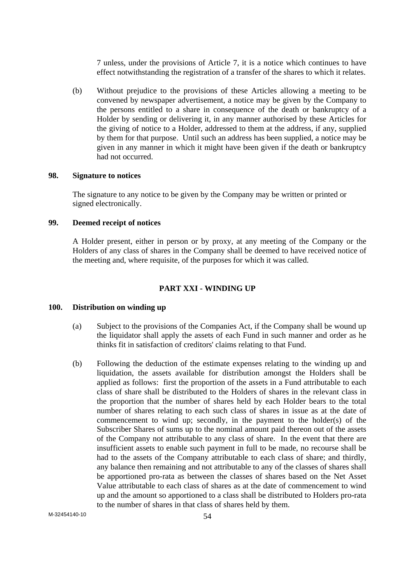7 unless, under the provisions of Article 7, it is a notice which continues to have effect notwithstanding the registration of a transfer of the shares to which it relates.

(b) Without prejudice to the provisions of these Articles allowing a meeting to be convened by newspaper advertisement, a notice may be given by the Company to the persons entitled to a share in consequence of the death or bankruptcy of a Holder by sending or delivering it, in any manner authorised by these Articles for the giving of notice to a Holder, addressed to them at the address, if any, supplied by them for that purpose. Until such an address has been supplied, a notice may be given in any manner in which it might have been given if the death or bankruptcy had not occurred.

#### **98. Signature to notices**

The signature to any notice to be given by the Company may be written or printed or signed electronically.

## **99. Deemed receipt of notices**

 A Holder present, either in person or by proxy, at any meeting of the Company or the Holders of any class of shares in the Company shall be deemed to have received notice of the meeting and, where requisite, of the purposes for which it was called.

#### **PART XXI - WINDING UP**

#### **100. Distribution on winding up**

- (a) Subject to the provisions of the Companies Act, if the Company shall be wound up the liquidator shall apply the assets of each Fund in such manner and order as he thinks fit in satisfaction of creditors' claims relating to that Fund.
- (b) Following the deduction of the estimate expenses relating to the winding up and liquidation, the assets available for distribution amongst the Holders shall be applied as follows: first the proportion of the assets in a Fund attributable to each class of share shall be distributed to the Holders of shares in the relevant class in the proportion that the number of shares held by each Holder bears to the total number of shares relating to each such class of shares in issue as at the date of commencement to wind up; secondly, in the payment to the holder(s) of the Subscriber Shares of sums up to the nominal amount paid thereon out of the assets of the Company not attributable to any class of share. In the event that there are insufficient assets to enable such payment in full to be made, no recourse shall be had to the assets of the Company attributable to each class of share; and thirdly, any balance then remaining and not attributable to any of the classes of shares shall be apportioned pro-rata as between the classes of shares based on the Net Asset Value attributable to each class of shares as at the date of commencement to wind up and the amount so apportioned to a class shall be distributed to Holders pro-rata to the number of shares in that class of shares held by them.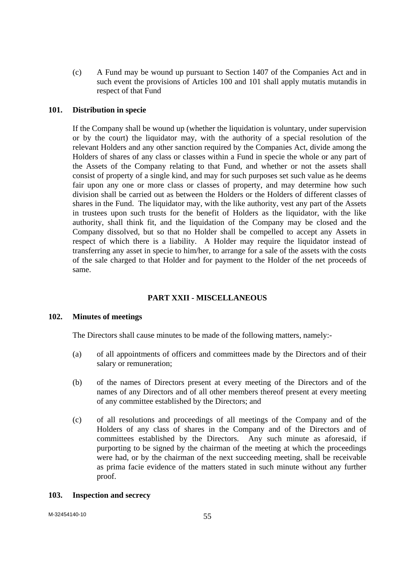(c) A Fund may be wound up pursuant to Section 1407 of the Companies Act and in such event the provisions of Articles 100 and 101 shall apply mutatis mutandis in respect of that Fund

### **101. Distribution in specie**

 If the Company shall be wound up (whether the liquidation is voluntary, under supervision or by the court) the liquidator may, with the authority of a special resolution of the relevant Holders and any other sanction required by the Companies Act, divide among the Holders of shares of any class or classes within a Fund in specie the whole or any part of the Assets of the Company relating to that Fund, and whether or not the assets shall consist of property of a single kind, and may for such purposes set such value as he deems fair upon any one or more class or classes of property, and may determine how such division shall be carried out as between the Holders or the Holders of different classes of shares in the Fund. The liquidator may, with the like authority, vest any part of the Assets in trustees upon such trusts for the benefit of Holders as the liquidator, with the like authority, shall think fit, and the liquidation of the Company may be closed and the Company dissolved, but so that no Holder shall be compelled to accept any Assets in respect of which there is a liability. A Holder may require the liquidator instead of transferring any asset in specie to him/her, to arrange for a sale of the assets with the costs of the sale charged to that Holder and for payment to the Holder of the net proceeds of same.

## **PART XXII - MISCELLANEOUS**

#### **102. Minutes of meetings**

The Directors shall cause minutes to be made of the following matters, namely:-

- (a) of all appointments of officers and committees made by the Directors and of their salary or remuneration;
- (b) of the names of Directors present at every meeting of the Directors and of the names of any Directors and of all other members thereof present at every meeting of any committee established by the Directors; and
- (c) of all resolutions and proceedings of all meetings of the Company and of the Holders of any class of shares in the Company and of the Directors and of committees established by the Directors. Any such minute as aforesaid, if purporting to be signed by the chairman of the meeting at which the proceedings were had, or by the chairman of the next succeeding meeting, shall be receivable as prima facie evidence of the matters stated in such minute without any further proof.

#### **103. Inspection and secrecy**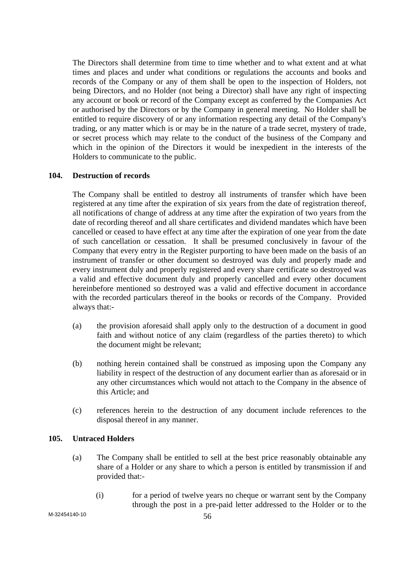The Directors shall determine from time to time whether and to what extent and at what times and places and under what conditions or regulations the accounts and books and records of the Company or any of them shall be open to the inspection of Holders, not being Directors, and no Holder (not being a Director) shall have any right of inspecting any account or book or record of the Company except as conferred by the Companies Act or authorised by the Directors or by the Company in general meeting. No Holder shall be entitled to require discovery of or any information respecting any detail of the Company's trading, or any matter which is or may be in the nature of a trade secret, mystery of trade, or secret process which may relate to the conduct of the business of the Company and which in the opinion of the Directors it would be inexpedient in the interests of the Holders to communicate to the public.

#### **104. Destruction of records**

 The Company shall be entitled to destroy all instruments of transfer which have been registered at any time after the expiration of six years from the date of registration thereof, all notifications of change of address at any time after the expiration of two years from the date of recording thereof and all share certificates and dividend mandates which have been cancelled or ceased to have effect at any time after the expiration of one year from the date of such cancellation or cessation. It shall be presumed conclusively in favour of the Company that every entry in the Register purporting to have been made on the basis of an instrument of transfer or other document so destroyed was duly and properly made and every instrument duly and properly registered and every share certificate so destroyed was a valid and effective document duly and properly cancelled and every other document hereinbefore mentioned so destroyed was a valid and effective document in accordance with the recorded particulars thereof in the books or records of the Company. Provided always that:-

- (a) the provision aforesaid shall apply only to the destruction of a document in good faith and without notice of any claim (regardless of the parties thereto) to which the document might be relevant;
- (b) nothing herein contained shall be construed as imposing upon the Company any liability in respect of the destruction of any document earlier than as aforesaid or in any other circumstances which would not attach to the Company in the absence of this Article; and
- (c) references herein to the destruction of any document include references to the disposal thereof in any manner.

### **105. Untraced Holders**

- (a) The Company shall be entitled to sell at the best price reasonably obtainable any share of a Holder or any share to which a person is entitled by transmission if and provided that:-
	- (i) for a period of twelve years no cheque or warrant sent by the Company through the post in a pre-paid letter addressed to the Holder or to the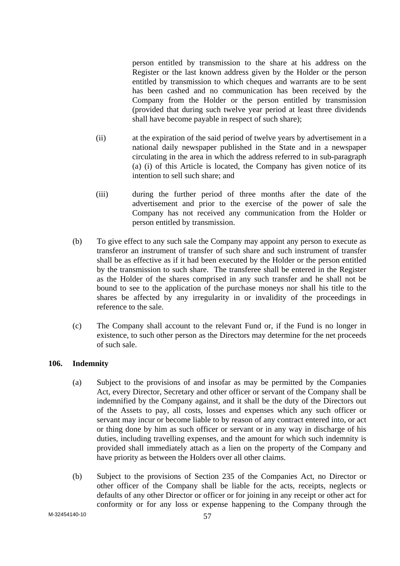person entitled by transmission to the share at his address on the Register or the last known address given by the Holder or the person entitled by transmission to which cheques and warrants are to be sent has been cashed and no communication has been received by the Company from the Holder or the person entitled by transmission (provided that during such twelve year period at least three dividends shall have become payable in respect of such share);

- (ii) at the expiration of the said period of twelve years by advertisement in a national daily newspaper published in the State and in a newspaper circulating in the area in which the address referred to in sub-paragraph (a) (i) of this Article is located, the Company has given notice of its intention to sell such share; and
- (iii) during the further period of three months after the date of the advertisement and prior to the exercise of the power of sale the Company has not received any communication from the Holder or person entitled by transmission.
- (b) To give effect to any such sale the Company may appoint any person to execute as transferor an instrument of transfer of such share and such instrument of transfer shall be as effective as if it had been executed by the Holder or the person entitled by the transmission to such share. The transferee shall be entered in the Register as the Holder of the shares comprised in any such transfer and he shall not be bound to see to the application of the purchase moneys nor shall his title to the shares be affected by any irregularity in or invalidity of the proceedings in reference to the sale.
- (c) The Company shall account to the relevant Fund or, if the Fund is no longer in existence, to such other person as the Directors may determine for the net proceeds of such sale.

## **106. Indemnity**

- (a) Subject to the provisions of and insofar as may be permitted by the Companies Act, every Director, Secretary and other officer or servant of the Company shall be indemnified by the Company against, and it shall be the duty of the Directors out of the Assets to pay, all costs, losses and expenses which any such officer or servant may incur or become liable to by reason of any contract entered into, or act or thing done by him as such officer or servant or in any way in discharge of his duties, including travelling expenses, and the amount for which such indemnity is provided shall immediately attach as a lien on the property of the Company and have priority as between the Holders over all other claims.
- (b) Subject to the provisions of Section 235 of the Companies Act, no Director or other officer of the Company shall be liable for the acts, receipts, neglects or defaults of any other Director or officer or for joining in any receipt or other act for conformity or for any loss or expense happening to the Company through the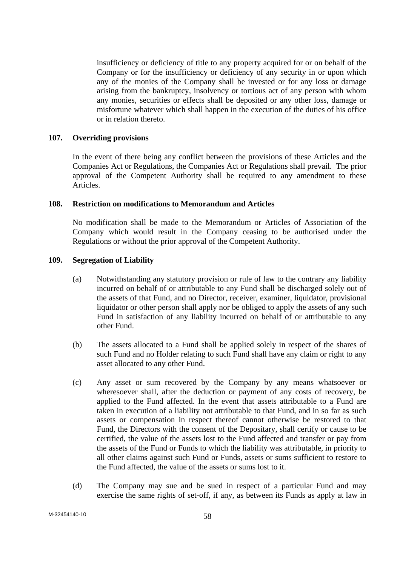insufficiency or deficiency of title to any property acquired for or on behalf of the Company or for the insufficiency or deficiency of any security in or upon which any of the monies of the Company shall be invested or for any loss or damage arising from the bankruptcy, insolvency or tortious act of any person with whom any monies, securities or effects shall be deposited or any other loss, damage or misfortune whatever which shall happen in the execution of the duties of his office or in relation thereto.

#### **107. Overriding provisions**

 In the event of there being any conflict between the provisions of these Articles and the Companies Act or Regulations, the Companies Act or Regulations shall prevail. The prior approval of the Competent Authority shall be required to any amendment to these Articles.

### **108. Restriction on modifications to Memorandum and Articles**

 No modification shall be made to the Memorandum or Articles of Association of the Company which would result in the Company ceasing to be authorised under the Regulations or without the prior approval of the Competent Authority.

#### **109. Segregation of Liability**

- (a) Notwithstanding any statutory provision or rule of law to the contrary any liability incurred on behalf of or attributable to any Fund shall be discharged solely out of the assets of that Fund, and no Director, receiver, examiner, liquidator, provisional liquidator or other person shall apply nor be obliged to apply the assets of any such Fund in satisfaction of any liability incurred on behalf of or attributable to any other Fund.
- (b) The assets allocated to a Fund shall be applied solely in respect of the shares of such Fund and no Holder relating to such Fund shall have any claim or right to any asset allocated to any other Fund.
- (c) Any asset or sum recovered by the Company by any means whatsoever or wheresoever shall, after the deduction or payment of any costs of recovery, be applied to the Fund affected. In the event that assets attributable to a Fund are taken in execution of a liability not attributable to that Fund, and in so far as such assets or compensation in respect thereof cannot otherwise be restored to that Fund, the Directors with the consent of the Depositary, shall certify or cause to be certified, the value of the assets lost to the Fund affected and transfer or pay from the assets of the Fund or Funds to which the liability was attributable, in priority to all other claims against such Fund or Funds, assets or sums sufficient to restore to the Fund affected, the value of the assets or sums lost to it.
- (d) The Company may sue and be sued in respect of a particular Fund and may exercise the same rights of set-off, if any, as between its Funds as apply at law in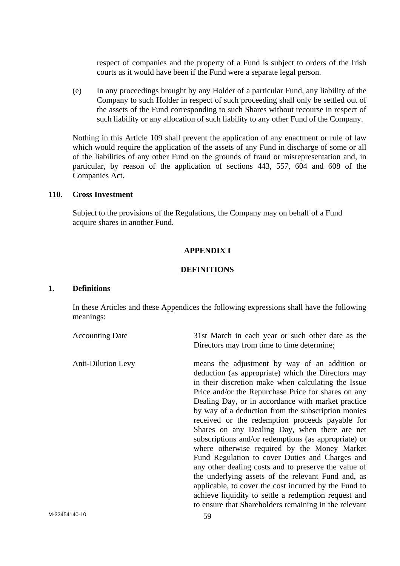respect of companies and the property of a Fund is subject to orders of the Irish courts as it would have been if the Fund were a separate legal person.

(e) In any proceedings brought by any Holder of a particular Fund, any liability of the Company to such Holder in respect of such proceeding shall only be settled out of the assets of the Fund corresponding to such Shares without recourse in respect of such liability or any allocation of such liability to any other Fund of the Company.

Nothing in this Article 109 shall prevent the application of any enactment or rule of law which would require the application of the assets of any Fund in discharge of some or all of the liabilities of any other Fund on the grounds of fraud or misrepresentation and, in particular, by reason of the application of sections 443, 557, 604 and 608 of the Companies Act.

#### **110. Cross Investment**

Subject to the provisions of the Regulations, the Company may on behalf of a Fund acquire shares in another Fund.

#### **APPENDIX I**

#### **DEFINITIONS**

#### **1. Definitions**

 In these Articles and these Appendices the following expressions shall have the following meanings:

| <b>Accounting Date</b>    | 31st March in each year or such other date as the<br>Directors may from time to time determine;                                                                                                                                                                                                                                                                                                                                                                                                                                                                                                                                                                                                                                                                                                                                                                                      |
|---------------------------|--------------------------------------------------------------------------------------------------------------------------------------------------------------------------------------------------------------------------------------------------------------------------------------------------------------------------------------------------------------------------------------------------------------------------------------------------------------------------------------------------------------------------------------------------------------------------------------------------------------------------------------------------------------------------------------------------------------------------------------------------------------------------------------------------------------------------------------------------------------------------------------|
| <b>Anti-Dilution Levy</b> | means the adjustment by way of an addition or<br>deduction (as appropriate) which the Directors may<br>in their discretion make when calculating the Issue<br>Price and/or the Repurchase Price for shares on any<br>Dealing Day, or in accordance with market practice<br>by way of a deduction from the subscription monies<br>received or the redemption proceeds payable for<br>Shares on any Dealing Day, when there are net<br>subscriptions and/or redemptions (as appropriate) or<br>where otherwise required by the Money Market<br>Fund Regulation to cover Duties and Charges and<br>any other dealing costs and to preserve the value of<br>the underlying assets of the relevant Fund and, as<br>applicable, to cover the cost incurred by the Fund to<br>achieve liquidity to settle a redemption request and<br>to ensure that Shareholders remaining in the relevant |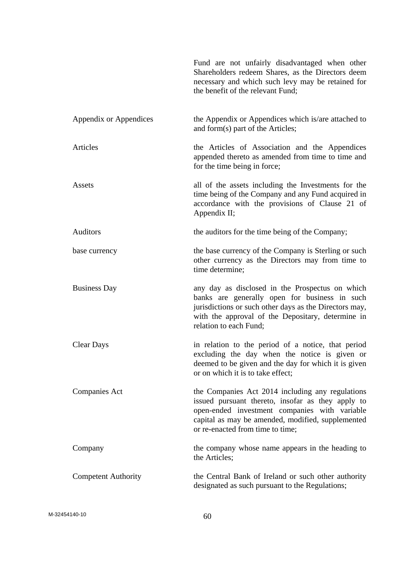|                            | Fund are not unfairly disadvantaged when other<br>Shareholders redeem Shares, as the Directors deem<br>necessary and which such levy may be retained for<br>the benefit of the relevant Fund;                                                   |
|----------------------------|-------------------------------------------------------------------------------------------------------------------------------------------------------------------------------------------------------------------------------------------------|
| Appendix or Appendices     | the Appendix or Appendices which is/are attached to<br>and form(s) part of the Articles;                                                                                                                                                        |
| <b>Articles</b>            | the Articles of Association and the Appendices<br>appended thereto as amended from time to time and<br>for the time being in force;                                                                                                             |
| Assets                     | all of the assets including the Investments for the<br>time being of the Company and any Fund acquired in<br>accordance with the provisions of Clause 21 of<br>Appendix II;                                                                     |
| Auditors                   | the auditors for the time being of the Company;                                                                                                                                                                                                 |
| base currency              | the base currency of the Company is Sterling or such<br>other currency as the Directors may from time to<br>time determine;                                                                                                                     |
| <b>Business Day</b>        | any day as disclosed in the Prospectus on which<br>banks are generally open for business in such<br>jurisdictions or such other days as the Directors may,<br>with the approval of the Depositary, determine in<br>relation to each Fund;       |
| <b>Clear Days</b>          | in relation to the period of a notice, that period<br>excluding the day when the notice is given or<br>deemed to be given and the day for which it is given<br>or on which it is to take effect;                                                |
| <b>Companies Act</b>       | the Companies Act 2014 including any regulations<br>issued pursuant thereto, insofar as they apply to<br>open-ended investment companies with variable<br>capital as may be amended, modified, supplemented<br>or re-enacted from time to time; |
| Company                    | the company whose name appears in the heading to<br>the Articles;                                                                                                                                                                               |
| <b>Competent Authority</b> | the Central Bank of Ireland or such other authority<br>designated as such pursuant to the Regulations;                                                                                                                                          |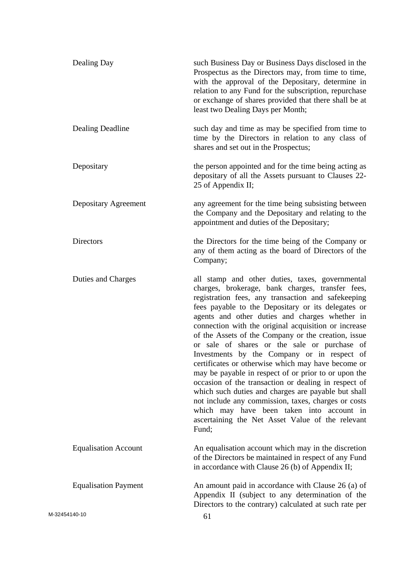|               | Dealing Day                 | such Business Day or Business Days disclosed in the<br>Prospectus as the Directors may, from time to time,<br>with the approval of the Depositary, determine in<br>relation to any Fund for the subscription, repurchase<br>or exchange of shares provided that there shall be at<br>least two Dealing Days per Month;                                                                                                                                                                                                                                                                                                                                                                                                                                                                                                                                                        |
|---------------|-----------------------------|-------------------------------------------------------------------------------------------------------------------------------------------------------------------------------------------------------------------------------------------------------------------------------------------------------------------------------------------------------------------------------------------------------------------------------------------------------------------------------------------------------------------------------------------------------------------------------------------------------------------------------------------------------------------------------------------------------------------------------------------------------------------------------------------------------------------------------------------------------------------------------|
|               | Dealing Deadline            | such day and time as may be specified from time to<br>time by the Directors in relation to any class of<br>shares and set out in the Prospectus;                                                                                                                                                                                                                                                                                                                                                                                                                                                                                                                                                                                                                                                                                                                              |
|               | Depositary                  | the person appointed and for the time being acting as<br>depositary of all the Assets pursuant to Clauses 22-<br>25 of Appendix II;                                                                                                                                                                                                                                                                                                                                                                                                                                                                                                                                                                                                                                                                                                                                           |
|               | Depositary Agreement        | any agreement for the time being subsisting between<br>the Company and the Depositary and relating to the<br>appointment and duties of the Depositary;                                                                                                                                                                                                                                                                                                                                                                                                                                                                                                                                                                                                                                                                                                                        |
|               | Directors                   | the Directors for the time being of the Company or<br>any of them acting as the board of Directors of the<br>Company;                                                                                                                                                                                                                                                                                                                                                                                                                                                                                                                                                                                                                                                                                                                                                         |
|               | Duties and Charges          | all stamp and other duties, taxes, governmental<br>charges, brokerage, bank charges, transfer fees,<br>registration fees, any transaction and safekeeping<br>fees payable to the Depositary or its delegates or<br>agents and other duties and charges whether in<br>connection with the original acquisition or increase<br>of the Assets of the Company or the creation, issue<br>or sale of shares or the sale or purchase of<br>Investments by the Company or in respect of<br>certificates or otherwise which may have become or<br>may be payable in respect of or prior to or upon the<br>occasion of the transaction or dealing in respect of<br>which such duties and charges are payable but shall<br>not include any commission, taxes, charges or costs<br>which may have been taken into account in<br>ascertaining the Net Asset Value of the relevant<br>Fund; |
|               | <b>Equalisation Account</b> | An equalisation account which may in the discretion<br>of the Directors be maintained in respect of any Fund<br>in accordance with Clause 26 (b) of Appendix II;                                                                                                                                                                                                                                                                                                                                                                                                                                                                                                                                                                                                                                                                                                              |
|               | <b>Equalisation Payment</b> | An amount paid in accordance with Clause 26 (a) of<br>Appendix II (subject to any determination of the<br>Directors to the contrary) calculated at such rate per                                                                                                                                                                                                                                                                                                                                                                                                                                                                                                                                                                                                                                                                                                              |
| M-32454140-10 |                             | 61                                                                                                                                                                                                                                                                                                                                                                                                                                                                                                                                                                                                                                                                                                                                                                                                                                                                            |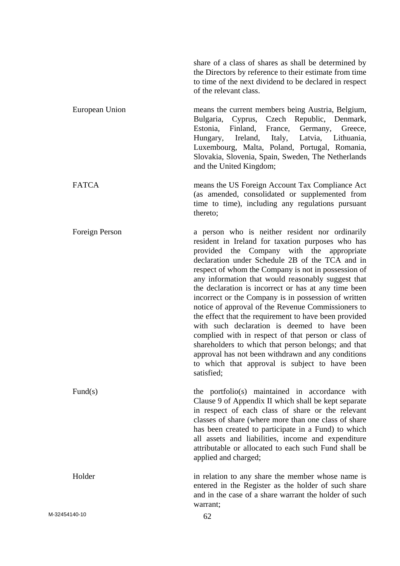share of a class of shares as shall be determined by the Directors by reference to their estimate from time to time of the next dividend to be declared in respect of the relevant class.

 European Union means the current members being Austria, Belgium, Bulgaria, Cyprus, Czech Republic, Denmark, Estonia, Finland, France, Germany, Greece, Hungary, Ireland, Italy, Latvia, Lithuania, Luxembourg, Malta, Poland, Portugal, Romania, Slovakia, Slovenia, Spain, Sweden, The Netherlands and the United Kingdom;

FATCA means the US Foreign Account Tax Compliance Act (as amended, consolidated or supplemented from time to time), including any regulations pursuant thereto;

Foreign Person a person who is neither resident nor ordinarily resident in Ireland for taxation purposes who has provided the Company with the appropriate declaration under Schedule 2B of the TCA and in respect of whom the Company is not in possession of any information that would reasonably suggest that the declaration is incorrect or has at any time been incorrect or the Company is in possession of written notice of approval of the Revenue Commissioners to the effect that the requirement to have been provided with such declaration is deemed to have been complied with in respect of that person or class of shareholders to which that person belongs; and that approval has not been withdrawn and any conditions to which that approval is subject to have been satisfied;

Fund(s) the portfolio(s) maintained in accordance with Clause 9 of Appendix II which shall be kept separate in respect of each class of share or the relevant classes of share (where more than one class of share has been created to participate in a Fund) to which all assets and liabilities, income and expenditure attributable or allocated to each such Fund shall be applied and charged;

Holder in relation to any share the member whose name is entered in the Register as the holder of such share and in the case of a share warrant the holder of such warrant;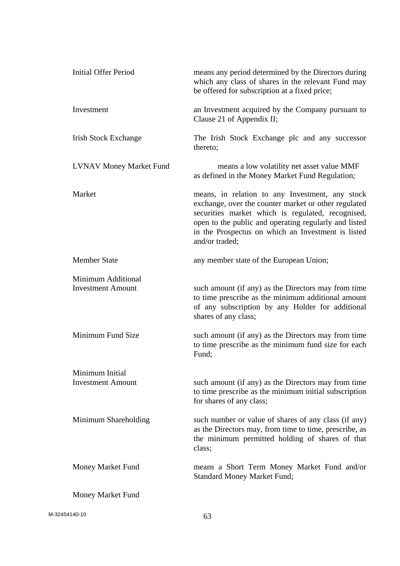| <b>Initial Offer Period</b>                    | means any period determined by the Directors during<br>which any class of shares in the relevant Fund may<br>be offered for subscription at a fixed price;                                                                                                                                    |
|------------------------------------------------|-----------------------------------------------------------------------------------------------------------------------------------------------------------------------------------------------------------------------------------------------------------------------------------------------|
| Investment                                     | an Investment acquired by the Company pursuant to<br>Clause 21 of Appendix II;                                                                                                                                                                                                                |
| <b>Irish Stock Exchange</b>                    | The Irish Stock Exchange plc and any successor<br>thereto;                                                                                                                                                                                                                                    |
| <b>LVNAV Money Market Fund</b>                 | means a low volatility net asset value MMF<br>as defined in the Money Market Fund Regulation;                                                                                                                                                                                                 |
| Market                                         | means, in relation to any Investment, any stock<br>exchange, over the counter market or other regulated<br>securities market which is regulated, recognised,<br>open to the public and operating regularly and listed<br>in the Prospectus on which an Investment is listed<br>and/or traded; |
| <b>Member State</b>                            | any member state of the European Union;                                                                                                                                                                                                                                                       |
| Minimum Additional<br><b>Investment Amount</b> | such amount (if any) as the Directors may from time<br>to time prescribe as the minimum additional amount<br>of any subscription by any Holder for additional<br>shares of any class;                                                                                                         |
| Minimum Fund Size                              | such amount (if any) as the Directors may from time<br>to time prescribe as the minimum fund size for each<br>Fund;                                                                                                                                                                           |
| Minimum Initial                                |                                                                                                                                                                                                                                                                                               |
| <b>Investment Amount</b>                       | such amount (if any) as the Directors may from time<br>to time prescribe as the minimum initial subscription<br>for shares of any class;                                                                                                                                                      |
| Minimum Shareholding                           | such number or value of shares of any class (if any)<br>as the Directors may, from time to time, prescribe, as<br>the minimum permitted holding of shares of that<br>class;                                                                                                                   |
| Money Market Fund                              | means a Short Term Money Market Fund and/or<br><b>Standard Money Market Fund;</b>                                                                                                                                                                                                             |
| Money Market Fund                              |                                                                                                                                                                                                                                                                                               |
|                                                |                                                                                                                                                                                                                                                                                               |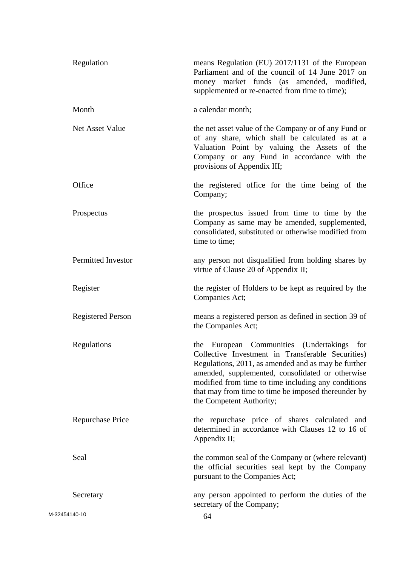|               | Regulation               | means Regulation (EU) 2017/1131 of the European<br>Parliament and of the council of 14 June 2017 on<br>money market funds (as amended, modified,<br>supplemented or re-enacted from time to time);                                                                                                                                                   |
|---------------|--------------------------|------------------------------------------------------------------------------------------------------------------------------------------------------------------------------------------------------------------------------------------------------------------------------------------------------------------------------------------------------|
|               | Month                    | a calendar month;                                                                                                                                                                                                                                                                                                                                    |
|               | Net Asset Value          | the net asset value of the Company or of any Fund or<br>of any share, which shall be calculated as at a<br>Valuation Point by valuing the Assets of the<br>Company or any Fund in accordance with the<br>provisions of Appendix III;                                                                                                                 |
|               | Office                   | the registered office for the time being of the<br>Company;                                                                                                                                                                                                                                                                                          |
|               | Prospectus               | the prospectus issued from time to time by the<br>Company as same may be amended, supplemented,<br>consolidated, substituted or otherwise modified from<br>time to time;                                                                                                                                                                             |
|               | Permitted Investor       | any person not disqualified from holding shares by<br>virtue of Clause 20 of Appendix II;                                                                                                                                                                                                                                                            |
|               | Register                 | the register of Holders to be kept as required by the<br>Companies Act;                                                                                                                                                                                                                                                                              |
|               | <b>Registered Person</b> | means a registered person as defined in section 39 of<br>the Companies Act;                                                                                                                                                                                                                                                                          |
|               | Regulations              | the European Communities (Undertakings for<br>Collective Investment in Transferable Securities)<br>Regulations, 2011, as amended and as may be further<br>amended, supplemented, consolidated or otherwise<br>modified from time to time including any conditions<br>that may from time to time be imposed thereunder by<br>the Competent Authority; |
|               | <b>Repurchase Price</b>  | the repurchase price of shares calculated and<br>determined in accordance with Clauses 12 to 16 of<br>Appendix II;                                                                                                                                                                                                                                   |
|               | Seal                     | the common seal of the Company or (where relevant)<br>the official securities seal kept by the Company<br>pursuant to the Companies Act;                                                                                                                                                                                                             |
|               | Secretary                | any person appointed to perform the duties of the<br>secretary of the Company;                                                                                                                                                                                                                                                                       |
| M-32454140-10 |                          | 64                                                                                                                                                                                                                                                                                                                                                   |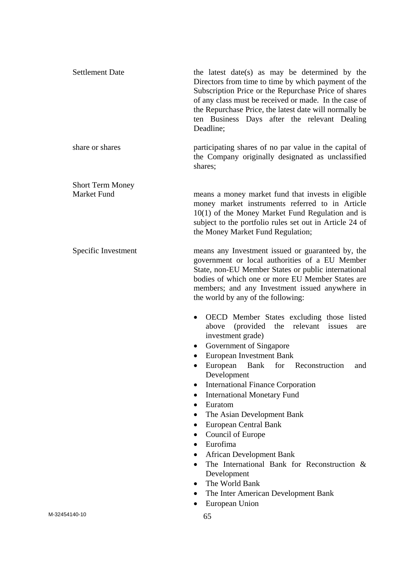|                    | <b>Settlement Date</b>  | the latest date(s) as may be determined by the<br>Directors from time to time by which payment of the<br>Subscription Price or the Repurchase Price of shares<br>of any class must be received or made. In the case of<br>the Repurchase Price, the latest date will normally be<br>ten Business Days after the relevant Dealing<br>Deadline;                                                                  |
|--------------------|-------------------------|----------------------------------------------------------------------------------------------------------------------------------------------------------------------------------------------------------------------------------------------------------------------------------------------------------------------------------------------------------------------------------------------------------------|
|                    | share or shares         | participating shares of no par value in the capital of<br>the Company originally designated as unclassified<br>shares;                                                                                                                                                                                                                                                                                         |
| <b>Market Fund</b> | <b>Short Term Money</b> | means a money market fund that invests in eligible<br>money market instruments referred to in Article<br>$10(1)$ of the Money Market Fund Regulation and is<br>subject to the portfolio rules set out in Article 24 of<br>the Money Market Fund Regulation;                                                                                                                                                    |
|                    | Specific Investment     | means any Investment issued or guaranteed by, the<br>government or local authorities of a EU Member<br>State, non-EU Member States or public international<br>bodies of which one or more EU Member States are<br>members; and any Investment issued anywhere in<br>the world by any of the following:                                                                                                         |
|                    |                         | OECD Member States excluding those listed<br>$\bullet$<br>(provided the relevant<br>issues<br>above<br>are<br>investment grade)<br><b>Government of Singapore</b><br>$\bullet$<br>European Investment Bank<br>European Bank<br>for<br>Reconstruction<br>and<br>$\bullet$<br>Development<br><b>International Finance Corporation</b><br>$\bullet$<br><b>International Monetary Fund</b><br>$\bullet$<br>Euratom |
|                    |                         | The Asian Development Bank<br><b>European Central Bank</b><br>Council of Europe<br>$\bullet$<br>Eurofima<br>$\bullet$<br><b>African Development Bank</b><br>$\bullet$<br>The International Bank for Reconstruction $\&$<br>Development<br>The World Bank<br>$\bullet$<br>The Inter American Development Bank<br>European Union                                                                                 |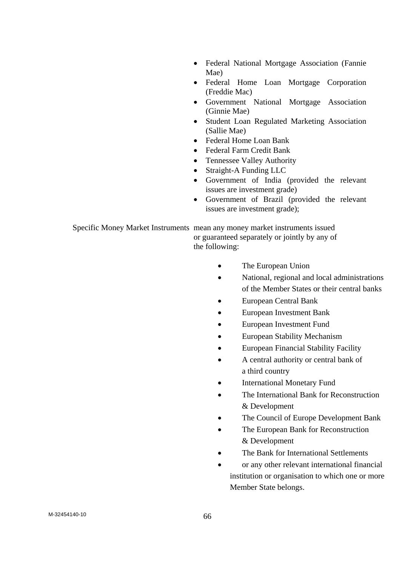- Federal National Mortgage Association (Fannie Mae)
- Federal Home Loan Mortgage Corporation (Freddie Mac)
- Government National Mortgage Association (Ginnie Mae)
- Student Loan Regulated Marketing Association (Sallie Mae)
- Federal Home Loan Bank
- Federal Farm Credit Bank
- Tennessee Valley Authority
- Straight-A Funding LLC
- Government of India (provided the relevant issues are investment grade)
- Government of Brazil (provided the relevant issues are investment grade);

 Specific Money Market Instruments mean any money market instruments issued or guaranteed separately or jointly by any of the following:

- The European Union
- National, regional and local administrations of the Member States or their central banks
- European Central Bank
- European Investment Bank
- European Investment Fund
- European Stability Mechanism
- European Financial Stability Facility
- A central authority or central bank of a third country
- International Monetary Fund
- The International Bank for Reconstruction & Development
- The Council of Europe Development Bank
- The European Bank for Reconstruction & Development
- The Bank for International Settlements
- or any other relevant international financial institution or organisation to which one or more Member State belongs.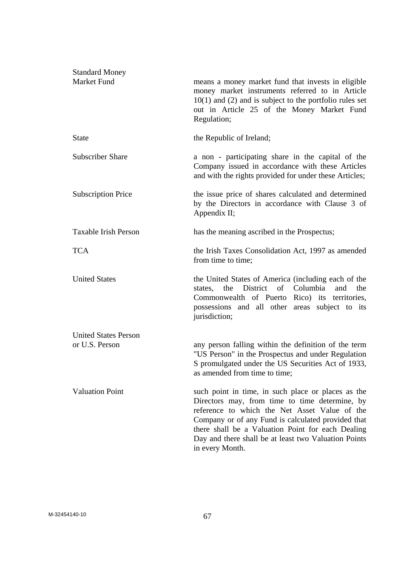| <b>Standard Money</b><br>Market Fund          | means a money market fund that invests in eligible<br>money market instruments referred to in Article<br>$10(1)$ and (2) and is subject to the portfolio rules set<br>out in Article 25 of the Money Market Fund<br>Regulation;                                                                                                             |
|-----------------------------------------------|---------------------------------------------------------------------------------------------------------------------------------------------------------------------------------------------------------------------------------------------------------------------------------------------------------------------------------------------|
| <b>State</b>                                  | the Republic of Ireland;                                                                                                                                                                                                                                                                                                                    |
| <b>Subscriber Share</b>                       | a non - participating share in the capital of the<br>Company issued in accordance with these Articles<br>and with the rights provided for under these Articles;                                                                                                                                                                             |
| <b>Subscription Price</b>                     | the issue price of shares calculated and determined<br>by the Directors in accordance with Clause 3 of<br>Appendix II;                                                                                                                                                                                                                      |
| <b>Taxable Irish Person</b>                   | has the meaning ascribed in the Prospectus;                                                                                                                                                                                                                                                                                                 |
| <b>TCA</b>                                    | the Irish Taxes Consolidation Act, 1997 as amended<br>from time to time;                                                                                                                                                                                                                                                                    |
| <b>United States</b>                          | the United States of America (including each of the<br>the District of Columbia<br>and<br>states,<br>the<br>Commonwealth of Puerto Rico) its territories,<br>possessions and all other areas subject to its<br>jurisdiction;                                                                                                                |
| <b>United States Person</b><br>or U.S. Person | any person falling within the definition of the term<br>"US Person" in the Prospectus and under Regulation<br>S promulgated under the US Securities Act of 1933,<br>as amended from time to time;                                                                                                                                           |
| <b>Valuation Point</b>                        | such point in time, in such place or places as the<br>Directors may, from time to time determine, by<br>reference to which the Net Asset Value of the<br>Company or of any Fund is calculated provided that<br>there shall be a Valuation Point for each Dealing<br>Day and there shall be at least two Valuation Points<br>in every Month. |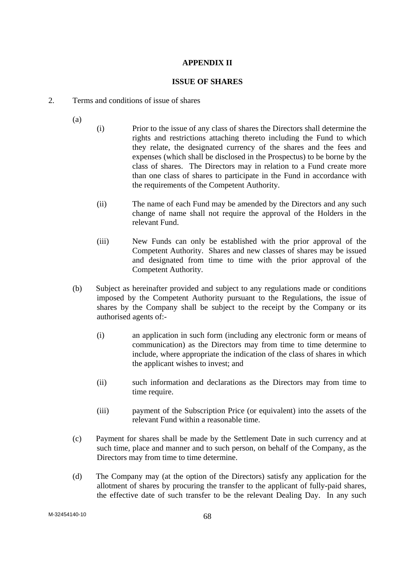# **APPENDIX II**

### **ISSUE OF SHARES**

- 2. Terms and conditions of issue of shares
	- (a)
- (i) Prior to the issue of any class of shares the Directors shall determine the rights and restrictions attaching thereto including the Fund to which they relate, the designated currency of the shares and the fees and expenses (which shall be disclosed in the Prospectus) to be borne by the class of shares. The Directors may in relation to a Fund create more than one class of shares to participate in the Fund in accordance with the requirements of the Competent Authority.
- (ii) The name of each Fund may be amended by the Directors and any such change of name shall not require the approval of the Holders in the relevant Fund.
- (iii) New Funds can only be established with the prior approval of the Competent Authority. Shares and new classes of shares may be issued and designated from time to time with the prior approval of the Competent Authority.
- (b) Subject as hereinafter provided and subject to any regulations made or conditions imposed by the Competent Authority pursuant to the Regulations, the issue of shares by the Company shall be subject to the receipt by the Company or its authorised agents of:-
	- (i) an application in such form (including any electronic form or means of communication) as the Directors may from time to time determine to include, where appropriate the indication of the class of shares in which the applicant wishes to invest; and
	- (ii) such information and declarations as the Directors may from time to time require.
	- (iii) payment of the Subscription Price (or equivalent) into the assets of the relevant Fund within a reasonable time.
- (c) Payment for shares shall be made by the Settlement Date in such currency and at such time, place and manner and to such person, on behalf of the Company, as the Directors may from time to time determine.
- (d) The Company may (at the option of the Directors) satisfy any application for the allotment of shares by procuring the transfer to the applicant of fully-paid shares, the effective date of such transfer to be the relevant Dealing Day. In any such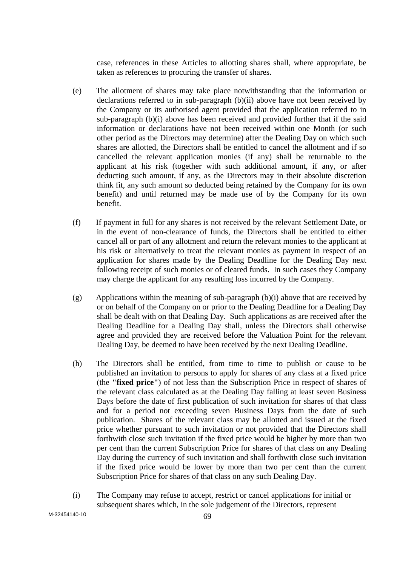case, references in these Articles to allotting shares shall, where appropriate, be taken as references to procuring the transfer of shares.

- (e) The allotment of shares may take place notwithstanding that the information or declarations referred to in sub-paragraph (b)(ii) above have not been received by the Company or its authorised agent provided that the application referred to in sub-paragraph (b)(i) above has been received and provided further that if the said information or declarations have not been received within one Month (or such other period as the Directors may determine) after the Dealing Day on which such shares are allotted, the Directors shall be entitled to cancel the allotment and if so cancelled the relevant application monies (if any) shall be returnable to the applicant at his risk (together with such additional amount, if any, or after deducting such amount, if any, as the Directors may in their absolute discretion think fit, any such amount so deducted being retained by the Company for its own benefit) and until returned may be made use of by the Company for its own benefit.
- (f) If payment in full for any shares is not received by the relevant Settlement Date, or in the event of non-clearance of funds, the Directors shall be entitled to either cancel all or part of any allotment and return the relevant monies to the applicant at his risk or alternatively to treat the relevant monies as payment in respect of an application for shares made by the Dealing Deadline for the Dealing Day next following receipt of such monies or of cleared funds. In such cases they Company may charge the applicant for any resulting loss incurred by the Company.
- (g) Applications within the meaning of sub-paragraph (b)(i) above that are received by or on behalf of the Company on or prior to the Dealing Deadline for a Dealing Day shall be dealt with on that Dealing Day. Such applications as are received after the Dealing Deadline for a Dealing Day shall, unless the Directors shall otherwise agree and provided they are received before the Valuation Point for the relevant Dealing Day, be deemed to have been received by the next Dealing Deadline.
- (h) The Directors shall be entitled, from time to time to publish or cause to be published an invitation to persons to apply for shares of any class at a fixed price (the **"fixed price"**) of not less than the Subscription Price in respect of shares of the relevant class calculated as at the Dealing Day falling at least seven Business Days before the date of first publication of such invitation for shares of that class and for a period not exceeding seven Business Days from the date of such publication. Shares of the relevant class may be allotted and issued at the fixed price whether pursuant to such invitation or not provided that the Directors shall forthwith close such invitation if the fixed price would be higher by more than two per cent than the current Subscription Price for shares of that class on any Dealing Day during the currency of such invitation and shall forthwith close such invitation if the fixed price would be lower by more than two per cent than the current Subscription Price for shares of that class on any such Dealing Day.
- (i) The Company may refuse to accept, restrict or cancel applications for initial or subsequent shares which, in the sole judgement of the Directors, represent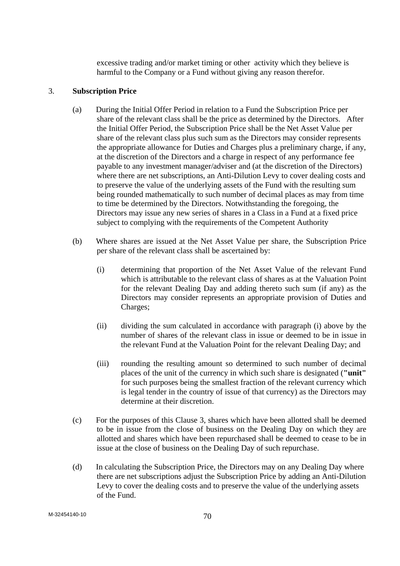excessive trading and/or market timing or other activity which they believe is harmful to the Company or a Fund without giving any reason therefor.

### 3. **Subscription Price**

- (a) During the Initial Offer Period in relation to a Fund the Subscription Price per share of the relevant class shall be the price as determined by the Directors. After the Initial Offer Period, the Subscription Price shall be the Net Asset Value per share of the relevant class plus such sum as the Directors may consider represents the appropriate allowance for Duties and Charges plus a preliminary charge, if any, at the discretion of the Directors and a charge in respect of any performance fee payable to any investment manager/adviser and (at the discretion of the Directors) where there are net subscriptions, an Anti-Dilution Levy to cover dealing costs and to preserve the value of the underlying assets of the Fund with the resulting sum being rounded mathematically to such number of decimal places as may from time to time be determined by the Directors. Notwithstanding the foregoing, the Directors may issue any new series of shares in a Class in a Fund at a fixed price subject to complying with the requirements of the Competent Authority
- (b) Where shares are issued at the Net Asset Value per share, the Subscription Price per share of the relevant class shall be ascertained by:
	- (i) determining that proportion of the Net Asset Value of the relevant Fund which is attributable to the relevant class of shares as at the Valuation Point for the relevant Dealing Day and adding thereto such sum (if any) as the Directors may consider represents an appropriate provision of Duties and Charges;
	- (ii) dividing the sum calculated in accordance with paragraph (i) above by the number of shares of the relevant class in issue or deemed to be in issue in the relevant Fund at the Valuation Point for the relevant Dealing Day; and
	- (iii) rounding the resulting amount so determined to such number of decimal places of the unit of the currency in which such share is designated (**"unit"** for such purposes being the smallest fraction of the relevant currency which is legal tender in the country of issue of that currency) as the Directors may determine at their discretion.
- (c) For the purposes of this Clause 3, shares which have been allotted shall be deemed to be in issue from the close of business on the Dealing Day on which they are allotted and shares which have been repurchased shall be deemed to cease to be in issue at the close of business on the Dealing Day of such repurchase.
- (d) In calculating the Subscription Price, the Directors may on any Dealing Day where there are net subscriptions adjust the Subscription Price by adding an Anti-Dilution Levy to cover the dealing costs and to preserve the value of the underlying assets of the Fund.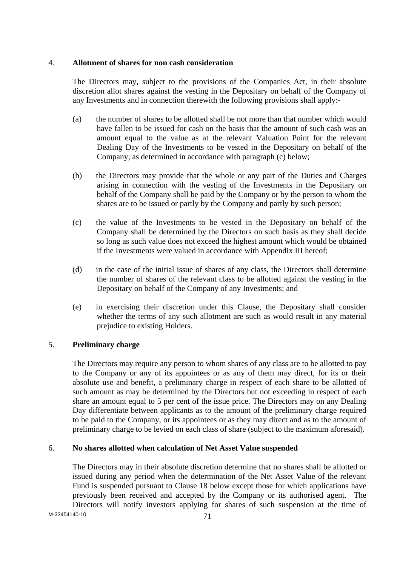### 4. **Allotment of shares for non cash consideration**

 The Directors may, subject to the provisions of the Companies Act, in their absolute discretion allot shares against the vesting in the Depositary on behalf of the Company of any Investments and in connection therewith the following provisions shall apply:-

- (a) the number of shares to be allotted shall be not more than that number which would have fallen to be issued for cash on the basis that the amount of such cash was an amount equal to the value as at the relevant Valuation Point for the relevant Dealing Day of the Investments to be vested in the Depositary on behalf of the Company, as determined in accordance with paragraph (c) below;
- (b) the Directors may provide that the whole or any part of the Duties and Charges arising in connection with the vesting of the Investments in the Depositary on behalf of the Company shall be paid by the Company or by the person to whom the shares are to be issued or partly by the Company and partly by such person;
- (c) the value of the Investments to be vested in the Depositary on behalf of the Company shall be determined by the Directors on such basis as they shall decide so long as such value does not exceed the highest amount which would be obtained if the Investments were valued in accordance with Appendix III hereof;
- (d) in the case of the initial issue of shares of any class, the Directors shall determine the number of shares of the relevant class to be allotted against the vesting in the Depositary on behalf of the Company of any Investments; and
- (e) in exercising their discretion under this Clause, the Depositary shall consider whether the terms of any such allotment are such as would result in any material prejudice to existing Holders.

## 5. **Preliminary charge**

 The Directors may require any person to whom shares of any class are to be allotted to pay to the Company or any of its appointees or as any of them may direct, for its or their absolute use and benefit, a preliminary charge in respect of each share to be allotted of such amount as may be determined by the Directors but not exceeding in respect of each share an amount equal to 5 per cent of the issue price. The Directors may on any Dealing Day differentiate between applicants as to the amount of the preliminary charge required to be paid to the Company, or its appointees or as they may direct and as to the amount of preliminary charge to be levied on each class of share (subject to the maximum aforesaid).

## 6. **No shares allotted when calculation of Net Asset Value suspended**

 The Directors may in their absolute discretion determine that no shares shall be allotted or issued during any period when the determination of the Net Asset Value of the relevant Fund is suspended pursuant to Clause 18 below except those for which applications have previously been received and accepted by the Company or its authorised agent. The Directors will notify investors applying for shares of such suspension at the time of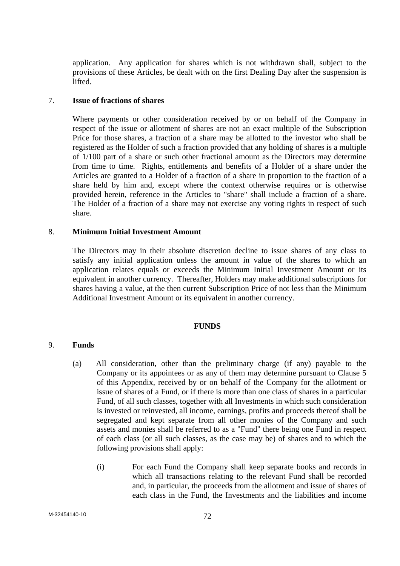application. Any application for shares which is not withdrawn shall, subject to the provisions of these Articles, be dealt with on the first Dealing Day after the suspension is lifted.

#### 7. **Issue of fractions of shares**

 Where payments or other consideration received by or on behalf of the Company in respect of the issue or allotment of shares are not an exact multiple of the Subscription Price for those shares, a fraction of a share may be allotted to the investor who shall be registered as the Holder of such a fraction provided that any holding of shares is a multiple of 1/100 part of a share or such other fractional amount as the Directors may determine from time to time. Rights, entitlements and benefits of a Holder of a share under the Articles are granted to a Holder of a fraction of a share in proportion to the fraction of a share held by him and, except where the context otherwise requires or is otherwise provided herein, reference in the Articles to "share" shall include a fraction of a share. The Holder of a fraction of a share may not exercise any voting rights in respect of such share.

### 8. **Minimum Initial Investment Amount**

 The Directors may in their absolute discretion decline to issue shares of any class to satisfy any initial application unless the amount in value of the shares to which an application relates equals or exceeds the Minimum Initial Investment Amount or its equivalent in another currency. Thereafter, Holders may make additional subscriptions for shares having a value, at the then current Subscription Price of not less than the Minimum Additional Investment Amount or its equivalent in another currency.

#### **FUNDS**

#### 9. **Funds**

- (a) All consideration, other than the preliminary charge (if any) payable to the Company or its appointees or as any of them may determine pursuant to Clause 5 of this Appendix, received by or on behalf of the Company for the allotment or issue of shares of a Fund, or if there is more than one class of shares in a particular Fund, of all such classes, together with all Investments in which such consideration is invested or reinvested, all income, earnings, profits and proceeds thereof shall be segregated and kept separate from all other monies of the Company and such assets and monies shall be referred to as a "Fund" there being one Fund in respect of each class (or all such classes, as the case may be) of shares and to which the following provisions shall apply:
	- (i) For each Fund the Company shall keep separate books and records in which all transactions relating to the relevant Fund shall be recorded and, in particular, the proceeds from the allotment and issue of shares of each class in the Fund, the Investments and the liabilities and income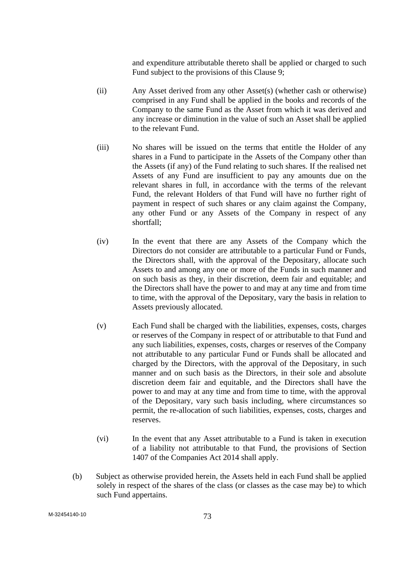and expenditure attributable thereto shall be applied or charged to such Fund subject to the provisions of this Clause 9;

- (ii) Any Asset derived from any other Asset(s) (whether cash or otherwise) comprised in any Fund shall be applied in the books and records of the Company to the same Fund as the Asset from which it was derived and any increase or diminution in the value of such an Asset shall be applied to the relevant Fund.
- (iii) No shares will be issued on the terms that entitle the Holder of any shares in a Fund to participate in the Assets of the Company other than the Assets (if any) of the Fund relating to such shares. If the realised net Assets of any Fund are insufficient to pay any amounts due on the relevant shares in full, in accordance with the terms of the relevant Fund, the relevant Holders of that Fund will have no further right of payment in respect of such shares or any claim against the Company, any other Fund or any Assets of the Company in respect of any shortfall;
- (iv) In the event that there are any Assets of the Company which the Directors do not consider are attributable to a particular Fund or Funds, the Directors shall, with the approval of the Depositary, allocate such Assets to and among any one or more of the Funds in such manner and on such basis as they, in their discretion, deem fair and equitable; and the Directors shall have the power to and may at any time and from time to time, with the approval of the Depositary, vary the basis in relation to Assets previously allocated.
- (v) Each Fund shall be charged with the liabilities, expenses, costs, charges or reserves of the Company in respect of or attributable to that Fund and any such liabilities, expenses, costs, charges or reserves of the Company not attributable to any particular Fund or Funds shall be allocated and charged by the Directors, with the approval of the Depositary, in such manner and on such basis as the Directors, in their sole and absolute discretion deem fair and equitable, and the Directors shall have the power to and may at any time and from time to time, with the approval of the Depositary, vary such basis including, where circumstances so permit, the re-allocation of such liabilities, expenses, costs, charges and reserves.
- (vi) In the event that any Asset attributable to a Fund is taken in execution of a liability not attributable to that Fund, the provisions of Section 1407 of the Companies Act 2014 shall apply.
- (b) Subject as otherwise provided herein, the Assets held in each Fund shall be applied solely in respect of the shares of the class (or classes as the case may be) to which such Fund appertains.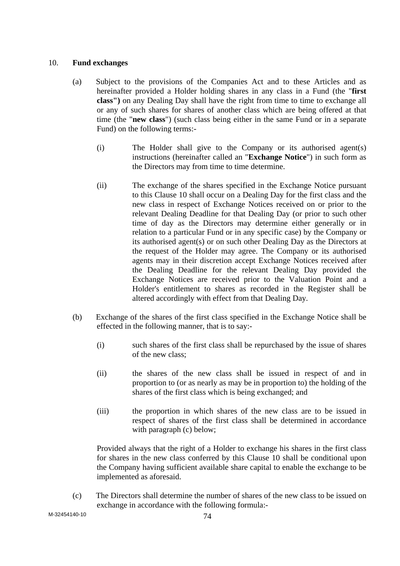## 10. **Fund exchanges**

- (a) Subject to the provisions of the Companies Act and to these Articles and as hereinafter provided a Holder holding shares in any class in a Fund (the "**first class")** on any Dealing Day shall have the right from time to time to exchange all or any of such shares for shares of another class which are being offered at that time (the "**new class**") (such class being either in the same Fund or in a separate Fund) on the following terms:-
	- (i) The Holder shall give to the Company or its authorised agent(s) instructions (hereinafter called an "**Exchange Notice**") in such form as the Directors may from time to time determine.
	- (ii) The exchange of the shares specified in the Exchange Notice pursuant to this Clause 10 shall occur on a Dealing Day for the first class and the new class in respect of Exchange Notices received on or prior to the relevant Dealing Deadline for that Dealing Day (or prior to such other time of day as the Directors may determine either generally or in relation to a particular Fund or in any specific case) by the Company or its authorised agent(s) or on such other Dealing Day as the Directors at the request of the Holder may agree. The Company or its authorised agents may in their discretion accept Exchange Notices received after the Dealing Deadline for the relevant Dealing Day provided the Exchange Notices are received prior to the Valuation Point and a Holder's entitlement to shares as recorded in the Register shall be altered accordingly with effect from that Dealing Day.
- (b) Exchange of the shares of the first class specified in the Exchange Notice shall be effected in the following manner, that is to say:-
	- (i) such shares of the first class shall be repurchased by the issue of shares of the new class;
	- (ii) the shares of the new class shall be issued in respect of and in proportion to (or as nearly as may be in proportion to) the holding of the shares of the first class which is being exchanged; and
	- (iii) the proportion in which shares of the new class are to be issued in respect of shares of the first class shall be determined in accordance with paragraph (c) below;

 Provided always that the right of a Holder to exchange his shares in the first class for shares in the new class conferred by this Clause 10 shall be conditional upon the Company having sufficient available share capital to enable the exchange to be implemented as aforesaid.

(c) The Directors shall determine the number of shares of the new class to be issued on exchange in accordance with the following formula:-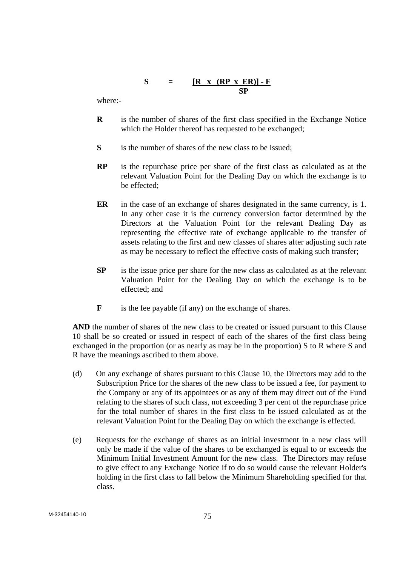$$
S = \frac{[R \times (RP \times ER)] - F}{SP}
$$

where:-

- **R** is the number of shares of the first class specified in the Exchange Notice which the Holder thereof has requested to be exchanged;
- **S** is the number of shares of the new class to be issued;
- **RP** is the repurchase price per share of the first class as calculated as at the relevant Valuation Point for the Dealing Day on which the exchange is to be effected;
- **ER** in the case of an exchange of shares designated in the same currency, is 1. In any other case it is the currency conversion factor determined by the Directors at the Valuation Point for the relevant Dealing Day as representing the effective rate of exchange applicable to the transfer of assets relating to the first and new classes of shares after adjusting such rate as may be necessary to reflect the effective costs of making such transfer;
- **SP** is the issue price per share for the new class as calculated as at the relevant Valuation Point for the Dealing Day on which the exchange is to be effected; and
- **F** is the fee payable (if any) on the exchange of shares.

 **AND** the number of shares of the new class to be created or issued pursuant to this Clause 10 shall be so created or issued in respect of each of the shares of the first class being exchanged in the proportion (or as nearly as may be in the proportion) S to R where S and R have the meanings ascribed to them above.

- (d) On any exchange of shares pursuant to this Clause 10, the Directors may add to the Subscription Price for the shares of the new class to be issued a fee, for payment to the Company or any of its appointees or as any of them may direct out of the Fund relating to the shares of such class, not exceeding 3 per cent of the repurchase price for the total number of shares in the first class to be issued calculated as at the relevant Valuation Point for the Dealing Day on which the exchange is effected.
- (e) Requests for the exchange of shares as an initial investment in a new class will only be made if the value of the shares to be exchanged is equal to or exceeds the Minimum Initial Investment Amount for the new class. The Directors may refuse to give effect to any Exchange Notice if to do so would cause the relevant Holder's holding in the first class to fall below the Minimum Shareholding specified for that class.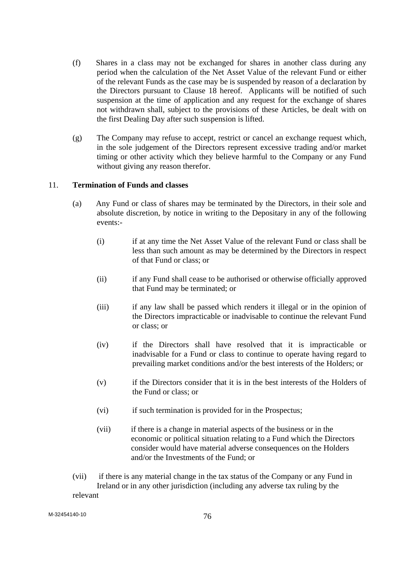- (f) Shares in a class may not be exchanged for shares in another class during any period when the calculation of the Net Asset Value of the relevant Fund or either of the relevant Funds as the case may be is suspended by reason of a declaration by the Directors pursuant to Clause 18 hereof. Applicants will be notified of such suspension at the time of application and any request for the exchange of shares not withdrawn shall, subject to the provisions of these Articles, be dealt with on the first Dealing Day after such suspension is lifted.
- (g) The Company may refuse to accept, restrict or cancel an exchange request which, in the sole judgement of the Directors represent excessive trading and/or market timing or other activity which they believe harmful to the Company or any Fund without giving any reason therefor.

## 11. **Termination of Funds and classes**

- (a) Any Fund or class of shares may be terminated by the Directors, in their sole and absolute discretion, by notice in writing to the Depositary in any of the following events:-
	- (i) if at any time the Net Asset Value of the relevant Fund or class shall be less than such amount as may be determined by the Directors in respect of that Fund or class; or
	- (ii) if any Fund shall cease to be authorised or otherwise officially approved that Fund may be terminated; or
	- (iii) if any law shall be passed which renders it illegal or in the opinion of the Directors impracticable or inadvisable to continue the relevant Fund or class; or
	- (iv) if the Directors shall have resolved that it is impracticable or inadvisable for a Fund or class to continue to operate having regard to prevailing market conditions and/or the best interests of the Holders; or
	- (v) if the Directors consider that it is in the best interests of the Holders of the Fund or class; or
	- (vi) if such termination is provided for in the Prospectus;
	- (vii) if there is a change in material aspects of the business or in the economic or political situation relating to a Fund which the Directors consider would have material adverse consequences on the Holders and/or the Investments of the Fund; or
- (vii) if there is any material change in the tax status of the Company or any Fund in Ireland or in any other jurisdiction (including any adverse tax ruling by the relevant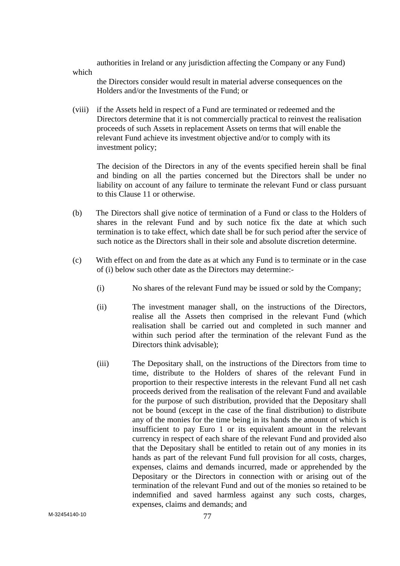authorities in Ireland or any jurisdiction affecting the Company or any Fund) which

the Directors consider would result in material adverse consequences on the Holders and/or the Investments of the Fund; or

 (viii) if the Assets held in respect of a Fund are terminated or redeemed and the Directors determine that it is not commercially practical to reinvest the realisation proceeds of such Assets in replacement Assets on terms that will enable the relevant Fund achieve its investment objective and/or to comply with its investment policy;

 The decision of the Directors in any of the events specified herein shall be final and binding on all the parties concerned but the Directors shall be under no liability on account of any failure to terminate the relevant Fund or class pursuant to this Clause 11 or otherwise.

- (b) The Directors shall give notice of termination of a Fund or class to the Holders of shares in the relevant Fund and by such notice fix the date at which such termination is to take effect, which date shall be for such period after the service of such notice as the Directors shall in their sole and absolute discretion determine.
- (c) With effect on and from the date as at which any Fund is to terminate or in the case of (i) below such other date as the Directors may determine:-
	- (i) No shares of the relevant Fund may be issued or sold by the Company;
	- (ii) The investment manager shall, on the instructions of the Directors, realise all the Assets then comprised in the relevant Fund (which realisation shall be carried out and completed in such manner and within such period after the termination of the relevant Fund as the Directors think advisable);
	- (iii) The Depositary shall, on the instructions of the Directors from time to time, distribute to the Holders of shares of the relevant Fund in proportion to their respective interests in the relevant Fund all net cash proceeds derived from the realisation of the relevant Fund and available for the purpose of such distribution, provided that the Depositary shall not be bound (except in the case of the final distribution) to distribute any of the monies for the time being in its hands the amount of which is insufficient to pay Euro 1 or its equivalent amount in the relevant currency in respect of each share of the relevant Fund and provided also that the Depositary shall be entitled to retain out of any monies in its hands as part of the relevant Fund full provision for all costs, charges, expenses, claims and demands incurred, made or apprehended by the Depositary or the Directors in connection with or arising out of the termination of the relevant Fund and out of the monies so retained to be indemnified and saved harmless against any such costs, charges, expenses, claims and demands; and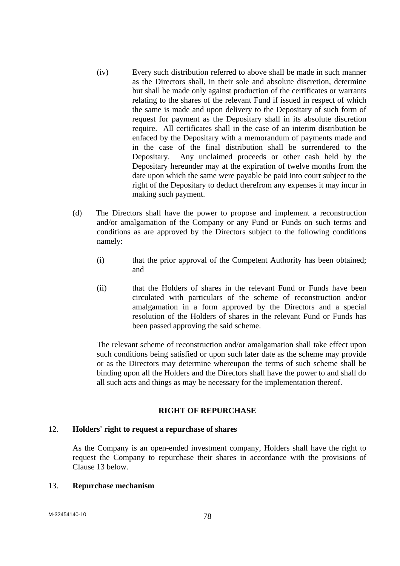- (iv) Every such distribution referred to above shall be made in such manner as the Directors shall, in their sole and absolute discretion, determine but shall be made only against production of the certificates or warrants relating to the shares of the relevant Fund if issued in respect of which the same is made and upon delivery to the Depositary of such form of request for payment as the Depositary shall in its absolute discretion require. All certificates shall in the case of an interim distribution be enfaced by the Depositary with a memorandum of payments made and in the case of the final distribution shall be surrendered to the Depositary. Any unclaimed proceeds or other cash held by the Depositary hereunder may at the expiration of twelve months from the date upon which the same were payable be paid into court subject to the right of the Depositary to deduct therefrom any expenses it may incur in making such payment.
- (d) The Directors shall have the power to propose and implement a reconstruction and/or amalgamation of the Company or any Fund or Funds on such terms and conditions as are approved by the Directors subject to the following conditions namely:
	- (i) that the prior approval of the Competent Authority has been obtained; and
	- (ii) that the Holders of shares in the relevant Fund or Funds have been circulated with particulars of the scheme of reconstruction and/or amalgamation in a form approved by the Directors and a special resolution of the Holders of shares in the relevant Fund or Funds has been passed approving the said scheme.

 The relevant scheme of reconstruction and/or amalgamation shall take effect upon such conditions being satisfied or upon such later date as the scheme may provide or as the Directors may determine whereupon the terms of such scheme shall be binding upon all the Holders and the Directors shall have the power to and shall do all such acts and things as may be necessary for the implementation thereof.

# **RIGHT OF REPURCHASE**

#### 12. **Holders' right to request a repurchase of shares**

 As the Company is an open-ended investment company, Holders shall have the right to request the Company to repurchase their shares in accordance with the provisions of Clause 13 below.

### 13. **Repurchase mechanism**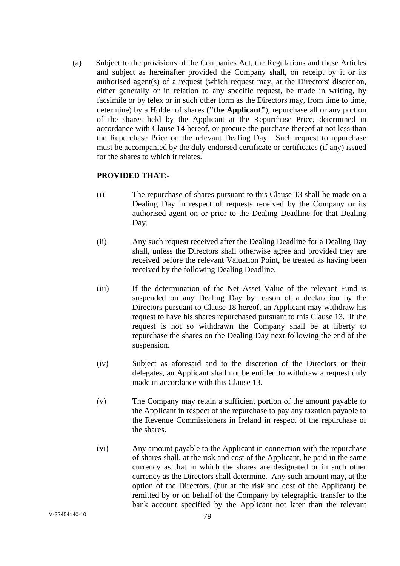(a) Subject to the provisions of the Companies Act, the Regulations and these Articles and subject as hereinafter provided the Company shall, on receipt by it or its authorised agent(s) of a request (which request may, at the Directors' discretion, either generally or in relation to any specific request, be made in writing, by facsimile or by telex or in such other form as the Directors may, from time to time, determine) by a Holder of shares (**"the Applicant"**), repurchase all or any portion of the shares held by the Applicant at the Repurchase Price, determined in accordance with Clause 14 hereof, or procure the purchase thereof at not less than the Repurchase Price on the relevant Dealing Day. Such request to repurchase must be accompanied by the duly endorsed certificate or certificates (if any) issued for the shares to which it relates.

## **PROVIDED THAT**:-

- (i) The repurchase of shares pursuant to this Clause 13 shall be made on a Dealing Day in respect of requests received by the Company or its authorised agent on or prior to the Dealing Deadline for that Dealing Day.
- (ii) Any such request received after the Dealing Deadline for a Dealing Day shall, unless the Directors shall otherwise agree and provided they are received before the relevant Valuation Point, be treated as having been received by the following Dealing Deadline.
- (iii) If the determination of the Net Asset Value of the relevant Fund is suspended on any Dealing Day by reason of a declaration by the Directors pursuant to Clause 18 hereof, an Applicant may withdraw his request to have his shares repurchased pursuant to this Clause 13. If the request is not so withdrawn the Company shall be at liberty to repurchase the shares on the Dealing Day next following the end of the suspension.
- (iv) Subject as aforesaid and to the discretion of the Directors or their delegates, an Applicant shall not be entitled to withdraw a request duly made in accordance with this Clause 13.
- (v) The Company may retain a sufficient portion of the amount payable to the Applicant in respect of the repurchase to pay any taxation payable to the Revenue Commissioners in Ireland in respect of the repurchase of the shares.
- (vi) Any amount payable to the Applicant in connection with the repurchase of shares shall, at the risk and cost of the Applicant, be paid in the same currency as that in which the shares are designated or in such other currency as the Directors shall determine. Any such amount may, at the option of the Directors, (but at the risk and cost of the Applicant) be remitted by or on behalf of the Company by telegraphic transfer to the bank account specified by the Applicant not later than the relevant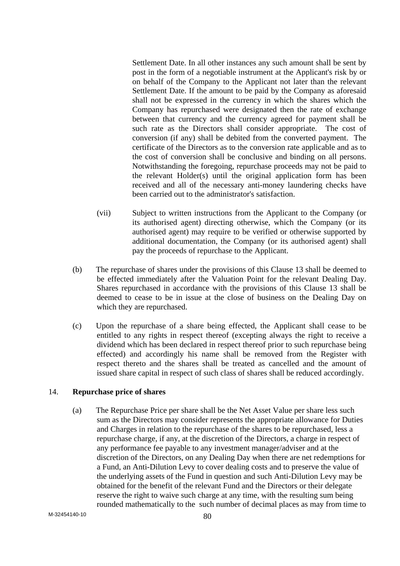Settlement Date. In all other instances any such amount shall be sent by post in the form of a negotiable instrument at the Applicant's risk by or on behalf of the Company to the Applicant not later than the relevant Settlement Date. If the amount to be paid by the Company as aforesaid shall not be expressed in the currency in which the shares which the Company has repurchased were designated then the rate of exchange between that currency and the currency agreed for payment shall be such rate as the Directors shall consider appropriate. The cost of conversion (if any) shall be debited from the converted payment. The certificate of the Directors as to the conversion rate applicable and as to the cost of conversion shall be conclusive and binding on all persons. Notwithstanding the foregoing, repurchase proceeds may not be paid to the relevant Holder(s) until the original application form has been received and all of the necessary anti-money laundering checks have been carried out to the administrator's satisfaction.

- (vii) Subject to written instructions from the Applicant to the Company (or its authorised agent) directing otherwise, which the Company (or its authorised agent) may require to be verified or otherwise supported by additional documentation, the Company (or its authorised agent) shall pay the proceeds of repurchase to the Applicant.
- (b) The repurchase of shares under the provisions of this Clause 13 shall be deemed to be effected immediately after the Valuation Point for the relevant Dealing Day. Shares repurchased in accordance with the provisions of this Clause 13 shall be deemed to cease to be in issue at the close of business on the Dealing Day on which they are repurchased.
- (c) Upon the repurchase of a share being effected, the Applicant shall cease to be entitled to any rights in respect thereof (excepting always the right to receive a dividend which has been declared in respect thereof prior to such repurchase being effected) and accordingly his name shall be removed from the Register with respect thereto and the shares shall be treated as cancelled and the amount of issued share capital in respect of such class of shares shall be reduced accordingly.

# 14. **Repurchase price of shares**

(a) The Repurchase Price per share shall be the Net Asset Value per share less such sum as the Directors may consider represents the appropriate allowance for Duties and Charges in relation to the repurchase of the shares to be repurchased, less a repurchase charge, if any, at the discretion of the Directors, a charge in respect of any performance fee payable to any investment manager/adviser and at the discretion of the Directors, on any Dealing Day when there are net redemptions for a Fund, an Anti-Dilution Levy to cover dealing costs and to preserve the value of the underlying assets of the Fund in question and such Anti-Dilution Levy may be obtained for the benefit of the relevant Fund and the Directors or their delegate reserve the right to waive such charge at any time, with the resulting sum being rounded mathematically to the such number of decimal places as may from time to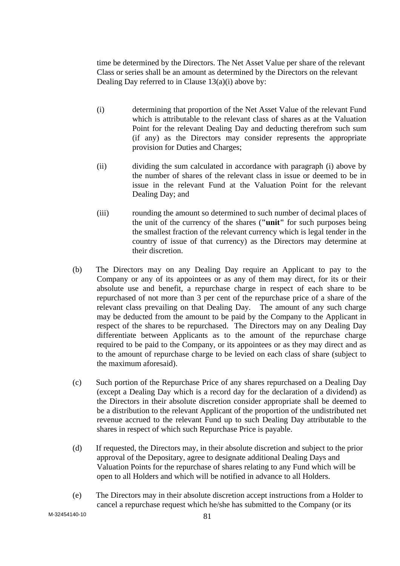time be determined by the Directors. The Net Asset Value per share of the relevant Class or series shall be an amount as determined by the Directors on the relevant Dealing Day referred to in Clause  $13(a)(i)$  above by:

- (i) determining that proportion of the Net Asset Value of the relevant Fund which is attributable to the relevant class of shares as at the Valuation Point for the relevant Dealing Day and deducting therefrom such sum (if any) as the Directors may consider represents the appropriate provision for Duties and Charges;
- (ii) dividing the sum calculated in accordance with paragraph (i) above by the number of shares of the relevant class in issue or deemed to be in issue in the relevant Fund at the Valuation Point for the relevant Dealing Day; and
- (iii) rounding the amount so determined to such number of decimal places of the unit of the currency of the shares (**"unit"** for such purposes being the smallest fraction of the relevant currency which is legal tender in the country of issue of that currency) as the Directors may determine at their discretion.
- (b) The Directors may on any Dealing Day require an Applicant to pay to the Company or any of its appointees or as any of them may direct, for its or their absolute use and benefit, a repurchase charge in respect of each share to be repurchased of not more than 3 per cent of the repurchase price of a share of the relevant class prevailing on that Dealing Day. The amount of any such charge may be deducted from the amount to be paid by the Company to the Applicant in respect of the shares to be repurchased. The Directors may on any Dealing Day differentiate between Applicants as to the amount of the repurchase charge required to be paid to the Company, or its appointees or as they may direct and as to the amount of repurchase charge to be levied on each class of share (subject to the maximum aforesaid).
- (c) Such portion of the Repurchase Price of any shares repurchased on a Dealing Day (except a Dealing Day which is a record day for the declaration of a dividend) as the Directors in their absolute discretion consider appropriate shall be deemed to be a distribution to the relevant Applicant of the proportion of the undistributed net revenue accrued to the relevant Fund up to such Dealing Day attributable to the shares in respect of which such Repurchase Price is payable.
- (d) If requested, the Directors may, in their absolute discretion and subject to the prior approval of the Depositary, agree to designate additional Dealing Days and Valuation Points for the repurchase of shares relating to any Fund which will be open to all Holders and which will be notified in advance to all Holders.
- (e) The Directors may in their absolute discretion accept instructions from a Holder to cancel a repurchase request which he/she has submitted to the Company (or its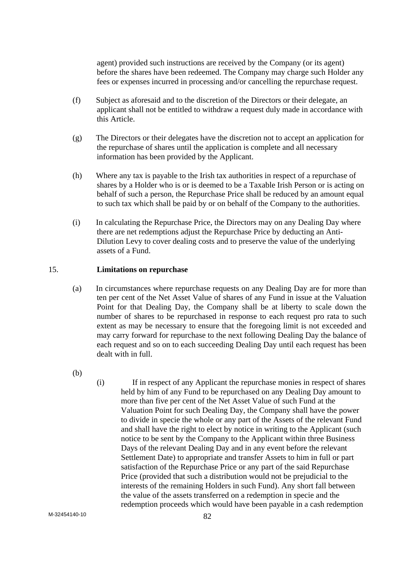agent) provided such instructions are received by the Company (or its agent) before the shares have been redeemed. The Company may charge such Holder any fees or expenses incurred in processing and/or cancelling the repurchase request.

- (f) Subject as aforesaid and to the discretion of the Directors or their delegate, an applicant shall not be entitled to withdraw a request duly made in accordance with this Article.
- (g) The Directors or their delegates have the discretion not to accept an application for the repurchase of shares until the application is complete and all necessary information has been provided by the Applicant.
- (h) Where any tax is payable to the Irish tax authorities in respect of a repurchase of shares by a Holder who is or is deemed to be a Taxable Irish Person or is acting on behalf of such a person, the Repurchase Price shall be reduced by an amount equal to such tax which shall be paid by or on behalf of the Company to the authorities.
- (i) In calculating the Repurchase Price, the Directors may on any Dealing Day where there are net redemptions adjust the Repurchase Price by deducting an Anti-Dilution Levy to cover dealing costs and to preserve the value of the underlying assets of a Fund.

## 15. **Limitations on repurchase**

- (a) In circumstances where repurchase requests on any Dealing Day are for more than ten per cent of the Net Asset Value of shares of any Fund in issue at the Valuation Point for that Dealing Day, the Company shall be at liberty to scale down the number of shares to be repurchased in response to each request pro rata to such extent as may be necessary to ensure that the foregoing limit is not exceeded and may carry forward for repurchase to the next following Dealing Day the balance of each request and so on to each succeeding Dealing Day until each request has been dealt with in full.
- (b)
- (i) If in respect of any Applicant the repurchase monies in respect of shares held by him of any Fund to be repurchased on any Dealing Day amount to more than five per cent of the Net Asset Value of such Fund at the Valuation Point for such Dealing Day, the Company shall have the power to divide in specie the whole or any part of the Assets of the relevant Fund and shall have the right to elect by notice in writing to the Applicant (such notice to be sent by the Company to the Applicant within three Business Days of the relevant Dealing Day and in any event before the relevant Settlement Date) to appropriate and transfer Assets to him in full or part satisfaction of the Repurchase Price or any part of the said Repurchase Price (provided that such a distribution would not be prejudicial to the interests of the remaining Holders in such Fund). Any short fall between the value of the assets transferred on a redemption in specie and the redemption proceeds which would have been payable in a cash redemption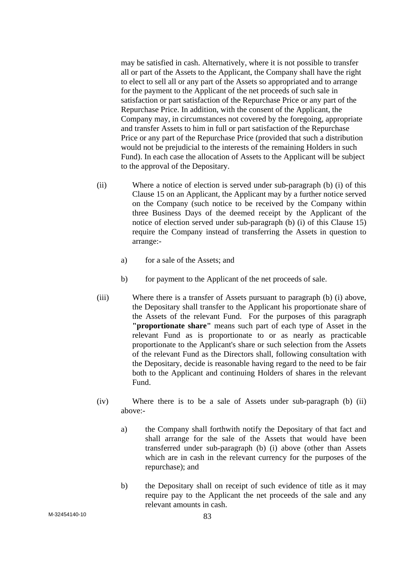may be satisfied in cash. Alternatively, where it is not possible to transfer all or part of the Assets to the Applicant, the Company shall have the right to elect to sell all or any part of the Assets so appropriated and to arrange for the payment to the Applicant of the net proceeds of such sale in satisfaction or part satisfaction of the Repurchase Price or any part of the Repurchase Price. In addition, with the consent of the Applicant, the Company may, in circumstances not covered by the foregoing, appropriate and transfer Assets to him in full or part satisfaction of the Repurchase Price or any part of the Repurchase Price (provided that such a distribution would not be prejudicial to the interests of the remaining Holders in such Fund). In each case the allocation of Assets to the Applicant will be subject to the approval of the Depositary.

- (ii) Where a notice of election is served under sub-paragraph (b) (i) of this Clause 15 on an Applicant, the Applicant may by a further notice served on the Company (such notice to be received by the Company within three Business Days of the deemed receipt by the Applicant of the notice of election served under sub-paragraph (b) (i) of this Clause 15) require the Company instead of transferring the Assets in question to arrange:
	- a) for a sale of the Assets; and
	- b) for payment to the Applicant of the net proceeds of sale.
- (iii) Where there is a transfer of Assets pursuant to paragraph (b) (i) above, the Depositary shall transfer to the Applicant his proportionate share of the Assets of the relevant Fund. For the purposes of this paragraph **"proportionate share"** means such part of each type of Asset in the relevant Fund as is proportionate to or as nearly as practicable proportionate to the Applicant's share or such selection from the Assets of the relevant Fund as the Directors shall, following consultation with the Depositary, decide is reasonable having regard to the need to be fair both to the Applicant and continuing Holders of shares in the relevant Fund.
- (iv) Where there is to be a sale of Assets under sub-paragraph (b) (ii) above:
	- a) the Company shall forthwith notify the Depositary of that fact and shall arrange for the sale of the Assets that would have been transferred under sub-paragraph (b) (i) above (other than Assets which are in cash in the relevant currency for the purposes of the repurchase); and
	- b) the Depositary shall on receipt of such evidence of title as it may require pay to the Applicant the net proceeds of the sale and any relevant amounts in cash.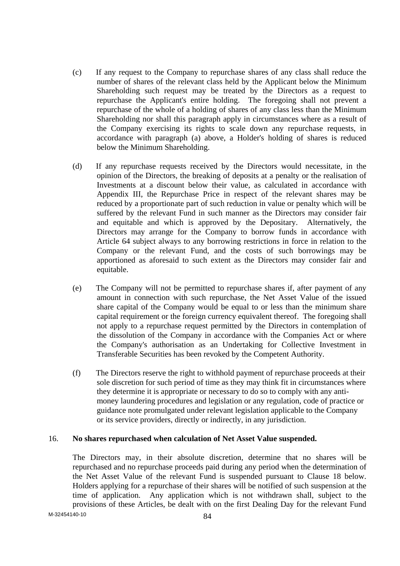- (c) If any request to the Company to repurchase shares of any class shall reduce the number of shares of the relevant class held by the Applicant below the Minimum Shareholding such request may be treated by the Directors as a request to repurchase the Applicant's entire holding. The foregoing shall not prevent a repurchase of the whole of a holding of shares of any class less than the Minimum Shareholding nor shall this paragraph apply in circumstances where as a result of the Company exercising its rights to scale down any repurchase requests, in accordance with paragraph (a) above, a Holder's holding of shares is reduced below the Minimum Shareholding.
- (d) If any repurchase requests received by the Directors would necessitate, in the opinion of the Directors, the breaking of deposits at a penalty or the realisation of Investments at a discount below their value, as calculated in accordance with Appendix III, the Repurchase Price in respect of the relevant shares may be reduced by a proportionate part of such reduction in value or penalty which will be suffered by the relevant Fund in such manner as the Directors may consider fair and equitable and which is approved by the Depositary. Alternatively, the Directors may arrange for the Company to borrow funds in accordance with Article 64 subject always to any borrowing restrictions in force in relation to the Company or the relevant Fund, and the costs of such borrowings may be apportioned as aforesaid to such extent as the Directors may consider fair and equitable.
- (e) The Company will not be permitted to repurchase shares if, after payment of any amount in connection with such repurchase, the Net Asset Value of the issued share capital of the Company would be equal to or less than the minimum share capital requirement or the foreign currency equivalent thereof. The foregoing shall not apply to a repurchase request permitted by the Directors in contemplation of the dissolution of the Company in accordance with the Companies Act or where the Company's authorisation as an Undertaking for Collective Investment in Transferable Securities has been revoked by the Competent Authority.
- (f) The Directors reserve the right to withhold payment of repurchase proceeds at their sole discretion for such period of time as they may think fit in circumstances where they determine it is appropriate or necessary to do so to comply with any antimoney laundering procedures and legislation or any regulation, code of practice or guidance note promulgated under relevant legislation applicable to the Company or its service providers, directly or indirectly, in any jurisdiction.

#### 16. **No shares repurchased when calculation of Net Asset Value suspended.**

 The Directors may, in their absolute discretion, determine that no shares will be repurchased and no repurchase proceeds paid during any period when the determination of the Net Asset Value of the relevant Fund is suspended pursuant to Clause 18 below. Holders applying for a repurchase of their shares will be notified of such suspension at the time of application. Any application which is not withdrawn shall, subject to the provisions of these Articles, be dealt with on the first Dealing Day for the relevant Fund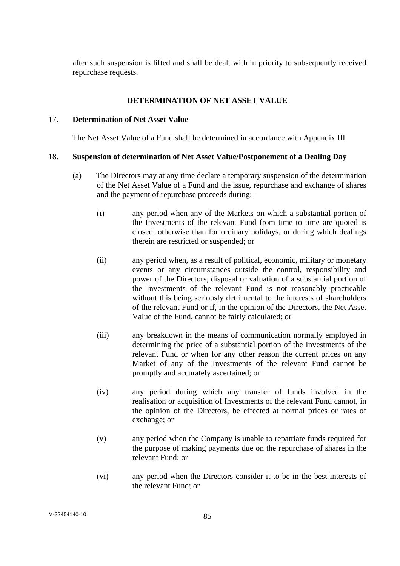after such suspension is lifted and shall be dealt with in priority to subsequently received repurchase requests.

### **DETERMINATION OF NET ASSET VALUE**

#### 17. **Determination of Net Asset Value**

The Net Asset Value of a Fund shall be determined in accordance with Appendix III.

# 18. **Suspension of determination of Net Asset Value/Postponement of a Dealing Day**

- (a) The Directors may at any time declare a temporary suspension of the determination of the Net Asset Value of a Fund and the issue, repurchase and exchange of shares and the payment of repurchase proceeds during:-
	- (i) any period when any of the Markets on which a substantial portion of the Investments of the relevant Fund from time to time are quoted is closed, otherwise than for ordinary holidays, or during which dealings therein are restricted or suspended; or
	- (ii) any period when, as a result of political, economic, military or monetary events or any circumstances outside the control, responsibility and power of the Directors, disposal or valuation of a substantial portion of the Investments of the relevant Fund is not reasonably practicable without this being seriously detrimental to the interests of shareholders of the relevant Fund or if, in the opinion of the Directors, the Net Asset Value of the Fund, cannot be fairly calculated; or
	- (iii) any breakdown in the means of communication normally employed in determining the price of a substantial portion of the Investments of the relevant Fund or when for any other reason the current prices on any Market of any of the Investments of the relevant Fund cannot be promptly and accurately ascertained; or
	- (iv) any period during which any transfer of funds involved in the realisation or acquisition of Investments of the relevant Fund cannot, in the opinion of the Directors, be effected at normal prices or rates of exchange; or
	- (v) any period when the Company is unable to repatriate funds required for the purpose of making payments due on the repurchase of shares in the relevant Fund; or
	- (vi) any period when the Directors consider it to be in the best interests of the relevant Fund; or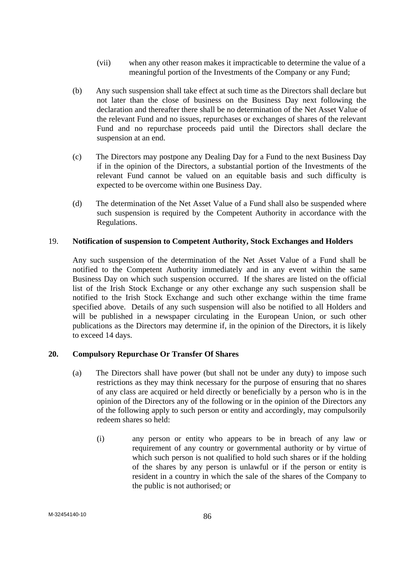- (vii) when any other reason makes it impracticable to determine the value of a meaningful portion of the Investments of the Company or any Fund;
- (b) Any such suspension shall take effect at such time as the Directors shall declare but not later than the close of business on the Business Day next following the declaration and thereafter there shall be no determination of the Net Asset Value of the relevant Fund and no issues, repurchases or exchanges of shares of the relevant Fund and no repurchase proceeds paid until the Directors shall declare the suspension at an end.
- (c) The Directors may postpone any Dealing Day for a Fund to the next Business Day if in the opinion of the Directors, a substantial portion of the Investments of the relevant Fund cannot be valued on an equitable basis and such difficulty is expected to be overcome within one Business Day.
- (d) The determination of the Net Asset Value of a Fund shall also be suspended where such suspension is required by the Competent Authority in accordance with the Regulations.

## 19. **Notification of suspension to Competent Authority, Stock Exchanges and Holders**

 Any such suspension of the determination of the Net Asset Value of a Fund shall be notified to the Competent Authority immediately and in any event within the same Business Day on which such suspension occurred. If the shares are listed on the official list of the Irish Stock Exchange or any other exchange any such suspension shall be notified to the Irish Stock Exchange and such other exchange within the time frame specified above. Details of any such suspension will also be notified to all Holders and will be published in a newspaper circulating in the European Union, or such other publications as the Directors may determine if, in the opinion of the Directors, it is likely to exceed 14 days.

# **20. Compulsory Repurchase Or Transfer Of Shares**

- (a) The Directors shall have power (but shall not be under any duty) to impose such restrictions as they may think necessary for the purpose of ensuring that no shares of any class are acquired or held directly or beneficially by a person who is in the opinion of the Directors any of the following or in the opinion of the Directors any of the following apply to such person or entity and accordingly, may compulsorily redeem shares so held:
	- (i) any person or entity who appears to be in breach of any law or requirement of any country or governmental authority or by virtue of which such person is not qualified to hold such shares or if the holding of the shares by any person is unlawful or if the person or entity is resident in a country in which the sale of the shares of the Company to the public is not authorised; or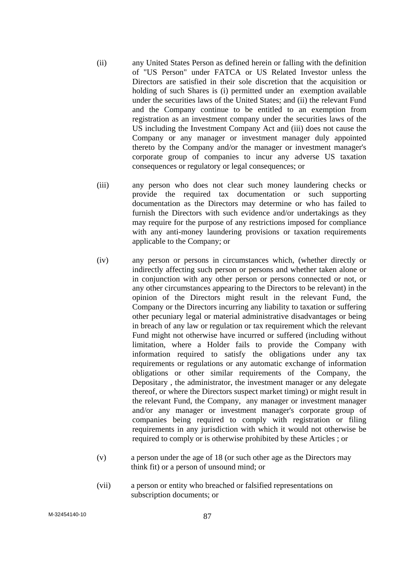- (ii) any United States Person as defined herein or falling with the definition of "US Person" under FATCA or US Related Investor unless the Directors are satisfied in their sole discretion that the acquisition or holding of such Shares is (i) permitted under an exemption available under the securities laws of the United States; and (ii) the relevant Fund and the Company continue to be entitled to an exemption from registration as an investment company under the securities laws of the US including the Investment Company Act and (iii) does not cause the Company or any manager or investment manager duly appointed thereto by the Company and/or the manager or investment manager's corporate group of companies to incur any adverse US taxation consequences or regulatory or legal consequences; or
- (iii) any person who does not clear such money laundering checks or provide the required tax documentation or such supporting documentation as the Directors may determine or who has failed to furnish the Directors with such evidence and/or undertakings as they may require for the purpose of any restrictions imposed for compliance with any anti-money laundering provisions or taxation requirements applicable to the Company; or
- (iv) any person or persons in circumstances which, (whether directly or indirectly affecting such person or persons and whether taken alone or in conjunction with any other person or persons connected or not, or any other circumstances appearing to the Directors to be relevant) in the opinion of the Directors might result in the relevant Fund, the Company or the Directors incurring any liability to taxation or suffering other pecuniary legal or material administrative disadvantages or being in breach of any law or regulation or tax requirement which the relevant Fund might not otherwise have incurred or suffered (including without limitation, where a Holder fails to provide the Company with information required to satisfy the obligations under any tax requirements or regulations or any automatic exchange of information obligations or other similar requirements of the Company, the Depositary , the administrator, the investment manager or any delegate thereof, or where the Directors suspect market timing) or might result in the relevant Fund, the Company, any manager or investment manager and/or any manager or investment manager's corporate group of companies being required to comply with registration or filing requirements in any jurisdiction with which it would not otherwise be required to comply or is otherwise prohibited by these Articles ; or
- (v) a person under the age of 18 (or such other age as the Directors may think fit) or a person of unsound mind; or
- (vii) a person or entity who breached or falsified representations on subscription documents; or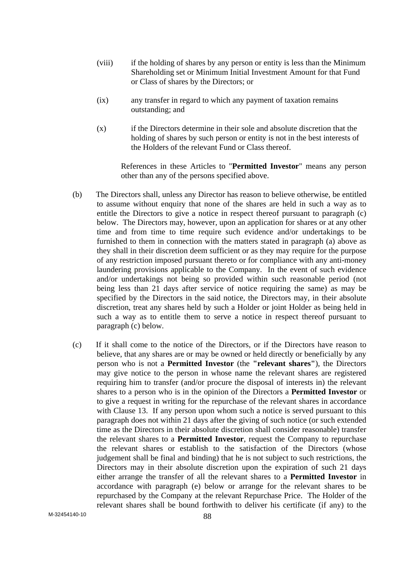- (viii) if the holding of shares by any person or entity is less than the Minimum Shareholding set or Minimum Initial Investment Amount for that Fund or Class of shares by the Directors; or
- (ix) any transfer in regard to which any payment of taxation remains outstanding; and
- (x) if the Directors determine in their sole and absolute discretion that the holding of shares by such person or entity is not in the best interests of the Holders of the relevant Fund or Class thereof.

 References in these Articles to "**Permitted Investor**" means any person other than any of the persons specified above.

- (b) The Directors shall, unless any Director has reason to believe otherwise, be entitled to assume without enquiry that none of the shares are held in such a way as to entitle the Directors to give a notice in respect thereof pursuant to paragraph (c) below. The Directors may, however, upon an application for shares or at any other time and from time to time require such evidence and/or undertakings to be furnished to them in connection with the matters stated in paragraph (a) above as they shall in their discretion deem sufficient or as they may require for the purpose of any restriction imposed pursuant thereto or for compliance with any anti-money laundering provisions applicable to the Company. In the event of such evidence and/or undertakings not being so provided within such reasonable period (not being less than 21 days after service of notice requiring the same) as may be specified by the Directors in the said notice, the Directors may, in their absolute discretion, treat any shares held by such a Holder or joint Holder as being held in such a way as to entitle them to serve a notice in respect thereof pursuant to paragraph (c) below.
- (c) If it shall come to the notice of the Directors, or if the Directors have reason to believe, that any shares are or may be owned or held directly or beneficially by any person who is not a **Permitted Investor** (the **"relevant shares"**), the Directors may give notice to the person in whose name the relevant shares are registered requiring him to transfer (and/or procure the disposal of interests in) the relevant shares to a person who is in the opinion of the Directors a **Permitted Investor** or to give a request in writing for the repurchase of the relevant shares in accordance with Clause 13. If any person upon whom such a notice is served pursuant to this paragraph does not within 21 days after the giving of such notice (or such extended time as the Directors in their absolute discretion shall consider reasonable) transfer the relevant shares to a **Permitted Investor**, request the Company to repurchase the relevant shares or establish to the satisfaction of the Directors (whose judgement shall be final and binding) that he is not subject to such restrictions, the Directors may in their absolute discretion upon the expiration of such 21 days either arrange the transfer of all the relevant shares to a **Permitted Investor** in accordance with paragraph (e) below or arrange for the relevant shares to be repurchased by the Company at the relevant Repurchase Price. The Holder of the relevant shares shall be bound forthwith to deliver his certificate (if any) to the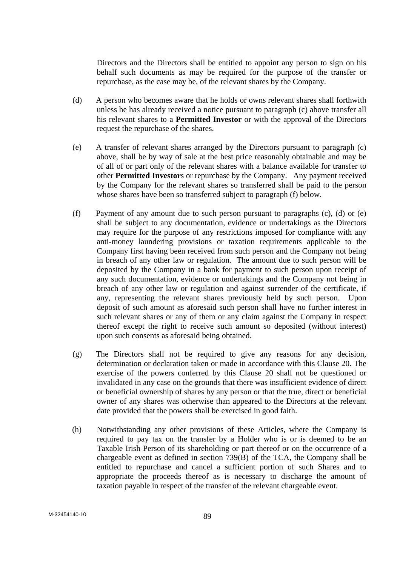Directors and the Directors shall be entitled to appoint any person to sign on his behalf such documents as may be required for the purpose of the transfer or repurchase, as the case may be, of the relevant shares by the Company.

- (d) A person who becomes aware that he holds or owns relevant shares shall forthwith unless he has already received a notice pursuant to paragraph (c) above transfer all his relevant shares to a **Permitted Investor** or with the approval of the Directors request the repurchase of the shares.
- (e) A transfer of relevant shares arranged by the Directors pursuant to paragraph (c) above, shall be by way of sale at the best price reasonably obtainable and may be of all of or part only of the relevant shares with a balance available for transfer to other **Permitted Investor**s or repurchase by the Company. Any payment received by the Company for the relevant shares so transferred shall be paid to the person whose shares have been so transferred subject to paragraph (f) below.
- (f) Payment of any amount due to such person pursuant to paragraphs (c), (d) or (e) shall be subject to any documentation, evidence or undertakings as the Directors may require for the purpose of any restrictions imposed for compliance with any anti-money laundering provisions or taxation requirements applicable to the Company first having been received from such person and the Company not being in breach of any other law or regulation. The amount due to such person will be deposited by the Company in a bank for payment to such person upon receipt of any such documentation, evidence or undertakings and the Company not being in breach of any other law or regulation and against surrender of the certificate, if any, representing the relevant shares previously held by such person. Upon deposit of such amount as aforesaid such person shall have no further interest in such relevant shares or any of them or any claim against the Company in respect thereof except the right to receive such amount so deposited (without interest) upon such consents as aforesaid being obtained.
- (g) The Directors shall not be required to give any reasons for any decision, determination or declaration taken or made in accordance with this Clause 20. The exercise of the powers conferred by this Clause 20 shall not be questioned or invalidated in any case on the grounds that there was insufficient evidence of direct or beneficial ownership of shares by any person or that the true, direct or beneficial owner of any shares was otherwise than appeared to the Directors at the relevant date provided that the powers shall be exercised in good faith.
- (h) Notwithstanding any other provisions of these Articles, where the Company is required to pay tax on the transfer by a Holder who is or is deemed to be an Taxable Irish Person of its shareholding or part thereof or on the occurrence of a chargeable event as defined in section 739(B) of the TCA, the Company shall be entitled to repurchase and cancel a sufficient portion of such Shares and to appropriate the proceeds thereof as is necessary to discharge the amount of taxation payable in respect of the transfer of the relevant chargeable event.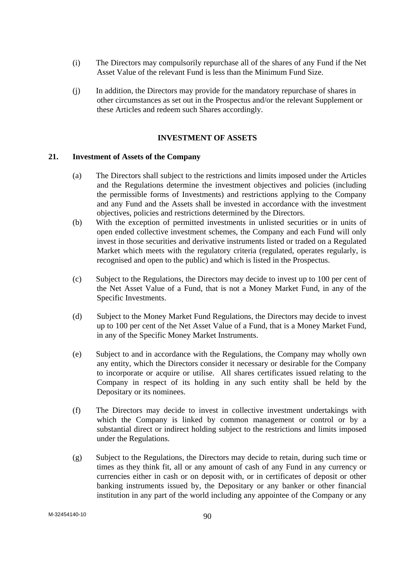- (i) The Directors may compulsorily repurchase all of the shares of any Fund if the Net Asset Value of the relevant Fund is less than the Minimum Fund Size.
- (j) In addition, the Directors may provide for the mandatory repurchase of shares in other circumstances as set out in the Prospectus and/or the relevant Supplement or these Articles and redeem such Shares accordingly.

# **INVESTMENT OF ASSETS**

#### **21. Investment of Assets of the Company**

- (a) The Directors shall subject to the restrictions and limits imposed under the Articles and the Regulations determine the investment objectives and policies (including the permissible forms of Investments) and restrictions applying to the Company and any Fund and the Assets shall be invested in accordance with the investment objectives, policies and restrictions determined by the Directors.
- (b) With the exception of permitted investments in unlisted securities or in units of open ended collective investment schemes, the Company and each Fund will only invest in those securities and derivative instruments listed or traded on a Regulated Market which meets with the regulatory criteria (regulated, operates regularly, is recognised and open to the public) and which is listed in the Prospectus.
- (c) Subject to the Regulations, the Directors may decide to invest up to 100 per cent of the Net Asset Value of a Fund, that is not a Money Market Fund, in any of the Specific Investments.
- (d) Subject to the Money Market Fund Regulations, the Directors may decide to invest up to 100 per cent of the Net Asset Value of a Fund, that is a Money Market Fund, in any of the Specific Money Market Instruments.
- (e) Subject to and in accordance with the Regulations, the Company may wholly own any entity, which the Directors consider it necessary or desirable for the Company to incorporate or acquire or utilise. All shares certificates issued relating to the Company in respect of its holding in any such entity shall be held by the Depositary or its nominees.
- (f) The Directors may decide to invest in collective investment undertakings with which the Company is linked by common management or control or by a substantial direct or indirect holding subject to the restrictions and limits imposed under the Regulations.
- (g) Subject to the Regulations, the Directors may decide to retain, during such time or times as they think fit, all or any amount of cash of any Fund in any currency or currencies either in cash or on deposit with, or in certificates of deposit or other banking instruments issued by, the Depositary or any banker or other financial institution in any part of the world including any appointee of the Company or any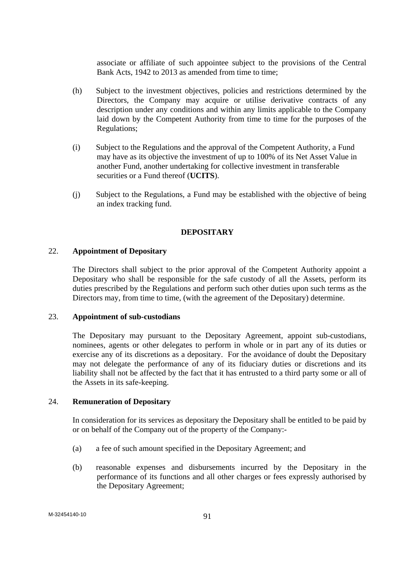associate or affiliate of such appointee subject to the provisions of the Central Bank Acts, 1942 to 2013 as amended from time to time;

- (h) Subject to the investment objectives, policies and restrictions determined by the Directors, the Company may acquire or utilise derivative contracts of any description under any conditions and within any limits applicable to the Company laid down by the Competent Authority from time to time for the purposes of the Regulations;
- (i) Subject to the Regulations and the approval of the Competent Authority, a Fund may have as its objective the investment of up to 100% of its Net Asset Value in another Fund, another undertaking for collective investment in transferable securities or a Fund thereof (**UCITS**).
- (j) Subject to the Regulations, a Fund may be established with the objective of being an index tracking fund.

## **DEPOSITARY**

#### 22. **Appointment of Depositary**

 The Directors shall subject to the prior approval of the Competent Authority appoint a Depositary who shall be responsible for the safe custody of all the Assets, perform its duties prescribed by the Regulations and perform such other duties upon such terms as the Directors may, from time to time, (with the agreement of the Depositary) determine.

# 23. **Appointment of sub-custodians**

The Depositary may pursuant to the Depositary Agreement, appoint sub-custodians, nominees, agents or other delegates to perform in whole or in part any of its duties or exercise any of its discretions as a depositary. For the avoidance of doubt the Depositary may not delegate the performance of any of its fiduciary duties or discretions and its liability shall not be affected by the fact that it has entrusted to a third party some or all of the Assets in its safe-keeping.

#### 24. **Remuneration of Depositary**

 In consideration for its services as depositary the Depositary shall be entitled to be paid by or on behalf of the Company out of the property of the Company:-

- (a) a fee of such amount specified in the Depositary Agreement; and
- (b) reasonable expenses and disbursements incurred by the Depositary in the performance of its functions and all other charges or fees expressly authorised by the Depositary Agreement;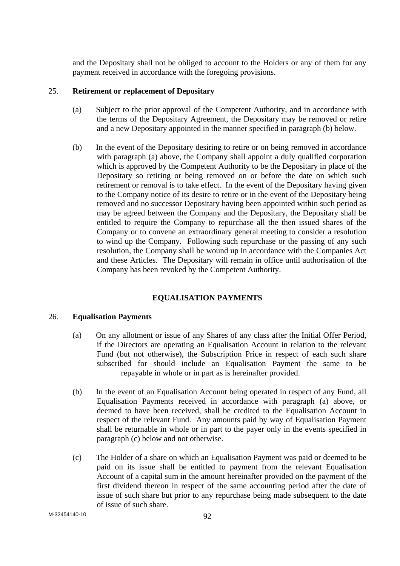and the Depositary shall not be obliged to account to the Holders or any of them for any payment received in accordance with the foregoing provisions.

### 25. **Retirement or replacement of Depositary**

- (a) Subject to the prior approval of the Competent Authority, and in accordance with the terms of the Depositary Agreement, the Depositary may be removed or retire and a new Depositary appointed in the manner specified in paragraph (b) below.
- (b) In the event of the Depositary desiring to retire or on being removed in accordance with paragraph (a) above, the Company shall appoint a duly qualified corporation which is approved by the Competent Authority to be the Depositary in place of the Depositary so retiring or being removed on or before the date on which such retirement or removal is to take effect. In the event of the Depositary having given to the Company notice of its desire to retire or in the event of the Depositary being removed and no successor Depositary having been appointed within such period as may be agreed between the Company and the Depositary, the Depositary shall be entitled to require the Company to repurchase all the then issued shares of the Company or to convene an extraordinary general meeting to consider a resolution to wind up the Company. Following such repurchase or the passing of any such resolution, the Company shall be wound up in accordance with the Companies Act and these Articles. The Depositary will remain in office until authorisation of the Company has been revoked by the Competent Authority.

# **EQUALISATION PAYMENTS**

# 26. **Equalisation Payments**

- (a) On any allotment or issue of any Shares of any class after the Initial Offer Period, if the Directors are operating an Equalisation Account in relation to the relevant Fund (but not otherwise), the Subscription Price in respect of each such share subscribed for should include an Equalisation Payment the same to be repayable in whole or in part as is hereinafter provided.
- (b) In the event of an Equalisation Account being operated in respect of any Fund, all Equalisation Payments received in accordance with paragraph (a) above, or deemed to have been received, shall be credited to the Equalisation Account in respect of the relevant Fund. Any amounts paid by way of Equalisation Payment shall be returnable in whole or in part to the payer only in the events specified in paragraph (c) below and not otherwise.
- (c) The Holder of a share on which an Equalisation Payment was paid or deemed to be paid on its issue shall be entitled to payment from the relevant Equalisation Account of a capital sum in the amount hereinafter provided on the payment of the first dividend thereon in respect of the same accounting period after the date of issue of such share but prior to any repurchase being made subsequent to the date of issue of such share.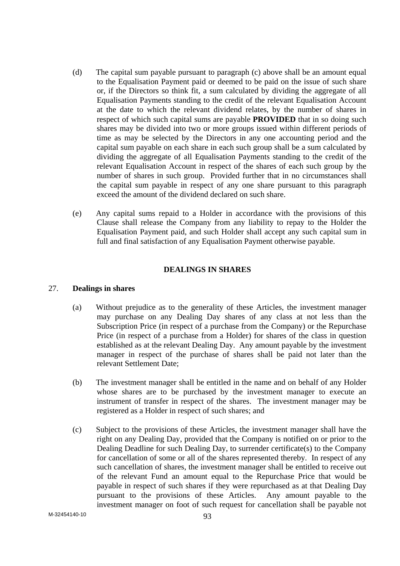- (d) The capital sum payable pursuant to paragraph (c) above shall be an amount equal to the Equalisation Payment paid or deemed to be paid on the issue of such share or, if the Directors so think fit, a sum calculated by dividing the aggregate of all Equalisation Payments standing to the credit of the relevant Equalisation Account at the date to which the relevant dividend relates, by the number of shares in respect of which such capital sums are payable **PROVIDED** that in so doing such shares may be divided into two or more groups issued within different periods of time as may be selected by the Directors in any one accounting period and the capital sum payable on each share in each such group shall be a sum calculated by dividing the aggregate of all Equalisation Payments standing to the credit of the relevant Equalisation Account in respect of the shares of each such group by the number of shares in such group. Provided further that in no circumstances shall the capital sum payable in respect of any one share pursuant to this paragraph exceed the amount of the dividend declared on such share.
- (e) Any capital sums repaid to a Holder in accordance with the provisions of this Clause shall release the Company from any liability to repay to the Holder the Equalisation Payment paid, and such Holder shall accept any such capital sum in full and final satisfaction of any Equalisation Payment otherwise payable.

## **DEALINGS IN SHARES**

#### 27. **Dealings in shares**

- (a) Without prejudice as to the generality of these Articles, the investment manager may purchase on any Dealing Day shares of any class at not less than the Subscription Price (in respect of a purchase from the Company) or the Repurchase Price (in respect of a purchase from a Holder) for shares of the class in question established as at the relevant Dealing Day. Any amount payable by the investment manager in respect of the purchase of shares shall be paid not later than the relevant Settlement Date;
- (b) The investment manager shall be entitled in the name and on behalf of any Holder whose shares are to be purchased by the investment manager to execute an instrument of transfer in respect of the shares. The investment manager may be registered as a Holder in respect of such shares; and
- (c) Subject to the provisions of these Articles, the investment manager shall have the right on any Dealing Day, provided that the Company is notified on or prior to the Dealing Deadline for such Dealing Day, to surrender certificate(s) to the Company for cancellation of some or all of the shares represented thereby. In respect of any such cancellation of shares, the investment manager shall be entitled to receive out of the relevant Fund an amount equal to the Repurchase Price that would be payable in respect of such shares if they were repurchased as at that Dealing Day pursuant to the provisions of these Articles. Any amount payable to the investment manager on foot of such request for cancellation shall be payable not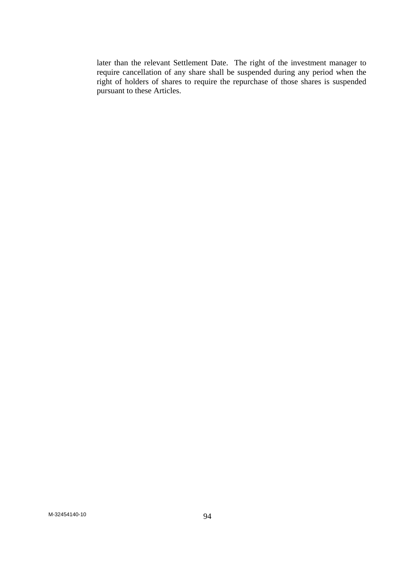later than the relevant Settlement Date. The right of the investment manager to require cancellation of any share shall be suspended during any period when the right of holders of shares to require the repurchase of those shares is suspended pursuant to these Articles.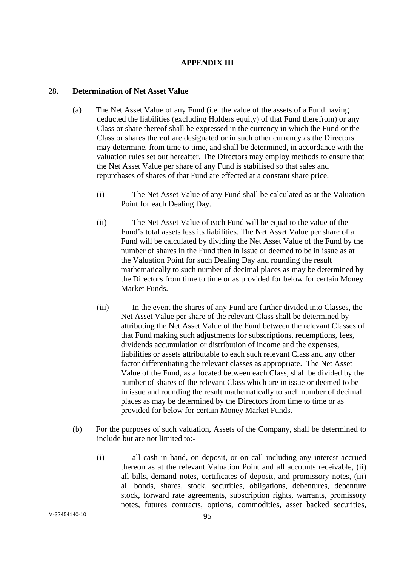# **APPENDIX III**

### 28. **Determination of Net Asset Value**

- (a) The Net Asset Value of any Fund (i.e. the value of the assets of a Fund having deducted the liabilities (excluding Holders equity) of that Fund therefrom) or any Class or share thereof shall be expressed in the currency in which the Fund or the Class or shares thereof are designated or in such other currency as the Directors may determine, from time to time, and shall be determined, in accordance with the valuation rules set out hereafter. The Directors may employ methods to ensure that the Net Asset Value per share of any Fund is stabilised so that sales and repurchases of shares of that Fund are effected at a constant share price.
	- (i) The Net Asset Value of any Fund shall be calculated as at the Valuation Point for each Dealing Day.
	- (ii) The Net Asset Value of each Fund will be equal to the value of the Fund's total assets less its liabilities. The Net Asset Value per share of a Fund will be calculated by dividing the Net Asset Value of the Fund by the number of shares in the Fund then in issue or deemed to be in issue as at the Valuation Point for such Dealing Day and rounding the result mathematically to such number of decimal places as may be determined by the Directors from time to time or as provided for below for certain Money Market Funds.
	- (iii) In the event the shares of any Fund are further divided into Classes, the Net Asset Value per share of the relevant Class shall be determined by attributing the Net Asset Value of the Fund between the relevant Classes of that Fund making such adjustments for subscriptions, redemptions, fees, dividends accumulation or distribution of income and the expenses, liabilities or assets attributable to each such relevant Class and any other factor differentiating the relevant classes as appropriate. The Net Asset Value of the Fund, as allocated between each Class, shall be divided by the number of shares of the relevant Class which are in issue or deemed to be in issue and rounding the result mathematically to such number of decimal places as may be determined by the Directors from time to time or as provided for below for certain Money Market Funds.
- (b) For the purposes of such valuation, Assets of the Company, shall be determined to include but are not limited to:-
	- (i) all cash in hand, on deposit, or on call including any interest accrued thereon as at the relevant Valuation Point and all accounts receivable, (ii) all bills, demand notes, certificates of deposit, and promissory notes, (iii) all bonds, shares, stock, securities, obligations, debentures, debenture stock, forward rate agreements, subscription rights, warrants, promissory notes, futures contracts, options, commodities, asset backed securities,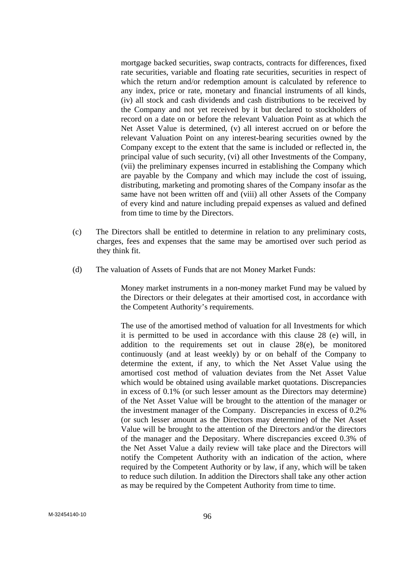mortgage backed securities, swap contracts, contracts for differences, fixed rate securities, variable and floating rate securities, securities in respect of which the return and/or redemption amount is calculated by reference to any index, price or rate, monetary and financial instruments of all kinds, (iv) all stock and cash dividends and cash distributions to be received by the Company and not yet received by it but declared to stockholders of record on a date on or before the relevant Valuation Point as at which the Net Asset Value is determined, (v) all interest accrued on or before the relevant Valuation Point on any interest-bearing securities owned by the Company except to the extent that the same is included or reflected in, the principal value of such security, (vi) all other Investments of the Company, (vii) the preliminary expenses incurred in establishing the Company which are payable by the Company and which may include the cost of issuing, distributing, marketing and promoting shares of the Company insofar as the same have not been written off and (viii) all other Assets of the Company of every kind and nature including prepaid expenses as valued and defined from time to time by the Directors.

- (c) The Directors shall be entitled to determine in relation to any preliminary costs, charges, fees and expenses that the same may be amortised over such period as they think fit.
- (d) The valuation of Assets of Funds that are not Money Market Funds:

Money market instruments in a non-money market Fund may be valued by the Directors or their delegates at their amortised cost, in accordance with the Competent Authority's requirements.

The use of the amortised method of valuation for all Investments for which it is permitted to be used in accordance with this clause 28 (e) will, in addition to the requirements set out in clause 28(e), be monitored continuously (and at least weekly) by or on behalf of the Company to determine the extent, if any, to which the Net Asset Value using the amortised cost method of valuation deviates from the Net Asset Value which would be obtained using available market quotations. Discrepancies in excess of 0.1% (or such lesser amount as the Directors may determine) of the Net Asset Value will be brought to the attention of the manager or the investment manager of the Company. Discrepancies in excess of 0.2% (or such lesser amount as the Directors may determine) of the Net Asset Value will be brought to the attention of the Directors and/or the directors of the manager and the Depositary. Where discrepancies exceed 0.3% of the Net Asset Value a daily review will take place and the Directors will notify the Competent Authority with an indication of the action, where required by the Competent Authority or by law, if any, which will be taken to reduce such dilution. In addition the Directors shall take any other action as may be required by the Competent Authority from time to time.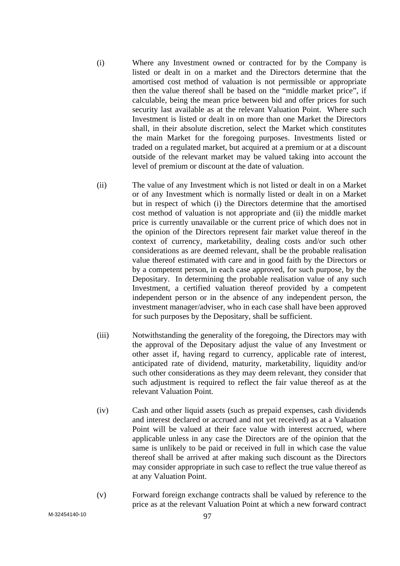- (i) Where any Investment owned or contracted for by the Company is listed or dealt in on a market and the Directors determine that the amortised cost method of valuation is not permissible or appropriate then the value thereof shall be based on the "middle market price", if calculable, being the mean price between bid and offer prices for such security last available as at the relevant Valuation Point. Where such Investment is listed or dealt in on more than one Market the Directors shall, in their absolute discretion, select the Market which constitutes the main Market for the foregoing purposes. Investments listed or traded on a regulated market, but acquired at a premium or at a discount outside of the relevant market may be valued taking into account the level of premium or discount at the date of valuation.
- (ii) The value of any Investment which is not listed or dealt in on a Market or of any Investment which is normally listed or dealt in on a Market but in respect of which (i) the Directors determine that the amortised cost method of valuation is not appropriate and (ii) the middle market price is currently unavailable or the current price of which does not in the opinion of the Directors represent fair market value thereof in the context of currency, marketability, dealing costs and/or such other considerations as are deemed relevant, shall be the probable realisation value thereof estimated with care and in good faith by the Directors or by a competent person, in each case approved, for such purpose, by the Depositary. In determining the probable realisation value of any such Investment, a certified valuation thereof provided by a competent independent person or in the absence of any independent person, the investment manager/adviser, who in each case shall have been approved for such purposes by the Depositary, shall be sufficient.
- (iii) Notwithstanding the generality of the foregoing, the Directors may with the approval of the Depositary adjust the value of any Investment or other asset if, having regard to currency, applicable rate of interest, anticipated rate of dividend, maturity, marketability, liquidity and/or such other considerations as they may deem relevant, they consider that such adjustment is required to reflect the fair value thereof as at the relevant Valuation Point.
- (iv) Cash and other liquid assets (such as prepaid expenses, cash dividends and interest declared or accrued and not yet received) as at a Valuation Point will be valued at their face value with interest accrued, where applicable unless in any case the Directors are of the opinion that the same is unlikely to be paid or received in full in which case the value thereof shall be arrived at after making such discount as the Directors may consider appropriate in such case to reflect the true value thereof as at any Valuation Point.
- (v) Forward foreign exchange contracts shall be valued by reference to the price as at the relevant Valuation Point at which a new forward contract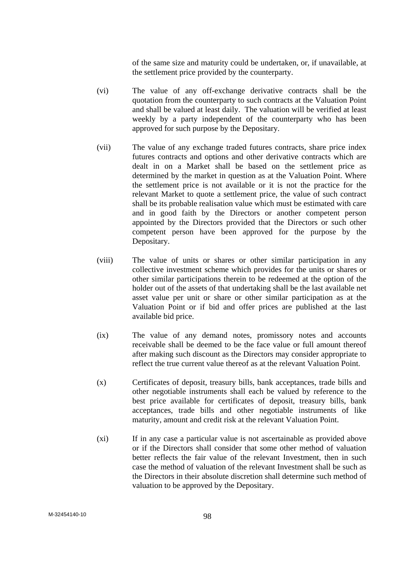of the same size and maturity could be undertaken, or, if unavailable, at the settlement price provided by the counterparty.

- (vi) The value of any off-exchange derivative contracts shall be the quotation from the counterparty to such contracts at the Valuation Point and shall be valued at least daily. The valuation will be verified at least weekly by a party independent of the counterparty who has been approved for such purpose by the Depositary.
- (vii) The value of any exchange traded futures contracts, share price index futures contracts and options and other derivative contracts which are dealt in on a Market shall be based on the settlement price as determined by the market in question as at the Valuation Point. Where the settlement price is not available or it is not the practice for the relevant Market to quote a settlement price, the value of such contract shall be its probable realisation value which must be estimated with care and in good faith by the Directors or another competent person appointed by the Directors provided that the Directors or such other competent person have been approved for the purpose by the Depositary.
- (viii) The value of units or shares or other similar participation in any collective investment scheme which provides for the units or shares or other similar participations therein to be redeemed at the option of the holder out of the assets of that undertaking shall be the last available net asset value per unit or share or other similar participation as at the Valuation Point or if bid and offer prices are published at the last available bid price.
- (ix) The value of any demand notes, promissory notes and accounts receivable shall be deemed to be the face value or full amount thereof after making such discount as the Directors may consider appropriate to reflect the true current value thereof as at the relevant Valuation Point.
- (x) Certificates of deposit, treasury bills, bank acceptances, trade bills and other negotiable instruments shall each be valued by reference to the best price available for certificates of deposit, treasury bills, bank acceptances, trade bills and other negotiable instruments of like maturity, amount and credit risk at the relevant Valuation Point.
- (xi) If in any case a particular value is not ascertainable as provided above or if the Directors shall consider that some other method of valuation better reflects the fair value of the relevant Investment, then in such case the method of valuation of the relevant Investment shall be such as the Directors in their absolute discretion shall determine such method of valuation to be approved by the Depositary.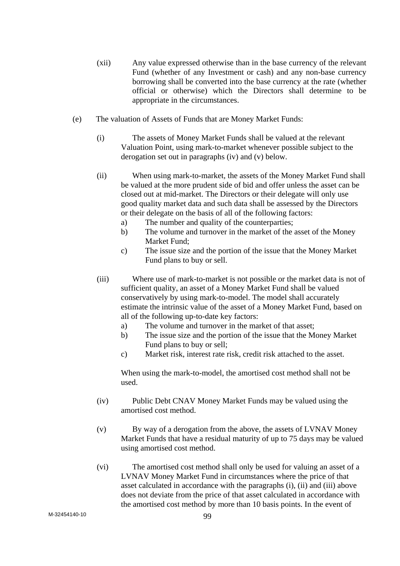- (xii) Any value expressed otherwise than in the base currency of the relevant Fund (whether of any Investment or cash) and any non-base currency borrowing shall be converted into the base currency at the rate (whether official or otherwise) which the Directors shall determine to be appropriate in the circumstances.
- (e) The valuation of Assets of Funds that are Money Market Funds:
	- (i) The assets of Money Market Funds shall be valued at the relevant Valuation Point, using mark-to-market whenever possible subject to the derogation set out in paragraphs (iv) and (v) below.
	- (ii) When using mark-to-market, the assets of the Money Market Fund shall be valued at the more prudent side of bid and offer unless the asset can be closed out at mid-market. The Directors or their delegate will only use good quality market data and such data shall be assessed by the Directors or their delegate on the basis of all of the following factors:
		- a) The number and quality of the counterparties;
		- b) The volume and turnover in the market of the asset of the Money Market Fund;
		- c) The issue size and the portion of the issue that the Money Market Fund plans to buy or sell.
	- (iii) Where use of mark-to-market is not possible or the market data is not of sufficient quality, an asset of a Money Market Fund shall be valued conservatively by using mark-to-model. The model shall accurately estimate the intrinsic value of the asset of a Money Market Fund, based on all of the following up-to-date key factors:
		- a) The volume and turnover in the market of that asset;
		- b) The issue size and the portion of the issue that the Money Market Fund plans to buy or sell;
		- c) Market risk, interest rate risk, credit risk attached to the asset.

When using the mark-to-model, the amortised cost method shall not be used.

- (iv) Public Debt CNAV Money Market Funds may be valued using the amortised cost method.
- (v) By way of a derogation from the above, the assets of LVNAV Money Market Funds that have a residual maturity of up to 75 days may be valued using amortised cost method.
- (vi) The amortised cost method shall only be used for valuing an asset of a LVNAV Money Market Fund in circumstances where the price of that asset calculated in accordance with the paragraphs (i), (ii) and (iii) above does not deviate from the price of that asset calculated in accordance with the amortised cost method by more than 10 basis points. In the event of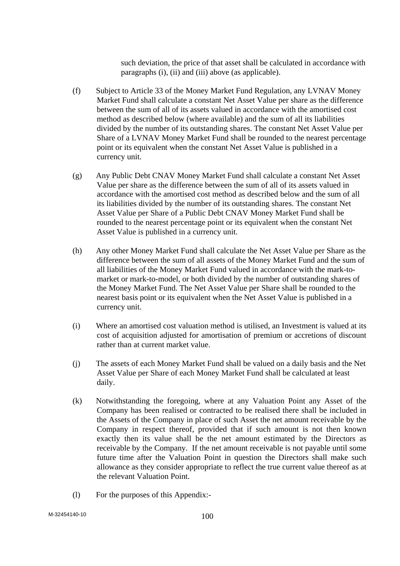such deviation, the price of that asset shall be calculated in accordance with paragraphs (i), (ii) and (iii) above (as applicable).

- (f) Subject to Article 33 of the Money Market Fund Regulation, any LVNAV Money Market Fund shall calculate a constant Net Asset Value per share as the difference between the sum of all of its assets valued in accordance with the amortised cost method as described below (where available) and the sum of all its liabilities divided by the number of its outstanding shares. The constant Net Asset Value per Share of a LVNAV Money Market Fund shall be rounded to the nearest percentage point or its equivalent when the constant Net Asset Value is published in a currency unit.
- (g) Any Public Debt CNAV Money Market Fund shall calculate a constant Net Asset Value per share as the difference between the sum of all of its assets valued in accordance with the amortised cost method as described below and the sum of all its liabilities divided by the number of its outstanding shares. The constant Net Asset Value per Share of a Public Debt CNAV Money Market Fund shall be rounded to the nearest percentage point or its equivalent when the constant Net Asset Value is published in a currency unit.
- (h) Any other Money Market Fund shall calculate the Net Asset Value per Share as the difference between the sum of all assets of the Money Market Fund and the sum of all liabilities of the Money Market Fund valued in accordance with the mark-tomarket or mark-to-model, or both divided by the number of outstanding shares of the Money Market Fund. The Net Asset Value per Share shall be rounded to the nearest basis point or its equivalent when the Net Asset Value is published in a currency unit.
- (i) Where an amortised cost valuation method is utilised, an Investment is valued at its cost of acquisition adjusted for amortisation of premium or accretions of discount rather than at current market value.
- (j) The assets of each Money Market Fund shall be valued on a daily basis and the Net Asset Value per Share of each Money Market Fund shall be calculated at least daily.
- (k) Notwithstanding the foregoing, where at any Valuation Point any Asset of the Company has been realised or contracted to be realised there shall be included in the Assets of the Company in place of such Asset the net amount receivable by the Company in respect thereof, provided that if such amount is not then known exactly then its value shall be the net amount estimated by the Directors as receivable by the Company. If the net amount receivable is not payable until some future time after the Valuation Point in question the Directors shall make such allowance as they consider appropriate to reflect the true current value thereof as at the relevant Valuation Point.
- (l) For the purposes of this Appendix:-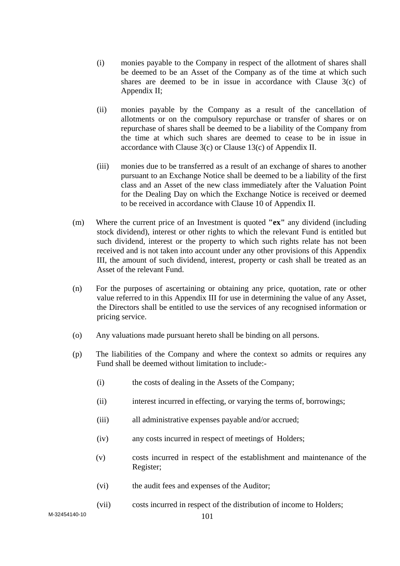- (i) monies payable to the Company in respect of the allotment of shares shall be deemed to be an Asset of the Company as of the time at which such shares are deemed to be in issue in accordance with Clause 3(c) of Appendix II;
- (ii) monies payable by the Company as a result of the cancellation of allotments or on the compulsory repurchase or transfer of shares or on repurchase of shares shall be deemed to be a liability of the Company from the time at which such shares are deemed to cease to be in issue in accordance with Clause 3(c) or Clause 13(c) of Appendix II.
- (iii) monies due to be transferred as a result of an exchange of shares to another pursuant to an Exchange Notice shall be deemed to be a liability of the first class and an Asset of the new class immediately after the Valuation Point for the Dealing Day on which the Exchange Notice is received or deemed to be received in accordance with Clause 10 of Appendix II.
- (m) Where the current price of an Investment is quoted **"ex"** any dividend (including stock dividend), interest or other rights to which the relevant Fund is entitled but such dividend, interest or the property to which such rights relate has not been received and is not taken into account under any other provisions of this Appendix III, the amount of such dividend, interest, property or cash shall be treated as an Asset of the relevant Fund.
- (n) For the purposes of ascertaining or obtaining any price, quotation, rate or other value referred to in this Appendix III for use in determining the value of any Asset, the Directors shall be entitled to use the services of any recognised information or pricing service.
- (o) Any valuations made pursuant hereto shall be binding on all persons.
- (p) The liabilities of the Company and where the context so admits or requires any Fund shall be deemed without limitation to include:-
	- (i) the costs of dealing in the Assets of the Company;
	- (ii) interest incurred in effecting, or varying the terms of, borrowings;
	- (iii) all administrative expenses payable and/or accrued;
	- (iv) any costs incurred in respect of meetings of Holders;
	- (v) costs incurred in respect of the establishment and maintenance of the Register;
	- (vi) the audit fees and expenses of the Auditor;
	- (vii) costs incurred in respect of the distribution of income to Holders;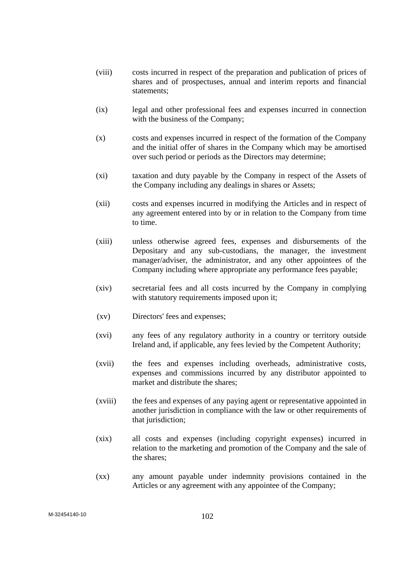- (viii) costs incurred in respect of the preparation and publication of prices of shares and of prospectuses, annual and interim reports and financial statements;
- (ix) legal and other professional fees and expenses incurred in connection with the business of the Company;
- (x) costs and expenses incurred in respect of the formation of the Company and the initial offer of shares in the Company which may be amortised over such period or periods as the Directors may determine;
- (xi) taxation and duty payable by the Company in respect of the Assets of the Company including any dealings in shares or Assets;
- (xii) costs and expenses incurred in modifying the Articles and in respect of any agreement entered into by or in relation to the Company from time to time.
- (xiii) unless otherwise agreed fees, expenses and disbursements of the Depositary and any sub-custodians, the manager, the investment manager/adviser, the administrator, and any other appointees of the Company including where appropriate any performance fees payable;
- (xiv) secretarial fees and all costs incurred by the Company in complying with statutory requirements imposed upon it;
- (xv) Directors' fees and expenses;
- (xvi) any fees of any regulatory authority in a country or territory outside Ireland and, if applicable, any fees levied by the Competent Authority;
- (xvii) the fees and expenses including overheads, administrative costs, expenses and commissions incurred by any distributor appointed to market and distribute the shares;
- (xviii) the fees and expenses of any paying agent or representative appointed in another jurisdiction in compliance with the law or other requirements of that jurisdiction;
- (xix) all costs and expenses (including copyright expenses) incurred in relation to the marketing and promotion of the Company and the sale of the shares;
- (xx) any amount payable under indemnity provisions contained in the Articles or any agreement with any appointee of the Company;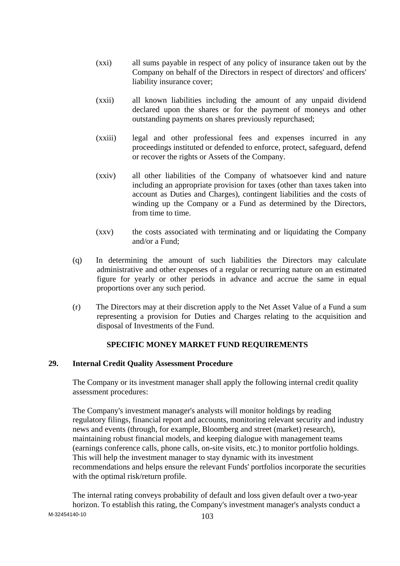- (xxi) all sums payable in respect of any policy of insurance taken out by the Company on behalf of the Directors in respect of directors' and officers' liability insurance cover;
- (xxii) all known liabilities including the amount of any unpaid dividend declared upon the shares or for the payment of moneys and other outstanding payments on shares previously repurchased;
- (xxiii) legal and other professional fees and expenses incurred in any proceedings instituted or defended to enforce, protect, safeguard, defend or recover the rights or Assets of the Company.
- (xxiv) all other liabilities of the Company of whatsoever kind and nature including an appropriate provision for taxes (other than taxes taken into account as Duties and Charges), contingent liabilities and the costs of winding up the Company or a Fund as determined by the Directors, from time to time.
- (xxv) the costs associated with terminating and or liquidating the Company and/or a Fund;
- (q) In determining the amount of such liabilities the Directors may calculate administrative and other expenses of a regular or recurring nature on an estimated figure for yearly or other periods in advance and accrue the same in equal proportions over any such period.
- (r) The Directors may at their discretion apply to the Net Asset Value of a Fund a sum representing a provision for Duties and Charges relating to the acquisition and disposal of Investments of the Fund.

# **SPECIFIC MONEY MARKET FUND REQUIREMENTS**

# **29. Internal Credit Quality Assessment Procedure**

The Company or its investment manager shall apply the following internal credit quality assessment procedures:

The Company's investment manager's analysts will monitor holdings by reading regulatory filings, financial report and accounts, monitoring relevant security and industry news and events (through, for example, Bloomberg and street (market) research), maintaining robust financial models, and keeping dialogue with management teams (earnings conference calls, phone calls, on-site visits, etc.) to monitor portfolio holdings. This will help the investment manager to stay dynamic with its investment recommendations and helps ensure the relevant Funds' portfolios incorporate the securities with the optimal risk/return profile.

 $M-32454140-10$   $103$ The internal rating conveys probability of default and loss given default over a two-year horizon. To establish this rating, the Company's investment manager's analysts conduct a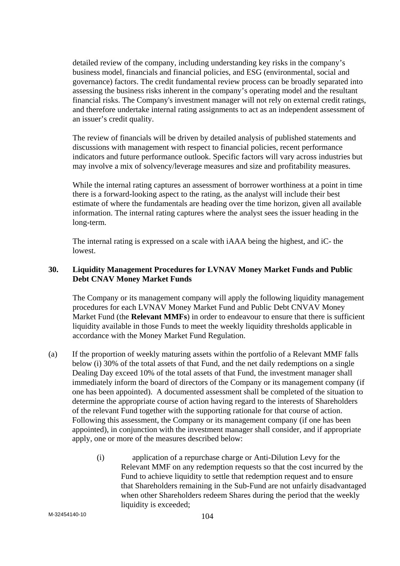detailed review of the company, including understanding key risks in the company's business model, financials and financial policies, and ESG (environmental, social and governance) factors. The credit fundamental review process can be broadly separated into assessing the business risks inherent in the company's operating model and the resultant financial risks. The Company's investment manager will not rely on external credit ratings, and therefore undertake internal rating assignments to act as an independent assessment of an issuer's credit quality.

The review of financials will be driven by detailed analysis of published statements and discussions with management with respect to financial policies, recent performance indicators and future performance outlook. Specific factors will vary across industries but may involve a mix of solvency/leverage measures and size and profitability measures.

While the internal rating captures an assessment of borrower worthiness at a point in time there is a forward-looking aspect to the rating, as the analyst will include their best estimate of where the fundamentals are heading over the time horizon, given all available information. The internal rating captures where the analyst sees the issuer heading in the long-term.

The internal rating is expressed on a scale with iAAA being the highest, and iC- the lowest.

# **30. Liquidity Management Procedures for LVNAV Money Market Funds and Public Debt CNAV Money Market Funds**

The Company or its management company will apply the following liquidity management procedures for each LVNAV Money Market Fund and Public Debt CNVAV Money Market Fund (the **Relevant MMFs**) in order to endeavour to ensure that there is sufficient liquidity available in those Funds to meet the weekly liquidity thresholds applicable in accordance with the Money Market Fund Regulation.

- (a) If the proportion of weekly maturing assets within the portfolio of a Relevant MMF falls below (i) 30% of the total assets of that Fund, and the net daily redemptions on a single Dealing Day exceed 10% of the total assets of that Fund, the investment manager shall immediately inform the board of directors of the Company or its management company (if one has been appointed). A documented assessment shall be completed of the situation to determine the appropriate course of action having regard to the interests of Shareholders of the relevant Fund together with the supporting rationale for that course of action. Following this assessment, the Company or its management company (if one has been appointed), in conjunction with the investment manager shall consider, and if appropriate apply, one or more of the measures described below:
	- (i) application of a repurchase charge or Anti-Dilution Levy for the Relevant MMF on any redemption requests so that the cost incurred by the Fund to achieve liquidity to settle that redemption request and to ensure that Shareholders remaining in the Sub-Fund are not unfairly disadvantaged when other Shareholders redeem Shares during the period that the weekly liquidity is exceeded: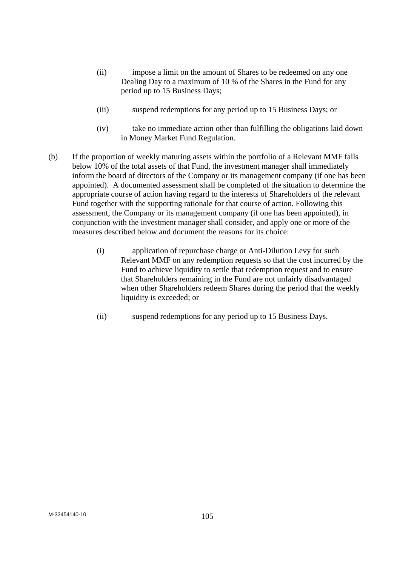- (ii) impose a limit on the amount of Shares to be redeemed on any one Dealing Day to a maximum of 10 % of the Shares in the Fund for any period up to 15 Business Days;
- (iii) suspend redemptions for any period up to 15 Business Days; or
- (iv) take no immediate action other than fulfilling the obligations laid down in Money Market Fund Regulation.
- (b) If the proportion of weekly maturing assets within the portfolio of a Relevant MMF falls below 10% of the total assets of that Fund, the investment manager shall immediately inform the board of directors of the Company or its management company (if one has been appointed). A documented assessment shall be completed of the situation to determine the appropriate course of action having regard to the interests of Shareholders of the relevant Fund together with the supporting rationale for that course of action. Following this assessment, the Company or its management company (if one has been appointed), in conjunction with the investment manager shall consider, and apply one or more of the measures described below and document the reasons for its choice:
	- (i) application of repurchase charge or Anti-Dilution Levy for such Relevant MMF on any redemption requests so that the cost incurred by the Fund to achieve liquidity to settle that redemption request and to ensure that Shareholders remaining in the Fund are not unfairly disadvantaged when other Shareholders redeem Shares during the period that the weekly liquidity is exceeded; or
	- (ii) suspend redemptions for any period up to 15 Business Days.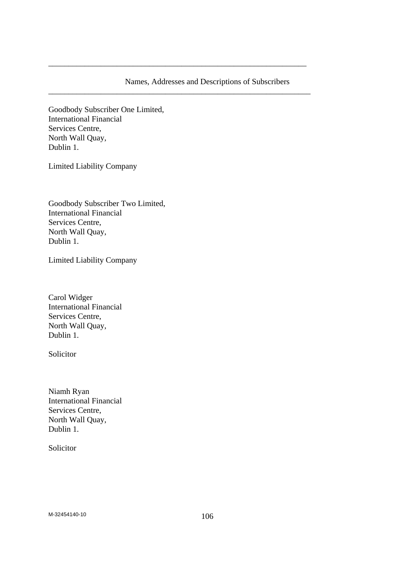# Names, Addresses and Descriptions of Subscribers

\_\_\_\_\_\_\_\_\_\_\_\_\_\_\_\_\_\_\_\_\_\_\_\_\_\_\_\_\_\_\_\_\_\_\_\_\_\_\_\_\_\_\_\_\_\_\_\_\_\_\_\_\_\_\_\_\_\_\_\_\_\_\_\_

\_\_\_\_\_\_\_\_\_\_\_\_\_\_\_\_\_\_\_\_\_\_\_\_\_\_\_\_\_\_\_\_\_\_\_\_\_\_\_\_\_\_\_\_\_\_\_\_\_\_\_\_\_\_\_\_\_\_\_\_\_\_\_\_\_

Goodbody Subscriber One Limited, International Financial Services Centre, North Wall Quay, Dublin 1.

Limited Liability Company

Goodbody Subscriber Two Limited, International Financial Services Centre, North Wall Quay, Dublin 1.

Limited Liability Company

Carol Widger International Financial Services Centre, North Wall Quay, Dublin 1.

Solicitor

Niamh Ryan International Financial Services Centre, North Wall Quay, Dublin 1.

Solicitor